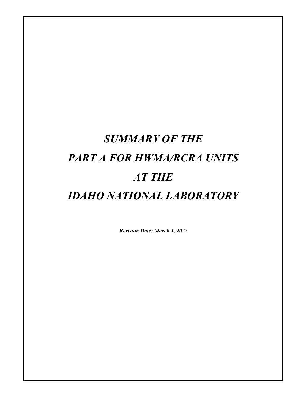# *SUMMARY OF THE PART A FOR HWMA/RCRA UNITS AT THE IDAHO NATIONAL LABORATORY*

*Revision Date: March 1, 2022*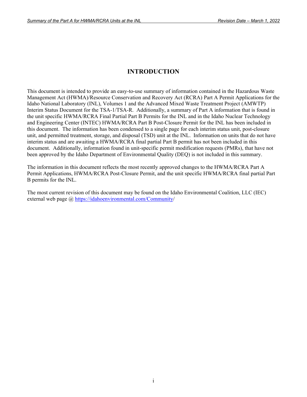# **INTRODUCTION**

This document is intended to provide an easy-to-use summary of information contained in the Hazardous Waste Management Act (HWMA)/Resource Conservation and Recovery Act (RCRA) Part A Permit Applications for the Idaho National Laboratory (INL), Volumes 1 and the Advanced Mixed Waste Treatment Project (AMWTP) Interim Status Document for the TSA-1/TSA-R. Additionally, a summary of Part A information that is found in the unit specific HWMA/RCRA Final Partial Part B Permits for the INL and in the Idaho Nuclear Technology and Engineering Center (INTEC) HWMA/RCRA Part B Post-Closure Permit for the INL has been included in this document. The information has been condensed to a single page for each interim status unit, post-closure unit, and permitted treatment, storage, and disposal (TSD) unit at the INL. Information on units that do not have interim status and are awaiting a HWMA/RCRA final partial Part B permit has not been included in this document. Additionally, information found in unit-specific permit modification requests (PMRs), that have not been approved by the Idaho Department of Environmental Quality (DEQ) is not included in this summary.

The information in this document reflects the most recently approved changes to the HWMA/RCRA Part A Permit Applications, HWMA/RCRA Post-Closure Permit, and the unit specific HWMA/RCRA final partial Part B permits for the INL.

The most current revision of this document may be found on the Idaho Environmental Coalition, LLC (IEC) external web page @ https://idahoenvironmental.com/Community/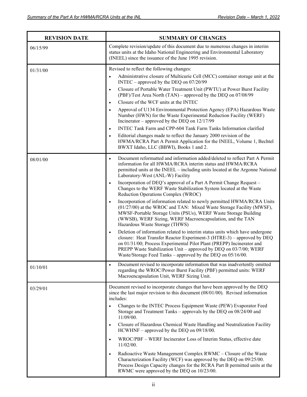| <b>REVISION DATE</b> | <b>SUMMARY OF CHANGES</b>                                                                                                                                                                                                                                                                                                                                                                                                                                                                                                                                                                                                                                                                                                                                                                                                                                                                                                                                                                                                                                                                                                                                                  |
|----------------------|----------------------------------------------------------------------------------------------------------------------------------------------------------------------------------------------------------------------------------------------------------------------------------------------------------------------------------------------------------------------------------------------------------------------------------------------------------------------------------------------------------------------------------------------------------------------------------------------------------------------------------------------------------------------------------------------------------------------------------------------------------------------------------------------------------------------------------------------------------------------------------------------------------------------------------------------------------------------------------------------------------------------------------------------------------------------------------------------------------------------------------------------------------------------------|
| 06/15/99             | Complete revision/update of this document due to numerous changes in interim<br>status units at the Idaho National Engineering and Environmental Laboratory<br>(INEEL) since the issuance of the June 1995 revision.                                                                                                                                                                                                                                                                                                                                                                                                                                                                                                                                                                                                                                                                                                                                                                                                                                                                                                                                                       |
| 01/31/00             | Revised to reflect the following changes:<br>Administrative closure of Multicurie Cell (MCC) container storage unit at the<br>$\bullet$<br>INTEC - approved by the DEQ on 07/20/99<br>Closure of Portable Water Treatment Unit (PWTU) at Power Burst Facility<br>(PBF)/Test Area North (TAN) – approved by the DEQ on 07/08/99<br>Closure of the WCF units at the INTEC<br>$\bullet$<br>Approval of U134 Environmental Protection Agency (EPA) Hazardous Waste<br>Number (HWN) for the Waste Experimental Reduction Facility (WERF)<br>Incinerator – approved by the DEQ on $12/17/99$<br>INTEC Tank Farm and CPP-604 Tank Farm Tanks Information clarified<br>Editorial changes made to reflect the January 2000 revision of the<br>$\bullet$<br>HWMA/RCRA Part A Permit Application for the INEEL, Volume 1, Bechtel<br>BWXT Idaho, LLC (BBWI), Books 1 and 2.                                                                                                                                                                                                                                                                                                           |
| 08/01/00             | Document reformatted and information added/deleted to reflect Part A Permit<br>$\bullet$<br>information for all HWMA/RCRA interim status and HWMA/RCRA<br>permitted units at the INEEL - including units located at the Argonne National<br>Laboratory-West (ANL-W) Facility<br>Incorporation of DEQ's approval of a Part A Permit Change Request -<br>Changes to the WERF Waste Stabilization System located at the Waste<br>Reduction Operations Complex (WROC)<br>Incorporation of information related to newly permitted HWMA/RCRA Units<br>(01/27/00) at the WROC and TAN: Mixed Waste Storage Facility (MWSF),<br>MWSF-Portable Storage Units (PSUs), WERF Waste Storage Building<br>(WWSB), WERF Sizing, WERF Macroencapsulation, and the TAN<br>Hazardous Waste Storage (THWS)<br>Deletion of information related to interim status units which have undergone<br>$\bullet$<br>closure: Heat Transfer Reactor Experiment-3 (HTRE-3) - approved by DEQ<br>on 01/31/00; Process Experimental Pilot Plant (PREPP) Incinerator and<br>PREPP Waste Stabilization Unit - approved by DEQ on 03/7/00; WERF<br>Waste/Storage Feed Tanks - approved by the DEQ on 05/16/00. |
| 01/10/01             | Document revised to incorporate information that was inadvertently omitted<br>$\bullet$<br>regarding the WROC/Power Burst Facility (PBF) permitted units: WERF<br>Macroencapsulation Unit, WERF Sizing Unit.                                                                                                                                                                                                                                                                                                                                                                                                                                                                                                                                                                                                                                                                                                                                                                                                                                                                                                                                                               |
| 03/29/01             | Document revised to incorporate changes that have been approved by the DEQ<br>since the last major revision to this document $(08/01/00)$ . Revised information<br>includes:<br>Changes to the INTEC Process Equipment Waste (PEW) Evaporator Feed<br>Storage and Treatment Tanks - approvals by the DEQ on 08/24/00 and<br>11/09/00.<br>Closure of Hazardous Chemical Waste Handling and Neutralization Facility<br>$HCWHNF$ – approved by the DEQ on 09/18/00.<br>WROC/PBF - WERF Incinerator Loss of Interim Status, effective date<br>11/02/00.<br>Radioactive Waste Management Complex RWMC - Closure of the Waste<br>Characterization Facility (WCF) was approved by the DEQ on 09/25/00.<br>Process Design Capacity changes for the RCRA Part B permitted units at the<br>RWMC were approved by the DEQ on 10/23/00.                                                                                                                                                                                                                                                                                                                                                |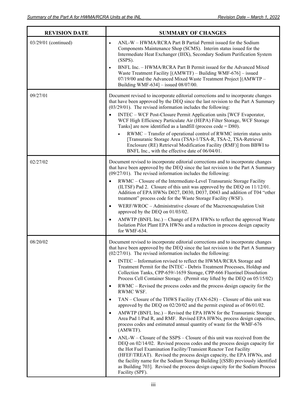| <b>REVISION DATE</b> | <b>SUMMARY OF CHANGES</b>                                                                                                                                                                                                                                                                                                                                                                                                                                                                  |
|----------------------|--------------------------------------------------------------------------------------------------------------------------------------------------------------------------------------------------------------------------------------------------------------------------------------------------------------------------------------------------------------------------------------------------------------------------------------------------------------------------------------------|
| 03/29/01 (continued) | ANL-W - HWMA/RCRA Part B Partial Permit issued for the Sodium<br>$\bullet$<br>Components Maintenance Shop (SCMS). Interim status issued for the<br>Intermediate Heat Exchanger (IHX), Secondary Sodium Purification System<br>$(SSPS)$ .<br>BNFL Inc. - HWMA/RCRA Part B Permit issued for the Advanced Mixed<br>Waste Treatment Facility $[(AMWTF) - Building WMF-676] - issued$<br>07/19/00 and the Advanced Mixed Waste Treatment Project [(AMWTP -                                     |
|                      | Building WMF-634] $-$ issued 08/07/00.                                                                                                                                                                                                                                                                                                                                                                                                                                                     |
| 09/27/01             | Document revised to incorporate editorial corrections and to incorporate changes<br>that have been approved by the DEQ since the last revision to the Part A Summary<br>$(03/29/01)$ . The revised information includes the following:                                                                                                                                                                                                                                                     |
|                      | INTEC - WCF Post-Closure Permit Application units [WCF Evaporator,<br>WCF High Efficiency Particulate Air (HEPA) Filter Storage, WCF Storage<br>Tanks] are now identified as a landfill (process code = $D80$ ).                                                                                                                                                                                                                                                                           |
|                      | RWMC - Transfer of operational control of RWMC interim status units<br>[Transuranic Storage Area (TSA)-1/TSA-R, TSA-2, TSA-Retrieval<br>Enclosure (RE) Retrieval Modification Facility (RMF)] from BBWI to<br>BNFL Inc., with the effective date of 06/04/01.                                                                                                                                                                                                                              |
| 02/27/02             | Document revised to incorporate editorial corrections and to incorporate changes<br>that have been approved by the DEQ since the last revision to the Part A Summary<br>$(09/27/01)$ . The revised information includes the following:                                                                                                                                                                                                                                                     |
|                      | RWMC - Closure of the Intermediate-Level Transuranic Storage Facility<br>(ILTSF) Pad 2. Closure of this unit was approved by the DEQ on 11/12/01.<br>Addition of EPA HWNs D027, D030, D037, D043 and addition of T04 "other<br>treatment" process code for the Waste Storage Facility (WSF).                                                                                                                                                                                               |
|                      | WERF/WROC - Administrative closure of the Macroencapsulation Unit<br>approved by the DEQ on 01/03/02.                                                                                                                                                                                                                                                                                                                                                                                      |
|                      | AMWTP (BNFL Inc.) – Change of EPA HWNs to reflect the approved Waste<br>Isolation Pilot Plant EPA HWNs and a reduction in process design capacity<br>for WMF-634.                                                                                                                                                                                                                                                                                                                          |
| 08/20/02             | Document revised to incorporate editorial corrections and to incorporate changes<br>that have been approved by the DEQ since the last revision to the Part A Summary<br>$(02/27/01)$ . The revised information includes the following:                                                                                                                                                                                                                                                     |
|                      | INTEC - Information revised to reflect the HWMA/RCRA Storage and<br>Treatment Permit for the INTEC - Debris Treatment Processes, Holdup and<br>Collection Tanks, CPP-659/-1659 Storage, CPP-666 Fluorinel Dissolution<br>Process Cell Container Storage. (Permit stay lifted by the DEQ on 05/15/02)                                                                                                                                                                                       |
|                      | RWMC – Revised the process codes and the process design capacity for the<br>RWMC WSF.                                                                                                                                                                                                                                                                                                                                                                                                      |
|                      | TAN – Closure of the THWS Facility (TAN-628) – Closure of this unit was<br>approved by the DEQ on 02/20/02 and the permit expired as of 06/01/02.                                                                                                                                                                                                                                                                                                                                          |
|                      | AMWTP (BNFL Inc.) – Revised the EPA HWN for the Transuranic Storage<br>Area Pad 1/Pad R, and RMF. Revised EPA HWNs, process design capacities,<br>process codes and estimated annual quantity of waste for the WMF-676<br>(AMWTF).                                                                                                                                                                                                                                                         |
|                      | $ANL-W - Closure$ of the SSPS – Closure of this unit was received from the<br>DEQ on 02/14/02. Revised process codes and the process design capacity for<br>the Hot Fuel Examination Facility/Transient Reactor Test Facility<br>(HFEF/TREAT). Revised the process design capacity, the EPA HWNs, and<br>the facility name for the Sodium Storage Building [(SSB) previously identified<br>as Building 703]. Revised the process design capacity for the Sodium Process<br>Facility (SPF). |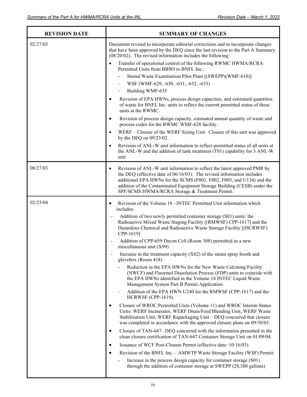| <b>REVISION DATE</b> | <b>SUMMARY OF CHANGES</b>                                                                                                                                                                                                                                                                                                                                              |
|----------------------|------------------------------------------------------------------------------------------------------------------------------------------------------------------------------------------------------------------------------------------------------------------------------------------------------------------------------------------------------------------------|
| 02/27/03             | Document revised to incorporate editorial corrections and to incorporate changes<br>that have been approved by the DEQ since the last revision to the Part A Summary<br>$(08/20/02)$ . The revised information includes the following:                                                                                                                                 |
|                      | Transfer of operational control of the following RWMC HWMA/RCRA<br>Permitted Units from BBWI to BNFL Inc.:                                                                                                                                                                                                                                                             |
|                      | Stored Waste Examination Pilot Plant [(SWEPP)(WMF-610)]                                                                                                                                                                                                                                                                                                                |
|                      | WSF (WMF-629, -630, -631, -632, -633)                                                                                                                                                                                                                                                                                                                                  |
|                      | Building WMF-635                                                                                                                                                                                                                                                                                                                                                       |
|                      | Revision of EPA HWNs, process design capacities, and estimated quantities<br>$\bullet$<br>of waste for BNFL Inc. units to reflect the current permitted status of these<br>units at the RWMC.                                                                                                                                                                          |
|                      | Revision of process design capacity, estimated annual quantity of waste and<br>$\bullet$<br>process codes for the RWMC WMF-628 facility.                                                                                                                                                                                                                               |
|                      | WERF - Closure of the WERF Sizing Unit. Closure of this unit was approved<br>$\bullet$<br>by the DEQ on 09/23/02.                                                                                                                                                                                                                                                      |
|                      | Revision of ANL-W unit information to reflect permitted status of all units at<br>$\bullet$<br>the ANL-W and the addition of tank treatment (T01) capability for 3 ANL-W<br>unit                                                                                                                                                                                       |
| 08/27/03             | Revision of ANL-W unit information to reflect the latest approved PMR by<br>$\bullet$<br>the DEQ (effective date of 06/16/03). The revised information includes<br>additional EPA HWNs for the SCMS (F001, F002, F005, and U134) and the<br>addition of the Contaminated Equipment Storage Building (CESB) under the<br>SPF/SCMS HWMA/RCRA Storage & Treatment Permit. |
| 02/25/04             | Revision of the Volume 18 - INTEC Permitted Unit information which<br>٠<br>includes:                                                                                                                                                                                                                                                                                   |
|                      | Addition of two newly permitted container storage (S01) units: the<br>Radioactive Mixed Waste Staging Facility [(RMWSF) CPP-1617] and the<br>Hazardous Chemical and Radioactive Waste Storage Facility [(HCRWSF)<br>CPP-1619]                                                                                                                                          |
|                      | Addition of CPP-659 Decon Cell (Room 308) permitted as a new<br>miscellaneous unit (X99)                                                                                                                                                                                                                                                                               |
|                      | Increase in the treatment capacity $(X02)$ of the steam spray booth and<br>glovebox (Room 418)                                                                                                                                                                                                                                                                         |
|                      | Reduction in the EPA HWNs for the New Waste Calcining Facility<br>(NWCF) and Fluorinel Dissolution Process (FDP) units to coincide with<br>the EPA HWNs identified in the Volume 14 INTEC Liquid Waste<br>Management System Part B Permit Application                                                                                                                  |
|                      | Addition of the EPA HWN U240 for the RMWSF (CPP-1617) and the<br>HCRWSF (CPP-1619).                                                                                                                                                                                                                                                                                    |
|                      | Closure of WROC Permitted Units (Volume 11) and WROC Interim Status<br>$\bullet$<br>Units: WERF Incinerator, WERF Drum/Feed Blending Unit, WERF Waste<br>Stabilization Unit, WERF Repackaging Unit - DEQ concurred that closure<br>was completed in accordance with the approved closure plans on 09/30/03.                                                            |
|                      | Closure of TAN-647– DEQ concurred with the information presented in the<br>$\bullet$<br>clean closure certification of TAN-647 Container Storage Unit on 01/09/04.                                                                                                                                                                                                     |
|                      | Issuance of WCF Post-Closure Permit (effective date: 10/16/03).<br>$\bullet$                                                                                                                                                                                                                                                                                           |
|                      | Revision of the BNFL Inc. - AMWTP Waste Storage Facility (WSF) Permit:<br>$\bullet$                                                                                                                                                                                                                                                                                    |
|                      | Increase in the process design capacity for container storage (S01)<br>through the addition of container storage at SWEPP (28,380 gallons)                                                                                                                                                                                                                             |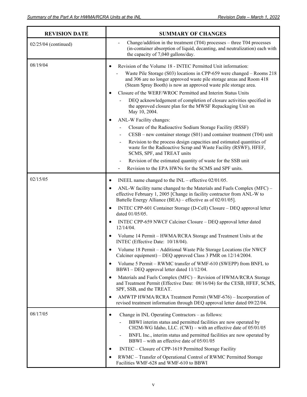| <b>REVISION DATE</b> | <b>SUMMARY OF CHANGES</b>                                                                                                                                                                                                                                                                                                                                                                          |
|----------------------|----------------------------------------------------------------------------------------------------------------------------------------------------------------------------------------------------------------------------------------------------------------------------------------------------------------------------------------------------------------------------------------------------|
| 02/25/04 (continued) | Change/addition in the treatment $(T04)$ processes – three T04 processes<br>(in-container absorption of liquid, decanting, and neutralization) each with<br>the capacity of 7,040 gallons/day.                                                                                                                                                                                                     |
| 08/19/04             | Revision of the Volume 18 - INTEC Permitted Unit information:<br>$\bullet$<br>Waste Pile Storage (S03) locations in CPP-659 were changed - Rooms 218<br>and 306 are no longer approved waste pile storage areas and Room 418<br>(Steam Spray Booth) is now an approved waste pile storage area.                                                                                                    |
|                      | Closure of the WERF/WROC Permitted and Interim Status Units<br>DEQ acknowledgement of completion of closure activities specified in<br>the approved closure plan for the MWSF Repackaging Unit on<br>May 10, 2004.                                                                                                                                                                                 |
|                      | ANL-W Facility changes:                                                                                                                                                                                                                                                                                                                                                                            |
|                      | Closure of the Radioactive Sodium Storage Facility (RSSF)                                                                                                                                                                                                                                                                                                                                          |
|                      | $CESB$ – new container storage (S01) and container treatment (T04) unit                                                                                                                                                                                                                                                                                                                            |
|                      | Revision to the process design capacities and estimated quantities of<br>waste for the Radioactive Scrap and Waste Facility (RSWF), HFEF,<br>SCMS, SPF, and TREAT units                                                                                                                                                                                                                            |
|                      | Revision of the estimated quantity of waste for the SSB unit<br>$\blacksquare$                                                                                                                                                                                                                                                                                                                     |
|                      | Revision to the EPA HWNs for the SCMS and SPF units.                                                                                                                                                                                                                                                                                                                                               |
| 02/15/05             | INEEL name changed to the $INL$ – effective $02/01/05$ .<br>$\bullet$                                                                                                                                                                                                                                                                                                                              |
|                      | ANL-W facility name changed to the Materials and Fuels Complex (MFC) -<br>$\bullet$<br>effective February 1, 2005 [Change in facility contractor from ANL-W to<br>Battelle Energy Alliance (BEA) – effective as of 02/01/05].                                                                                                                                                                      |
|                      | INTEC CPP-601 Container Storage (D-Cell) Closure – DEQ approval letter<br>٠<br>dated 01/05/05.                                                                                                                                                                                                                                                                                                     |
|                      | INTEC CPP-659 NWCF Calciner Closure - DEQ approval letter dated<br>$\bullet$<br>12/14/04.                                                                                                                                                                                                                                                                                                          |
|                      | Volume 14 Permit - HWMA/RCRA Storage and Treatment Units at the<br>INTEC (Effective Date: 10/18/04).                                                                                                                                                                                                                                                                                               |
|                      | Volume 18 Permit - Additional Waste Pile Storage Locations (for NWCF<br>Calciner equipment) – DEQ approved Class 3 PMR on 12/14/2004.                                                                                                                                                                                                                                                              |
|                      | Volume 5 Permit – RWMC transfer of WMF-610 (SWEPP) from BNFL to<br>$\bullet$<br>BBWI – DEQ approval letter dated 11/12/04.                                                                                                                                                                                                                                                                         |
|                      | Materials and Fuels Complex (MFC) – Revision of HWMA/RCRA Storage<br>$\bullet$<br>and Treatment Permit (Effective Date: 08/16/04) for the CESB, HFEF, SCMS,<br>SPF, SSB, and the TREAT.                                                                                                                                                                                                            |
|                      | AMWTP HWMA/RCRA Treatment Permit (WMF-676) – Incorporation of<br>$\bullet$<br>revised treatment information through DEQ approval letter dated 09/22/04.                                                                                                                                                                                                                                            |
| 08/17/05             | Change in INL Operating Contractors - as follows:<br>$\bullet$<br>BBWI interim status and permitted facilities are now operated by<br>CH2M-WG Idaho, LLC. (CWI) – with an effective date of 05/01/05<br>BNFL Inc., interim status and permitted facilities are now operated by<br>BBWI – with an effective date of 05/01/05<br>INTEC – Closure of CPP-1619 Permitted Storage Facility<br>$\bullet$ |
|                      | RWMC - Transfer of Operational Control of RWMC Permitted Storage<br>$\bullet$<br>Facilities WMF-628 and WMF-610 to BBWI                                                                                                                                                                                                                                                                            |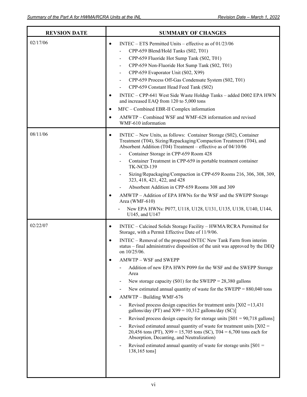| <b>REVSION DATE</b> | <b>SUMMARY OF CHANGES</b>                                                                                                                                                                                                                                                                                                                                                                                                                                                                                                                                                                                                                                                                                                                                                                                                                                                                                                                                                                                                                                                                                                                                                    |
|---------------------|------------------------------------------------------------------------------------------------------------------------------------------------------------------------------------------------------------------------------------------------------------------------------------------------------------------------------------------------------------------------------------------------------------------------------------------------------------------------------------------------------------------------------------------------------------------------------------------------------------------------------------------------------------------------------------------------------------------------------------------------------------------------------------------------------------------------------------------------------------------------------------------------------------------------------------------------------------------------------------------------------------------------------------------------------------------------------------------------------------------------------------------------------------------------------|
| 02/17/06            | INTEC – ETS Permitted Units – effective as of $01/23/06$<br>$\bullet$<br>CPP-659 Blend/Hold Tanks (S02, T01)<br>CPP-659 Fluoride Hot Sump Tank (S02, T01)<br>$\qquad \qquad \blacksquare$<br>CPP-659 Non-Fluoride Hot Sump Tank (S02, T01)<br>CPP-659 Evaporator Unit (S02, X99)<br>$\qquad \qquad \blacksquare$<br>CPP-659 Process Off-Gas Condensate System (S02, T01)<br>CPP-659 Constant Head Feed Tank (S02)<br>INTEC - CPP-641 West Side Waste Holdup Tanks - added D002 EPA HWN<br>$\bullet$<br>and increased EAQ from 120 to 5,000 tons<br>MFC – Combined EBR-II Complex information<br>$\bullet$<br>AMWTP – Combined WSF and WMF-628 information and revised<br>$\bullet$<br>WMF-610 information                                                                                                                                                                                                                                                                                                                                                                                                                                                                    |
| 08/11/06            | INTEC - New Units, as follows: Container Storage (S02), Container<br>$\bullet$<br>Treatment (T04), Sizing/Repackaging/Compaction Treatment (T04), and<br>Absorbent Addition (T04) Treatment - effective as of 04/10/06<br>Container Storage in CPP-659 Room 428<br>Container Treatment in CPP-659 in portable treatment container<br><b>TK-NCD-139</b><br>Sizing/Repackaging/Compaction in CPP-659 Rooms 216, 306, 308, 309,<br>323, 418, 421, 422, and 428<br>Absorbent Addition in CPP-659 Rooms 308 and 309<br>AMWTP - Addition of EPA HWNs for the WSF and the SWEPP Storage<br>$\bullet$<br>Area (WMF-610)<br>New EPA HWNs: P077, U118, U128, U131, U135, U138, U140, U144,<br>U145, and U147                                                                                                                                                                                                                                                                                                                                                                                                                                                                           |
| 02/22/07            | INTEC - Calcined Solids Storage Facility - HWMA/RCRA Permitted for<br>$\bullet$<br>Storage, with a Permit Effective Date of 11/9/06.<br>INTEC – Removal of the proposed INTEC New Tank Farm from interim<br>$\bullet$<br>status - final administrative disposition of the unit was approved by the DEQ<br>on 10/25/06.<br>AMWTP - WSF and SWEPP<br>$\bullet$<br>Addition of new EPA HWN P099 for the WSF and the SWEPP Storage<br>Area<br>New storage capacity (S01) for the SWEPP = $28,380$ gallons<br>New estimated annual quantity of waste for the SWEPP = $880,040$ tons<br>AMWTP - Building WMF-676<br>$\bullet$<br>Revised process design capacities for treatment units $[X02 = 13,431]$<br>gallons/day (PT) and $X99 = 10,312$ gallons/day (SC)]<br>Revised process design capacity for storage units $[501 = 90,718 \text{ gallons}]$<br>Revised estimated annual quantity of waste for treatment units $[X02 =$<br>$\qquad \qquad \blacksquare$<br>20,456 tons (PT), $X99 = 15,705$ tons (SC), T04 = 6,700 tons each for<br>Absorption, Decanting, and Neutralization)<br>Revised estimated annual quantity of waste for storage units $[501 =$<br>138,165 tons] |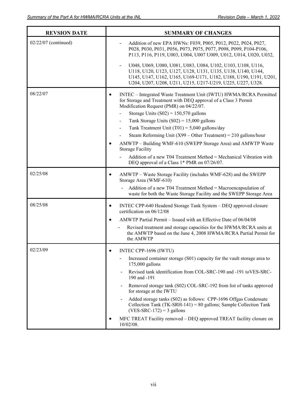| <b>REVSION DATE</b>  | <b>SUMMARY OF CHANGES</b>                                                                                                                                                                                                                                                                                                                                                                                                                                                                                                                                                                                                                                                      |
|----------------------|--------------------------------------------------------------------------------------------------------------------------------------------------------------------------------------------------------------------------------------------------------------------------------------------------------------------------------------------------------------------------------------------------------------------------------------------------------------------------------------------------------------------------------------------------------------------------------------------------------------------------------------------------------------------------------|
| 02/22/07 (continued) | Addition of new EPA HWNs: F039, P005, P012, P022, P024, P027,<br>P028, P030, P031, P056, P073, P075, P077, P098, P099, P104-P106,<br>P113, P116, P119, U003, U004, U007 U009, U012, U014, U020, U032,                                                                                                                                                                                                                                                                                                                                                                                                                                                                          |
|                      | U048, U069, U080, U081, U083, U084, U102, U103, U108, U116,<br>U118, U120, U123, U127, U128, U131, U135, U138, U140, U144,<br>U145, U147, U162, U165, U169-U171, U182, U188, U190, U191, U201,<br>U204, U207, U208, U211, U215, U217-U219, U225, U227, U328.                                                                                                                                                                                                                                                                                                                                                                                                                   |
| 08/22/07             | INTEC - Integrated Waste Treatment Unit (IWTU) HWMA/RCRA Permitted<br>$\bullet$<br>for Storage and Treatment with DEQ approval of a Class 3 Permit<br>Modification Request (PMR) on 04/22/07.<br>Storage Units $(S02) = 150,570$ gallons<br>Tank Storage Units $(S02) = 15,000$ gallons<br>$\blacksquare$<br>Tank Treatment Unit $(T01) = 5,040$ gallons/day<br>$\overline{\phantom{m}}$<br>Steam Reforming Unit (X99 – Other Treatment) = $210$ gallons/hour<br>AMWTP – Building WMF-610 (SWEPP Storage Area) and AMWTP Waste<br><b>Storage Facility</b><br>Addition of a new T04 Treatment Method = Mechanical Vibration with<br>DEQ approval of a Class 1* PMR on 07/26/07. |
| 02/25/08             | AMWTP - Waste Storage Facility (includes WMF-628) and the SWEPP<br>٠<br>Storage Area (WMF-610)<br>Addition of a new T04 Treatment Method = Macroencapsulation of<br>waste for both the Waste Storage Facility and the SWEPP Storage Area                                                                                                                                                                                                                                                                                                                                                                                                                                       |
| 08/25/08             | INTEC CPP-640 Headend Storage Tank System - DEQ approved closure<br>$\bullet$<br>certification on 06/12/08<br>AMWTP Partial Permit - Issued with an Effective Date of 06/04/08<br>Revised treatment and storage capacities for the HWMA/RCRA units at<br>the AMWTP based on the June 4, 2008 HWMA/RCRA Partial Permit for<br>the AMWTP                                                                                                                                                                                                                                                                                                                                         |
| 02/23/09             | INTEC CPP-1696 (IWTU)<br>Increased container storage (S01) capacity for the vault storage area to<br>$175,000$ gallons<br>Revised tank identification from COL-SRC-190 and -191 toVES-SRC-<br>190 and -191<br>Removed storage tank (S02) COL-SRC-192 from list of tanks approved<br>for storage at the IWTU<br>Added storage tanks (S02) as follows: CPP-1696 Offgas Condensate<br>Collection Tank (TK-SRH-141) = 80 gallons; Sample Collection Tank<br>$(VES-SRC-172) = 3$ gallons<br>MFC TREAT Facility removed - DEQ approved TREAT facility closure on<br>10/02/08.                                                                                                        |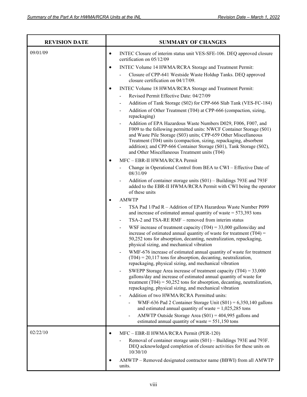| <b>REVISION DATE</b> | <b>SUMMARY OF CHANGES</b>                                                                                                                                                                                                                                                                                                                                                                                                        |
|----------------------|----------------------------------------------------------------------------------------------------------------------------------------------------------------------------------------------------------------------------------------------------------------------------------------------------------------------------------------------------------------------------------------------------------------------------------|
| 09/01/09             | INTEC Closure of interim status unit VES-SFE-106. DEQ approved closure<br>$\bullet$<br>certification on 05/12/09                                                                                                                                                                                                                                                                                                                 |
|                      | INTEC Volume 14 HWMA/RCRA Storage and Treatment Permit:<br>$\bullet$                                                                                                                                                                                                                                                                                                                                                             |
|                      | Closure of CPP-641 Westside Waste Holdup Tanks. DEQ approved<br>closure certification on 04/17/09.                                                                                                                                                                                                                                                                                                                               |
|                      | INTEC Volume 18 HWMA/RCRA Storage and Treatment Permit:<br>$\bullet$                                                                                                                                                                                                                                                                                                                                                             |
|                      | Revised Permit Effective Date: 04/27/09<br>$\overline{a}$                                                                                                                                                                                                                                                                                                                                                                        |
|                      | Addition of Tank Storage (S02) for CPP-666 Slab Tank (VES-FC-184)                                                                                                                                                                                                                                                                                                                                                                |
|                      | Addition of Other Treatment (T04) at CPP-666 (compaction, sizing,<br>$\overline{a}$<br>repackaging)                                                                                                                                                                                                                                                                                                                              |
|                      | Addition of EPA Hazardous Waste Numbers D029, F006, F007, and<br>$\overline{\phantom{0}}$<br>F009 to the following permitted units: NWCF Container Storage (S01)<br>and Waste Pile Storage (S03) units; CPP-659 Other Miscellaneous<br>Treatment (T04) units (compaction, sizing, repackaging, absorbent<br>addition); and CPP-666 Container Storage (S01), Tank Storage (S02),<br>and Other Miscellaneous Treatment units (T04) |
|                      | MFC - EBR-II HWMA/RCRA Permit                                                                                                                                                                                                                                                                                                                                                                                                    |
|                      | Change in Operational Control from BEA to CWI - Effective Date of<br>08/31/09                                                                                                                                                                                                                                                                                                                                                    |
|                      | Addition of container storage units (S01) – Buildings 793E and 793F<br>added to the EBR-II HWMA/RCRA Permit with CWI being the operator<br>of these units                                                                                                                                                                                                                                                                        |
|                      | <b>AMWTP</b>                                                                                                                                                                                                                                                                                                                                                                                                                     |
|                      | TSA Pad 1/Pad R - Addition of EPA Hazardous Waste Number P099<br>and increase of estimated annual quantity of waste $= 573,393$ tons                                                                                                                                                                                                                                                                                             |
|                      | TSA-2 and TSA-RE RMF – removed from interim status                                                                                                                                                                                                                                                                                                                                                                               |
|                      | WSF increase of treatment capacity (T04) = $33,000$ gallons/day and<br>$\overline{a}$<br>increase of estimated annual quantity of waste for treatment $(T04)$ =<br>50,252 tons for absorption, decanting, neutralization, repackaging,<br>physical sizing, and mechanical vibration                                                                                                                                              |
|                      | WMF-676 increase of estimated annual quantity of waste for treatment<br>$(T04) = 20,117$ tons for absorption, decanting, neutralization,<br>repackaging, physical sizing, and mechanical vibration                                                                                                                                                                                                                               |
|                      | SWEPP Storage Area increase of treatment capacity $(T04) = 33,000$<br>gallons/day and increase of estimated annual quantity of waste for<br>treatment $(T04) = 50,252$ tons for absorption, decanting, neutralization,<br>repackaging, physical sizing, and mechanical vibration                                                                                                                                                 |
|                      | Addition of two HWMA/RCRA Permitted units:                                                                                                                                                                                                                                                                                                                                                                                       |
|                      | WMF-636 Pad 2 Container Storage Unit $(S01) = 6,350,140$ gallons<br>and estimated annual quantity of waste = $1,025,285$ tons                                                                                                                                                                                                                                                                                                    |
|                      | AMWTP Outside Storage Area $(S01) = 404,995$ gallons and<br>$\qquad \qquad \blacksquare$<br>estimated annual quantity of waste = $551,150$ tons                                                                                                                                                                                                                                                                                  |
| 02/22/10             | MFC - EBR-II HWMA/RCRA Permit (PER-120)<br>$\bullet$                                                                                                                                                                                                                                                                                                                                                                             |
|                      | Removal of container storage units (S01) - Buildings 793E and 793F.<br>DEQ acknowledged completion of closure activities for these units on<br>10/30/10                                                                                                                                                                                                                                                                          |
|                      | AMWTP – Removed designated contractor name (BBWI) from all AMWTP<br>units.                                                                                                                                                                                                                                                                                                                                                       |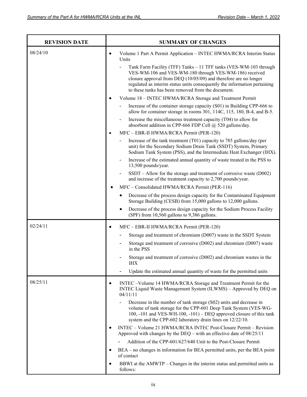J

| <b>REVISION DATE</b> | <b>SUMMARY OF CHANGES</b>                                                                                                                                                                                                                                                                                                          |
|----------------------|------------------------------------------------------------------------------------------------------------------------------------------------------------------------------------------------------------------------------------------------------------------------------------------------------------------------------------|
| 08/24/10             | Volume 1 Part A Permit Application - INTEC HWMA/RCRA Interim Status<br>$\bullet$<br>Units                                                                                                                                                                                                                                          |
|                      | Tank Farm Facility (TFF) Tanks - 11 TFF tanks (VES-WM-103 through<br>VES-WM-106 and VES-WM-180 through VES-WM-186) received<br>closure approval from DEQ (10/05/09) and therefore are no longer<br>regulated as interim status units consequently the information pertaining<br>to these tanks has been removed from the document. |
|                      | Volume 18 - INTEC HWMA/RCRA Storage and Treatment Permit<br>$\bullet$                                                                                                                                                                                                                                                              |
|                      | Increase of the container storage capacity (S01) in Building CPP-666 to<br>allow for container storage in rooms 301, 114C, 115, 180, B-4, and B-5.                                                                                                                                                                                 |
|                      | Increase the miscellaneous treatment capacity (T04) to allow for<br>$\qquad \qquad \blacksquare$<br>absorbent addition in CPP-666 FDP Cell @ 520 gallons/day.                                                                                                                                                                      |
|                      | MFC - EBR-II HWMA/RCRA Permit (PER-120)<br>$\bullet$                                                                                                                                                                                                                                                                               |
|                      | Increase of the tank treatment (T01) capacity to 785 gallons/day (per<br>unit) for the Secondary Sodium Drain Tank (SSDT) System, Primary<br>Sodium Tank System (PSS), and the Intermediate Heat Exchanger (IHX).                                                                                                                  |
|                      | Increase of the estimated annual quantity of waste treated in the PSS to<br>13,500 pounds/year.                                                                                                                                                                                                                                    |
|                      | $SSDT -$ Allow for the storage and treatment of corrosive waste (D002)<br>-<br>and increase of the treatment capacity to 2,700 pounds/year.                                                                                                                                                                                        |
|                      | MFC - Consolidated HWMA/RCRA Permit (PER-116)                                                                                                                                                                                                                                                                                      |
|                      | Decrease of the process design capacity for the Contaminated Equipment<br>Storage Building (CESB) from 15,000 gallons to 12,000 gallons.                                                                                                                                                                                           |
|                      | Decrease of the process design capacity for the Sodium Process Facility<br>(SPF) from 10,560 gallons to 9,386 gallons.                                                                                                                                                                                                             |
| 02/24/11             | MFC - EBR-II HWMA/RCRA Permit (PER-120)<br>$\bullet$                                                                                                                                                                                                                                                                               |
|                      | Storage and treatment of chromium (D007) waste in the SSDT System                                                                                                                                                                                                                                                                  |
|                      | Storage and treatment of corrosive (D002) and chromium (D007) waste<br>in the PSS                                                                                                                                                                                                                                                  |
|                      | Storage and treatment of corrosive (D002) and chromium wastes in the<br><b>IHX</b>                                                                                                                                                                                                                                                 |
|                      | Update the estimated annual quantity of waste for the permitted units                                                                                                                                                                                                                                                              |
| 08/25/11             | INTEC -Volume 14 HWMA/RCRA Storage and Treatment Permit for the<br>$\bullet$<br>INTEC Liquid Waste Management System (ILWMS) - Approved by DEQ on<br>04/11/11                                                                                                                                                                      |
|                      | Decrease in the number of tank storage (S02) units and decrease in<br>volume of tank storage for the CPP-601 Deep Tank System (VES-WG-<br>100, -101 and VES-WH-100, -101) - DEQ approved closure of this tank<br>system and the CPP-602 laboratory drain lines on 12/22/10.                                                        |
|                      | INTEC - Volume 21 HWMA/RCRA INTEC Post-Closure Permit - Revision<br>Approved with changes by the DEQ – with an effective date of $08/25/11$                                                                                                                                                                                        |
|                      | Addition of the CPP-601/627/640 Unit to the Post-Closure Permit                                                                                                                                                                                                                                                                    |
|                      | BEA – no changes in information for BEA permitted units, per the BEA point<br>$\bullet$<br>of contact                                                                                                                                                                                                                              |
|                      | BBWI at the AMWTP – Changes in the interim status and permitted units as<br>$\bullet$<br>follows:                                                                                                                                                                                                                                  |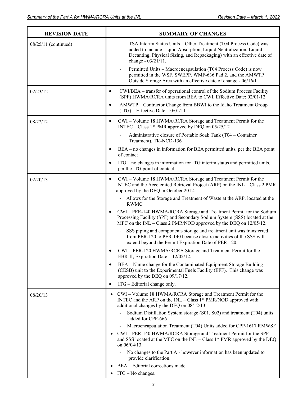| <b>REVISION DATE</b> | <b>SUMMARY OF CHANGES</b>                                                                                                                                                                                                                                     |
|----------------------|---------------------------------------------------------------------------------------------------------------------------------------------------------------------------------------------------------------------------------------------------------------|
| 08/25/11 (continued) | TSA Interim Status Units - Other Treatment (T04 Process Code) was<br>added to include Liquid Absorption, Liquid Neutralization, Liquid<br>Decanting, Physical Sizing, and Repackaging) with an effective date of<br>change - 03/21/11.                        |
|                      | Permitted Units - Macroencapsulation (T04 Process Code) is now<br>$\overline{\phantom{0}}$<br>permitted in the WSF, SWEPP, WMF-636 Pad 2, and the AMWTP<br>Outside Storage Area with an effective date of change - 06/16/11                                   |
| 02/23/12             | CWI/BEA – transfer of operational control of the Sodium Process Facility<br>$\bullet$<br>(SPF) HWMA/RCRA units from BEA to CWI, Effective Date: 02/01/12.                                                                                                     |
|                      | AMWTP - Contractor Change from BBWI to the Idaho Treatment Group<br>٠<br>$(ITG)$ – Effective Date: $10/01/11$                                                                                                                                                 |
| 08/22/12             | CWI - Volume 18 HWMA/RCRA Storage and Treatment Permit for the<br>$\bullet$<br>INTEC – Class 1* PMR approved by DEQ on 05/25/12                                                                                                                               |
|                      | Administrative closure of Portable Soak Tank (T04 – Container<br>Treatment), TK-NCD-136                                                                                                                                                                       |
|                      | BEA – no changes in information for BEA permitted units, per the BEA point<br>$\bullet$<br>of contact                                                                                                                                                         |
|                      | ITG - no changes in information for ITG interim status and permitted units,<br>per the ITG point of contact.                                                                                                                                                  |
| 02/20/13             | CWI - Volume 18 HWMA/RCRA Storage and Treatment Permit for the<br>$\bullet$<br>INTEC and the Accelerated Retrieval Project (ARP) on the INL - Class 2 PMR<br>approved by the DEQ in October 2012.                                                             |
|                      | Allows for the Storage and Treatment of Waste at the ARP, located at the<br><b>RWMC</b>                                                                                                                                                                       |
|                      | CWI - PER-140 HWMA/RCRA Storage and Treatment Permit for the Sodium<br>$\bullet$<br>Processing Facility (SPF) and Secondary Sodium System (SSS) located at the<br>MFC on the INL – Class 2 PMR/NOD approved by the DEQ on $12/05/12$ .                        |
|                      | SSS piping and components storage and treatment unit was transferred<br>from PER-120 to PER-140 because closure activities of the SSS will<br>extend beyond the Permit Expiration Date of PER-120.                                                            |
|                      | CWI-PER-120 HWMA/RCRA Storage and Treatment Permit for the<br>EBR-II, Expiration Date - 12/02/12.                                                                                                                                                             |
|                      | BEA – Name change for the Contaminated Equipment Storage Building<br>$\bullet$<br>(CESB) unit to the Experimental Fuels Facility (EFF). This change was<br>approved by the DEQ on 09/17/12.                                                                   |
|                      | ITG – Editorial change only.<br>$\bullet$                                                                                                                                                                                                                     |
| 08/20/13             | CWI - Volume 18 HWMA/RCRA Storage and Treatment Permit for the<br>٠<br>INTEC and the ARP on the INL - Class 1* PMR/NOD approved with<br>additional changes by the DEQ on 08/12/13.<br>Sodium Distillation System storage (S01, S02) and treatment (T04) units |
|                      | added for CPP-666                                                                                                                                                                                                                                             |
|                      | Macroencapsulation Treatment (T04) Units added for CPP-1617 RMWSF<br>$\overline{a}$<br>CWI-PER-140 HWMA/RCRA Storage and Treatment Permit for the SPF<br>and SSS located at the MFC on the INL - Class 1* PMR approved by the DEQ<br>on 06/04/13.             |
|                      | No changes to the Part A - however information has been updated to<br>provide clarification.                                                                                                                                                                  |
|                      | BEA - Editorial corrections made.                                                                                                                                                                                                                             |
|                      | ITG - No changes.                                                                                                                                                                                                                                             |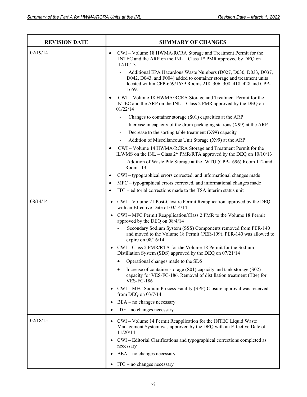| <b>REVISION DATE</b> | <b>SUMMARY OF CHANGES</b>                                                                                                                                                                                                                          |
|----------------------|----------------------------------------------------------------------------------------------------------------------------------------------------------------------------------------------------------------------------------------------------|
| 02/19/14             | CWI - Volume 18 HWMA/RCRA Storage and Treatment Permit for the<br>$\bullet$<br>INTEC and the ARP on the $INL - Class 1* PMR$ approved by DEQ on<br>12/10/13                                                                                        |
|                      | Additional EPA Hazardous Waste Numbers (D027, D030, D033, D037,<br>$\overline{\phantom{a}}$<br>D042, D043, and F004) added to container storage and treatment units<br>located within CPP-659/1659 Rooms 218, 306, 308, 418, 428 and CPP-<br>1659. |
|                      | CWI - Volume 18 HWMA/RCRA Storage and Treatment Permit for the<br>INTEC and the ARP on the $INL - Class 2$ PMR approved by the DEQ on<br>01/22/14                                                                                                  |
|                      | Changes to container storage (S01) capacities at the ARP                                                                                                                                                                                           |
|                      | Increase in capacity of the drum packaging stations $(X99)$ at the ARP                                                                                                                                                                             |
|                      | Decrease to the sorting table treatment (X99) capacity<br>$\overline{\phantom{a}}$                                                                                                                                                                 |
|                      | Addition of Miscellaneous Unit Storage (X99) at the ARP                                                                                                                                                                                            |
|                      | CWI - Volume 14 HWMA/RCRA Storage and Treatment Permit for the<br>ILWMS on the INL - Class 2* PMR/RTA approved by the DEQ on 10/10/13                                                                                                              |
|                      | Addition of Waste Pile Storage at the IWTU (CPP-1696) Room 112 and<br>Room 113                                                                                                                                                                     |
|                      | CWI – typographical errors corrected, and informational changes made<br>$\bullet$                                                                                                                                                                  |
|                      | MFC – typographical errors corrected, and informational changes made<br>$\bullet$                                                                                                                                                                  |
|                      | ITG – editorial corrections made to the TSA interim status unit<br>$\bullet$                                                                                                                                                                       |
| 08/14/14             | CWI – Volume 21 Post-Closure Permit Reapplication approved by the DEQ<br>$\bullet$<br>with an Effective Date of 03/14/14                                                                                                                           |
|                      | CWI – MFC Permit Reapplication/Class 2 PMR to the Volume 18 Permit<br>$\bullet$<br>approved by the DEQ on 08/4/14                                                                                                                                  |
|                      | Secondary Sodium System (SSS) Components removed from PER-140<br>and moved to the Volume 18 Permit (PER-109). PER-140 was allowed to<br>expire on $08/16/14$                                                                                       |
|                      | CWI - Class 2 PMR/RTA for the Volume 18 Permit for the Sodium<br>Distillation System (SDS) approved by the DEQ on 07/21/14                                                                                                                         |
|                      | Operational changes made to the SDS                                                                                                                                                                                                                |
|                      | Increase of container storage (S01) capacity and tank storage (S02)<br>capacity for VES-FC-186. Removal of distillation treatment (T04) for<br><b>VES-FC-186</b>                                                                                   |
|                      | CWI - MFC Sodium Process Facility (SPF) Closure approval was received<br>from DEQ on $03/7/14$                                                                                                                                                     |
|                      | $BEA - no changes necessary$                                                                                                                                                                                                                       |
|                      | ITG - no changes necessary                                                                                                                                                                                                                         |
| 02/18/15             | CWI - Volume 14 Permit Reapplication for the INTEC Liquid Waste<br>$\bullet$<br>Management System was approved by the DEQ with an Effective Date of<br>11/20/14                                                                                    |
|                      | CWI – Editorial Clarifications and typographical corrections completed as<br>necessary                                                                                                                                                             |
|                      | $BEA - no$ changes necessary                                                                                                                                                                                                                       |
|                      | ITG - no changes necessary                                                                                                                                                                                                                         |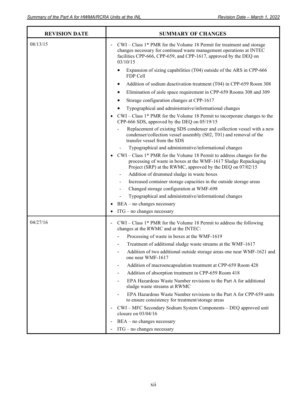| <b>REVISION DATE</b> | <b>SUMMARY OF CHANGES</b>                                                                                                                                                                                                        |
|----------------------|----------------------------------------------------------------------------------------------------------------------------------------------------------------------------------------------------------------------------------|
| 08/13/15             | $CWI - Class 1* PMR$ for the Volume 18 Permit for treatment and storage<br>changes necessary for continued waste management operations at INTEC<br>facilities CPP-666, CPP-659, and CPP-1617, approved by the DEQ on<br>03/10/15 |
|                      | Expansion of sizing capabilities (T04) outside of the ARS in CPP-666<br>FDP Cell                                                                                                                                                 |
|                      | Addition of sodium deactivation treatment (T04) in CPP-659 Room 308<br>٠                                                                                                                                                         |
|                      | Elimination of aisle space requirement in CPP-659 Rooms 308 and 309                                                                                                                                                              |
|                      | Storage configuration changes at CPP-1617                                                                                                                                                                                        |
|                      | Typographical and administrative/informational changes<br>٠                                                                                                                                                                      |
|                      | $CWI - Class 1* PMR$ for the Volume 18 Permit to incorporate changes to the<br>CPP-666 SDS, approved by the DEQ on 05/19/15                                                                                                      |
|                      | Replacement of existing SDS condenser and collection vessel with a new<br>condenser/collection vessel assembly (S02, T01) and removal of the<br>transfer vessel from the SDS                                                     |
|                      | Typographical and administrative/informational changes                                                                                                                                                                           |
|                      | CWI – Class 1* PMR for the Volume 18 Permit to address changes for the<br>processing of waste in boxes at the WMF-1617 Sludge Repackaging<br>Project (SRP) at the RWMC, approved by the DEQ on 07/02/15                          |
|                      | Addition of drummed sludge in waste boxes                                                                                                                                                                                        |
|                      | Increased container storage capacities in the outside storage areas<br>$\overline{\phantom{a}}$                                                                                                                                  |
|                      | Changed storage configuration at WMF-698                                                                                                                                                                                         |
|                      | Typographical and administrative/informational changes                                                                                                                                                                           |
|                      | BEA - no changes necessary                                                                                                                                                                                                       |
|                      | $ITG$ – no changes necessary                                                                                                                                                                                                     |
| 04/27/16             | CWI - Class 1* PMR for the Volume 18 Permit to address the following<br>changes at the RWMC and at the INTEC:                                                                                                                    |
|                      | Processing of waste in boxes at the WMF-1619                                                                                                                                                                                     |
|                      | Treatment of additional sludge waste streams at the WMF-1617                                                                                                                                                                     |
|                      | Addition of two additional outside storage areas one near WMF-1621 and<br>one near WMF-1617                                                                                                                                      |
|                      | Addition of macroencapsulation treatment at CPP-659 Room 428                                                                                                                                                                     |
|                      | Addition of absorption treatment in CPP-659 Room 418                                                                                                                                                                             |
|                      | EPA Hazardous Waste Number revisions to the Part A for additional<br>sludge waste streams at RWMC                                                                                                                                |
|                      | EPA Hazardous Waste Number revisions to the Part A for CPP-659 units<br>to ensure consistency for treatment/storage areas                                                                                                        |
|                      | CWI – MFC Secondary Sodium System Components – DEQ approved unit<br>closure on $03/04/16$                                                                                                                                        |
|                      | BEA - no changes necessary                                                                                                                                                                                                       |
|                      | $ITG$ – no changes necessary                                                                                                                                                                                                     |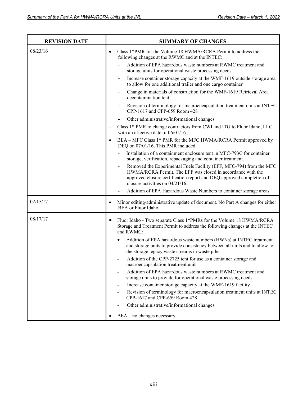| <b>REVISION DATE</b> | <b>SUMMARY OF CHANGES</b>                                                                                                                                                                                                                     |
|----------------------|-----------------------------------------------------------------------------------------------------------------------------------------------------------------------------------------------------------------------------------------------|
| 08/23/16             | Class 1*PMR for the Volume 18 HWMA/RCRA Permit to address the<br>$\bullet$<br>following changes at the RWMC and at the INTEC:                                                                                                                 |
|                      | Addition of EPA hazardous waste numbers at RWMC treatment and<br>storage units for operational waste processing needs                                                                                                                         |
|                      | Increase container storage capacity at the WMF-1619 outside storage area<br>$\overline{\phantom{0}}$<br>to allow for one additional trailer and one cargo container                                                                           |
|                      | Change in materials of construction for the WMF-1619 Retrieval Area<br>decontamination tent                                                                                                                                                   |
|                      | Revision of terminology for macroencapsulation treatment units at INTEC<br>CPP-1617 and CPP-659 Room 428                                                                                                                                      |
|                      | Other administrative/informational changes                                                                                                                                                                                                    |
|                      | Class 1* PMR to change contractors from CWI and ITG to Fluor Idaho, LLC<br>$\overline{\phantom{a}}$<br>with an effective date of 06/01/16.                                                                                                    |
|                      | BEA - MFC Class 1* PMR for the MFC HWMA/RCRA Permit approved by<br>$\bullet$<br>DEQ on 07/01/16. This PMR included:                                                                                                                           |
|                      | Installation of a containment enclosure tent in MFC-793C for container<br>storage, verification, repackaging and container treatment.                                                                                                         |
|                      | Removed the Experimental Fuels Facility (EFF, MFC-794) from the MFC<br>HWMA/RCRA Permit. The EFF was closed in accordance with the<br>approved closure certification report and DEQ approved completion of<br>closure activities on 04/21/16. |
|                      | Addition of EPA Hazardous Waste Numbers to container storage areas                                                                                                                                                                            |
| 02/15/17             | Minor editing/administrative update of document. No Part A changes for either<br>$\bullet$<br>BEA or Fluor Idaho.                                                                                                                             |
| 08/17/17             | Fluor Idaho - Two separate Class 1*PMRs for the Volume 18 HWMA/RCRA<br>$\bullet$<br>Storage and Treatment Permit to address the following changes at the INTEC<br>and RWMC:                                                                   |
|                      | Addition of EPA hazardous waste numbers (HWNs) at INTEC treatment<br>and storage units to provide consistency between all units and to allow for<br>the storage legacy waste streams in waste piles                                           |
|                      | Addition of the CPP-2725 tent for use as a container storage and<br>macroencapsulation treatment unit                                                                                                                                         |
|                      | Addition of EPA hazardous waste numbers at RWMC treatment and<br>storage units to provide for operational waste processing needs                                                                                                              |
|                      | Increase container storage capacity at the WMF-1619 facility<br>$\overline{\phantom{a}}$                                                                                                                                                      |
|                      | Revision of terminology for macroencapsulation treatment units at INTEC<br>CPP-1617 and CPP-659 Room 428                                                                                                                                      |
|                      | Other administrative/informational changes                                                                                                                                                                                                    |
|                      | BEA - no changes necessary<br>$\bullet$                                                                                                                                                                                                       |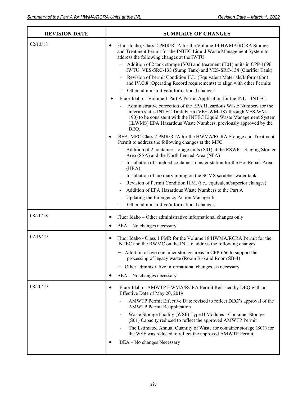í,

Ŧ

r

| <b>REVISION DATE</b> | <b>SUMMARY OF CHANGES</b>                                                                                                                                                                                                                                                            |  |  |  |
|----------------------|--------------------------------------------------------------------------------------------------------------------------------------------------------------------------------------------------------------------------------------------------------------------------------------|--|--|--|
| 02/13/18             | Fluor Idaho, Class 2 PMR/RTA for the Volume 14 HWMA/RCRA Storage<br>$\bullet$<br>and Treatment Permit for the INTEC Liquid Waste Management System to<br>address the following changes at the IWTU:                                                                                  |  |  |  |
|                      | Addition of 2 tank storage (S02) and treatment (T01) units in CPP-1696<br>IWTU: VES-SRC-133 (Sump Tank) and VES-SRC-134 (Clarifier Tank)                                                                                                                                             |  |  |  |
|                      | Revision of Permit Condition II.L. (Equivalent Materials/Information)<br>and IV.C.8 (Operating Record requirements) to align with other Permits                                                                                                                                      |  |  |  |
|                      | Other administrative/informational changes                                                                                                                                                                                                                                           |  |  |  |
|                      | Fluor Idaho – Volume 1 Part A Permit Application for the INL – INTEC:                                                                                                                                                                                                                |  |  |  |
|                      | Administrative correction of the EPA Hazardous Waste Numbers for the<br>interim status INTEC Tank Farm (VES-WM-187 through VES-WM-<br>190) to be consistent with the INTEC Liquid Waste Management System<br>(ILWMS) EPA Hazardous Waste Numbers, previously approved by the<br>DEQ. |  |  |  |
|                      | BEA, MFC Class 2 PMR/RTA for the HWMA/RCRA Storage and Treatment<br>$\bullet$<br>Permit to address the following changes at the MFC:                                                                                                                                                 |  |  |  |
|                      | Addition of 2 container storage units (S01) at the RSWF - Staging Storage<br>Area (SSA) and the North Fenced Area (NFA)                                                                                                                                                              |  |  |  |
|                      | Installation of shielded container transfer station for the Hot Repair Area<br>(HRA)                                                                                                                                                                                                 |  |  |  |
|                      | Installation of auxiliary piping on the SCMS scrubber water tank                                                                                                                                                                                                                     |  |  |  |
|                      | Revision of Permit Condition II.M. (i.e., equivalent/superior changes)                                                                                                                                                                                                               |  |  |  |
|                      | Addition of EPA Hazardous Waste Numbers to the Part A                                                                                                                                                                                                                                |  |  |  |
|                      | Updating the Emergency Action Manager list<br>$\overline{\phantom{0}}$                                                                                                                                                                                                               |  |  |  |
|                      | Other administrative/informational changes                                                                                                                                                                                                                                           |  |  |  |
| 08/20/18             | Fluor Idaho - Other administrative informational changes only<br>$\bullet$                                                                                                                                                                                                           |  |  |  |
|                      | BEA - No changes necessary<br>٠                                                                                                                                                                                                                                                      |  |  |  |
| 02/19/19             | Fluor Idaho - Class 1 PMR for the Volume 18 HWMA/RCRA Permit for the<br>$\bullet$<br>INTEC and the RWMC on the INL to address the following changes:                                                                                                                                 |  |  |  |
|                      | - Addition of two container storage areas in CPP-666 to support the<br>processing of legacy waste (Room B-6 and Room SB-4)                                                                                                                                                           |  |  |  |
|                      | - Other administrative informational changes, as necessary                                                                                                                                                                                                                           |  |  |  |
|                      | BEA - No changes necessary<br>$\bullet$                                                                                                                                                                                                                                              |  |  |  |
| 08/20/19             | Fluor Idaho - AMWTP HWMA/RCRA Permit Reissued by DEQ with an<br>$\bullet$<br>Effective Date of May 20, 2019                                                                                                                                                                          |  |  |  |
|                      | AMWTP Permit Effective Date revised to reflect DEQ's approval of the<br><b>AMWTP Permit Reapplication</b>                                                                                                                                                                            |  |  |  |
|                      | Waste Storage Facility (WSF) Type II Modules - Container Storage<br>(S01) Capacity reduced to reflect the approved AMWTP Permit                                                                                                                                                      |  |  |  |
|                      | The Estimated Annual Quantity of Waste for container storage (S01) for<br>the WSF was reduced to reflect the approved AMWTP Permit                                                                                                                                                   |  |  |  |
|                      | BEA - No changes Necessary                                                                                                                                                                                                                                                           |  |  |  |
|                      |                                                                                                                                                                                                                                                                                      |  |  |  |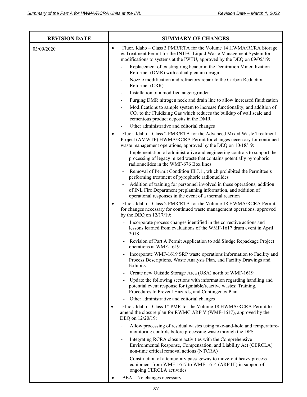| <b>REVISION DATE</b> | <b>SUMMARY OF CHANGES</b>                                                                                                                                                                                                        |  |  |  |
|----------------------|----------------------------------------------------------------------------------------------------------------------------------------------------------------------------------------------------------------------------------|--|--|--|
| 03/09/2020           | Fluor, Idaho - Class 3 PMR/RTA for the Volume 14 HWMA/RCRA Storage<br>$\bullet$<br>& Treatment Permit for the INTEC Liquid Waste Management System for<br>modifications to systems at the IWTU, approved by the DEQ on 09/05/19: |  |  |  |
|                      | Replacement of existing ring header in the Denitration Mineralization<br>Reformer (DMR) with a dual plenum design                                                                                                                |  |  |  |
|                      | Nozzle modification and refractory repair to the Carbon Reduction<br>$\overline{\phantom{a}}$<br>Reformer (CRR)                                                                                                                  |  |  |  |
|                      | Installation of a modified auger/grinder<br>$\blacksquare$                                                                                                                                                                       |  |  |  |
|                      | Purging DMR nitrogen neck and drain line to allow increased fluidization<br>$\overline{\phantom{a}}$                                                                                                                             |  |  |  |
|                      | Modifications to sample system to increase functionality, and addition of<br>$CO2$ to the Fluidizing Gas which reduces the buildup of wall scale and<br>cementous product deposits in the DMR                                    |  |  |  |
|                      | Other administrative and editorial changes                                                                                                                                                                                       |  |  |  |
|                      | Fluor, Idaho - Class 2 PMR/RTA for the Advanced Mixed Waste Treatment<br>$\bullet$<br>Project (AMWTP) HWMA/RCRA Permit for changes necessary for continued<br>waste management operations, approved by the DEQ on 10/18/19:      |  |  |  |
|                      | Implementation of administrative and engineering controls to support the<br>processing of legacy mixed waste that contains potentially pyrophoric<br>radionuclides in the WMF-676 Box lines                                      |  |  |  |
|                      | Removal of Permit Condition III.J.1., which prohibited the Permittee's<br>$\overline{\phantom{a}}$<br>performing treatment of pyrophoric radionuclides                                                                           |  |  |  |
|                      | Addition of training for personnel involved in these operations, addition<br>of INL Fire Department preplanning information, and addition of<br>operational responses in the event of a thermal reaction                         |  |  |  |
|                      | Fluor, Idaho - Class 2 PMR/RTA for the Volume 18 HWMA/RCRA Permit<br>$\bullet$<br>for changes necessary for continued waste management operations, approved<br>by the DEQ on 12/17/19:                                           |  |  |  |
|                      | Incorporate process changes identified in the corrective actions and<br>lessons learned from evaluations of the WMF-1617 drum event in April<br>2018                                                                             |  |  |  |
|                      | Revision of Part A Permit Application to add Sludge Repackage Project<br>operations at WMF-1619                                                                                                                                  |  |  |  |
|                      | Incorporate WMF-1619 SRP waste operations information to Facility and<br>Process Descriptions, Waste Analysis Plan, and Facility Drawings and<br>Exhibits                                                                        |  |  |  |
|                      | Create new Outside Storage Area (OSA) north of WMF-1619                                                                                                                                                                          |  |  |  |
|                      | Update the following sections with information regarding handling and<br>potential event response for ignitable/reactive wastes: Training,<br>Procedures to Prevent Hazards, and Contingency Plan                                |  |  |  |
|                      | Other administrative and editorial changes                                                                                                                                                                                       |  |  |  |
|                      | Fluor, Idaho - Class 1* PMR for the Volume 18 HWMA/RCRA Permit to<br>$\bullet$<br>amend the closure plan for RWMC ARP V (WMF-1617), approved by the<br>DEQ on 12/20/19:                                                          |  |  |  |
|                      | Allow processing of residual wastes using rake-and-hold and temperature-<br>monitoring controls before processing waste through the DPS                                                                                          |  |  |  |
|                      | Integrating RCRA closure activities with the Comprehensive<br>$\overline{\phantom{a}}$<br>Environmental Response, Compensation, and Liability Act (CERCLA)<br>non-time critical removal actions (NTCRA)                          |  |  |  |
|                      | Construction of a temporary passageway to move-out heavy process<br>equipment from WMF-1617 to WMF-1614 (ARP III) in support of<br>ongoing CERCLA activities                                                                     |  |  |  |
|                      | BEA - No changes necessary                                                                                                                                                                                                       |  |  |  |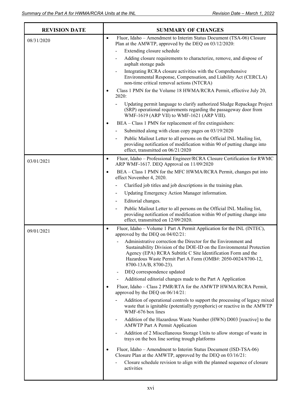| <b>REVISION DATE</b> | <b>SUMMARY OF CHANGES</b> |                                                                                                                                                                                                                                                                                                   |  |
|----------------------|---------------------------|---------------------------------------------------------------------------------------------------------------------------------------------------------------------------------------------------------------------------------------------------------------------------------------------------|--|
| 08/31/2020           | $\bullet$                 | Fluor, Idaho – Amendment to Interim Status Document (TSA-06) Closure<br>Plan at the AMWTP, approved by the DEQ on 03/12/2020:                                                                                                                                                                     |  |
|                      |                           | Extending closure schedule                                                                                                                                                                                                                                                                        |  |
|                      |                           | Adding closure requirements to characterize, remove, and dispose of<br>asphalt storage pads                                                                                                                                                                                                       |  |
|                      |                           | Integrating RCRA closure activities with the Comprehensive<br>Environmental Response, Compensation, and Liability Act (CERCLA)<br>non-time critical removal actions (NTCRA)                                                                                                                       |  |
|                      |                           | Class 1 PMN for the Volume 18 HWMA/RCRA Permit, effective July 20,<br>2020:                                                                                                                                                                                                                       |  |
|                      |                           | Updating permit language to clarify authorized Sludge Repackage Project<br>(SRP) operational requirements regarding the passageway door from<br>WMF-1619 (ARP VII) to WMF-1621 (ARP VIII).                                                                                                        |  |
|                      | $\bullet$                 | BEA – Class 1 PMN for replacement of fire extinguishers:                                                                                                                                                                                                                                          |  |
|                      |                           | Submitted along with clean copy pages on 03/19/2020                                                                                                                                                                                                                                               |  |
|                      |                           | Public Mailout Letter to all persons on the Official INL Mailing list,<br>$\overline{\phantom{a}}$<br>providing notification of modification within 90 of putting change into<br>effect, transmitted on 06/21/2020                                                                                |  |
| 03/01/2021           | $\bullet$                 | Fluor, Idaho - Professional Engineer/RCRA Closure Certification for RWMC<br>ARP WMF-1617. DEQ Approval on 11/09/2020                                                                                                                                                                              |  |
|                      | $\bullet$                 | BEA - Class 1 PMN for the MFC HWMA/RCRA Permit, changes put into<br>effect November 4, 2020.                                                                                                                                                                                                      |  |
|                      |                           | Clarified job titles and job descriptions in the training plan.                                                                                                                                                                                                                                   |  |
|                      |                           | Updating Emergency Action Manager information.<br>-                                                                                                                                                                                                                                               |  |
|                      |                           | Editorial changes.                                                                                                                                                                                                                                                                                |  |
|                      |                           | Public Mailout Letter to all persons on the Official INL Mailing list,<br>providing notification of modification within 90 of putting change into<br>effect, transmitted on 12/09/2020.                                                                                                           |  |
| 09/01/2021           | $\bullet$                 | Fluor, Idaho - Volume 1 Part A Permit Application for the INL (INTEC),<br>approved by the DEQ on 04/02/21:                                                                                                                                                                                        |  |
|                      |                           | Administrative correction the Director for the Environment and<br>Sustainability Division of the DOE-ID on the Environmental Protection<br>Agency (EPA) RCRA Subtitle C Site Identification Form and the<br>Hazardous Waste Permit Part A Form (OMB#: 2050-0024/8700-12,<br>8700-13A/B, 8700-23). |  |
|                      |                           | DEQ correspondence updated<br>$\blacksquare$                                                                                                                                                                                                                                                      |  |
|                      |                           | Additional editorial changes made to the Part A Application                                                                                                                                                                                                                                       |  |
|                      | $\bullet$                 | Fluor, Idaho - Class 2 PMR/RTA for the AMWTP HWMA/RCRA Permit,<br>approved by the DEQ on 06/14/21:                                                                                                                                                                                                |  |
|                      |                           | Addition of operational controls to support the processing of legacy mixed<br>waste that is ignitable (potentially pyrophoric) or reactive in the AMWTP<br>WMF-676 box lines                                                                                                                      |  |
|                      |                           | Addition of the Hazardous Waste Number (HWN) D003 [reactive] to the<br><b>AMWTP Part A Permit Application</b>                                                                                                                                                                                     |  |
|                      |                           | Addition of 2 Miscellaneous Storage Units to allow storage of waste in<br>trays on the box line sorting trough platforms                                                                                                                                                                          |  |
|                      | $\bullet$                 | Fluor, Idaho – Amendment to Interim Status Document (ISD-TSA-06)<br>Closure Plan at the AMWTP, approved by the DEQ on 03/16/21:                                                                                                                                                                   |  |
|                      |                           | Closure schedule revision to align with the planned sequence of closure<br>activities                                                                                                                                                                                                             |  |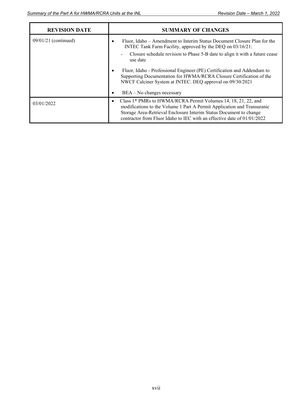| <b>REVISION DATE</b>   | <b>SUMMARY OF CHANGES</b>                                                                                                                                                                                                                                                                                                                                                                                                                                                                          |  |  |
|------------------------|----------------------------------------------------------------------------------------------------------------------------------------------------------------------------------------------------------------------------------------------------------------------------------------------------------------------------------------------------------------------------------------------------------------------------------------------------------------------------------------------------|--|--|
| $09/01/21$ (continued) | Fluor, Idaho – Amendment to Interim Status Document Closure Plan for the<br>INTEC Tank Farm Facility, approved by the DEQ on 03/16/21:<br>Closure schedule revision to Phase 5-B date to align it with a future cease<br>$\blacksquare$<br>use date<br>Fluor, Idaho - Professional Engineer (PE) Certification and Addendum to<br>Supporting Documentation for HWMA/RCRA Closure Certification of the<br>NWCF Calciner System at INTEC. DEQ approval on 09/30/2021<br>$BEA - No$ changes necessary |  |  |
| 03/01/2022             | Class 1* PMRs to HWMA/RCRA Permit Volumes 14, 18, 21, 22, and<br>modifications to the Volume 1 Part A Permit Application and Transuranic<br>Storage Area-Retrieval Enclosure Interim Status Document to change<br>contractor from Fluor Idaho to IEC with an effective date of $01/01/2022$                                                                                                                                                                                                        |  |  |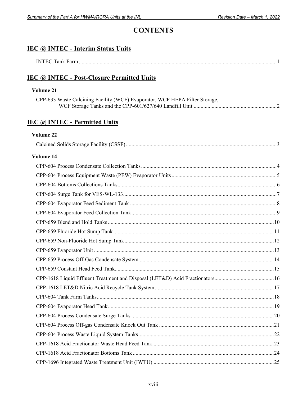# **CONTENTS**

| <b>IEC @ INTEC - Interim Status Units</b>                                   |  |
|-----------------------------------------------------------------------------|--|
|                                                                             |  |
| IEC @ INTEC - Post-Closure Permitted Units                                  |  |
| Volume 21                                                                   |  |
| CPP-633 Waste Calcining Facility (WCF) Evaporator, WCF HEPA Filter Storage, |  |
| <b>IEC @ INTEC - Permitted Units</b>                                        |  |
| Volume 22                                                                   |  |
|                                                                             |  |
| Volume 14                                                                   |  |
|                                                                             |  |
|                                                                             |  |
|                                                                             |  |
|                                                                             |  |
|                                                                             |  |
|                                                                             |  |
|                                                                             |  |
|                                                                             |  |
|                                                                             |  |
|                                                                             |  |
|                                                                             |  |
|                                                                             |  |
|                                                                             |  |
|                                                                             |  |
|                                                                             |  |
|                                                                             |  |
|                                                                             |  |
|                                                                             |  |
|                                                                             |  |
|                                                                             |  |
|                                                                             |  |
|                                                                             |  |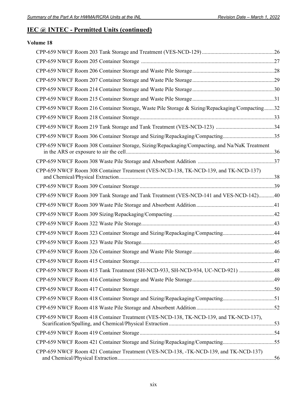# **IEC @ INTEC - Permitted Units (continued)**

# **Volume 18**

| CPP-659 NWCF Room 216 Container Storage, Waste Pile Storage & Sizing/Repackaging/Compacting32 |  |
|-----------------------------------------------------------------------------------------------|--|
|                                                                                               |  |
|                                                                                               |  |
| CPP-659 NWCF Room 306 Container Storage and Sizing/Repackaging/Compacting35                   |  |
| CPP-659 NWCF Room 308 Container Storage, Sizing/Repackaging/Compacting, and Na/NaK Treatment  |  |
|                                                                                               |  |
| CPP-659 NWCF Room 308 Container Treatment (VES-NCD-138, TK-NCD-139, and TK-NCD-137)           |  |
|                                                                                               |  |
| CPP-659 NWCF Room 309 Tank Storage and Tank Treatment (VES-NCD-141 and VES-NCD-142)40         |  |
|                                                                                               |  |
|                                                                                               |  |
|                                                                                               |  |
| CPP-659 NWCF Room 323 Container Storage and Sizing/Repackaging/Compacting44                   |  |
|                                                                                               |  |
|                                                                                               |  |
|                                                                                               |  |
| CPP-659 NWCF Room 415 Tank Treatment (SH-NCD-933, SH-NCD-934, UC-NCD-921) 48                  |  |
|                                                                                               |  |
|                                                                                               |  |
| CPP-659 NWCF Room 418 Container Storage and Sizing/Repackaging/Compacting51                   |  |
|                                                                                               |  |
| CPP-659 NWCF Room 418 Container Treatment (VES-NCD-138, TK-NCD-139, and TK-NCD-137),          |  |
|                                                                                               |  |
| CPP-659 NWCF Room 421 Container Storage and Sizing/Repackaging/Compacting55                   |  |
| CPP-659 NWCF Room 421 Container Treatment (VES-NCD-138, -TK-NCD-139, and TK-NCD-137)          |  |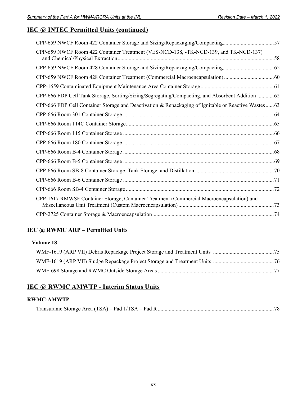# **IEC @ INTEC Permitted Units (continued)**

| CPP-659 NWCF Room 422 Container Storage and Sizing/Repackaging/Compacting57                         |  |
|-----------------------------------------------------------------------------------------------------|--|
| CPP-659 NWCF Room 422 Container Treatment (VES-NCD-138, -TK-NCD-139, and TK-NCD-137)                |  |
|                                                                                                     |  |
|                                                                                                     |  |
|                                                                                                     |  |
| CPP-666 FDP Cell Tank Storage, Sorting/Sizing/Segregating/Compacting, and Absorbent Addition  62    |  |
| CPP-666 FDP Cell Container Storage and Deactivation & Repackaging of Ignitable or Reactive Wastes63 |  |
|                                                                                                     |  |
|                                                                                                     |  |
|                                                                                                     |  |
|                                                                                                     |  |
|                                                                                                     |  |
|                                                                                                     |  |
|                                                                                                     |  |
|                                                                                                     |  |
|                                                                                                     |  |
| CPP-1617 RMWSF Container Storage, Container Treatment (Commercial Macroencapsulation) and           |  |
|                                                                                                     |  |

# **IEC @ RWMC ARP – Permitted Units**

## **Volume 18**

# **IEC @ RWMC AMWTP - Interim Status Units**

## **RWMC-AMWTP**

|--|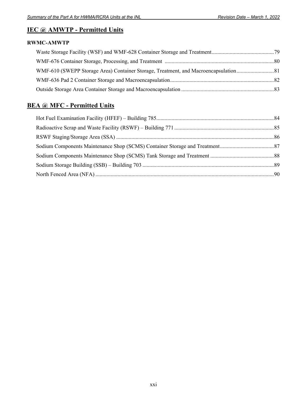# **IEC @ AMWTP - Permitted Units**

# **RWMC-AMWTP**

# **BEA @ MFC - Permitted Units**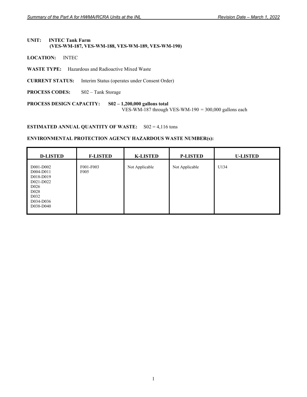#### **UNIT: INTEC Tank Farm (VES-WM-187, VES-WM-188, VES-WM-189, VES-WM-190)**

**LOCATION:** INTEC

 $\mathbf{r}$ 

- **WASTE TYPE:** Hazardous and Radioactive Mixed Waste
- **CURRENT STATUS:** Interim Status (operates under Consent Order)
- **PROCESS CODES:** S02 Tank Storage

**PROCESS DESIGN CAPACITY: S02 – 1,200,000 gallons total**  VES-WM-187 through VES-WM-190 = 300,000 gallons each

#### **ESTIMATED ANNUAL QUANTITY OF WASTE:** S02 = 4,116 tons

| <b>D-LISTED</b>                                                                                                                         | <b>F-LISTED</b>               | <b>K-LISTED</b> | <b>P-LISTED</b> | <b>U-LISTED</b> |
|-----------------------------------------------------------------------------------------------------------------------------------------|-------------------------------|-----------------|-----------------|-----------------|
| D001-D002<br>D004-D011<br>D018-D019<br>D021-D022<br>D <sub>026</sub><br>D <sub>028</sub><br>D <sub>0</sub> 32<br>D034-D036<br>D038-D040 | F001-F003<br>F <sub>005</sub> | Not Applicable  | Not Applicable  | U134            |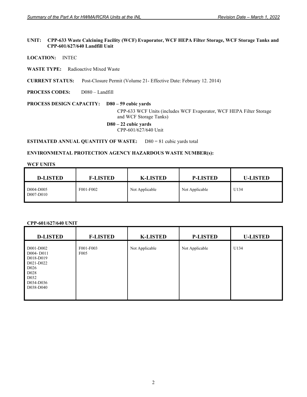#### **UNIT: CPP-633 Waste Calcining Facility (WCF) Evaporator, WCF HEPA Filter Storage, WCF Storage Tanks and CPP-601/627/640 Landfill Unit**

**LOCATION:** INTEC

**WASTE TYPE:** Radioactive Mixed Waste

**CURRENT STATUS:** Post-Closure Permit (Volume 21- Effective Date: February 12. 2014)

**PROCESS CODES:** D080 – Landfill

#### **PROCESS DESIGN CAPACITY: D80 – 59 cubic yards**

CPP-633 WCF Units (includes WCF Evaporator, WCF HEPA Filter Storage and WCF Storage Tanks)

#### **D80 – 22 cubic yards**

CPP-601/627/640 Unit

**ESTIMATED ANNUAL QUANTITY OF WASTE:** D80 = 81 cubic yards total

## **ENVIRONMENTAL PROTECTION AGENCY HAZARDOUS WASTE NUMBER(s):**

#### **WCF UNITS**

| <b>D-LISTED</b>        | <b>F-LISTED</b> | <b>K-LISTED</b> | <b>P-LISTED</b> | <b>U-LISTED</b> |
|------------------------|-----------------|-----------------|-----------------|-----------------|
| D004-D005<br>D007-D010 | F001-F002       | Not Applicable  | Not Applicable  | U134            |

#### **CPP-601/627/640 UNIT**

| <b>D-LISTED</b>                                                                                                                         | <b>F-LISTED</b>               | <b>K-LISTED</b> | <b>P-LISTED</b> | <b>U-LISTED</b> |
|-----------------------------------------------------------------------------------------------------------------------------------------|-------------------------------|-----------------|-----------------|-----------------|
| D001-D002<br>D004-D011<br>D018-D019<br>D021-D022<br>D <sub>026</sub><br>D <sub>028</sub><br>D <sub>0</sub> 32<br>D034-D036<br>D038-D040 | F001-F003<br>F <sub>005</sub> | Not Applicable  | Not Applicable  | U134            |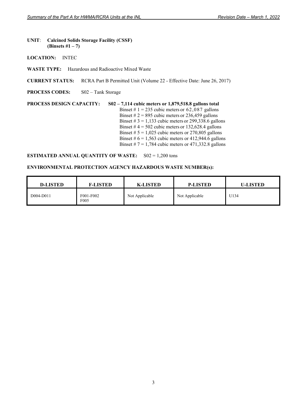#### **UNIT**: **Calcined Solids Storage Facility (CSSF) (Binsets #1 – 7)**

**LOCATION:** INTEC

**WASTE TYPE:** Hazardous and Radioactive Mixed Waste

**CURRENT STATUS:** RCRA Part B Permitted Unit (Volume 22 - Effective Date: June 26, 2017)

**PROCESS CODES:** S02 – Tank Storage

#### **PROCESS DESIGN CAPACITY: S02 – 7,114 cubic meters or 1,879,518.8 gallons total**  Binset #  $1 = 235$  cubic meters or  $62,087$  gallons Binset  $\# 2 = 895$  cubic meters or 236,459 gallons Binset  $\# 3 = 1,133$  cubic meters or 299,338.6 gallons Binset  $# 4 = 502$  cubic meters or 132,628.4 gallons Binset  $# 5 = 1,025$  cubic meters or 270,805 gallons Binset #  $6 = 1,563$  cubic meters or 412,944.6 gallons Binset  $# 7 = 1,784$  cubic meters or 471,332.8 gallons

#### **ESTIMATED ANNUAL QUANTITY OF WASTE:** S02 = 1,200 tons

| <b>D-LISTED</b> | <b>F-LISTED</b>               | <b>K-LISTED</b> | <b>P-LISTED</b> | <b>U-LISTED</b> |
|-----------------|-------------------------------|-----------------|-----------------|-----------------|
| D004-D011       | F001-F002<br>F <sub>005</sub> | Not Applicable  | Not Applicable  | U134            |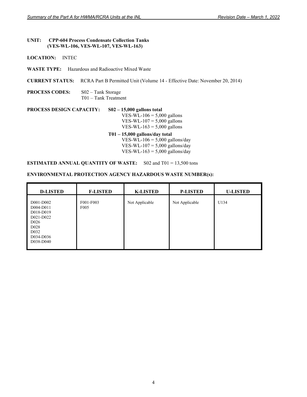#### **UNIT: CPP-604 Process Condensate Collection Tanks (VES-WL-106, VES-WL-107, VES-WL-163)**

**LOCATION:** INTEC

**WASTE TYPE:** Hazardous and Radioactive Mixed Waste

**CURRENT STATUS:** RCRA Part B Permitted Unit (Volume 14 - Effective Date: November 20, 2014)

| <b>PROCESS CODES:</b> | $S02 - Tank Storage$          |
|-----------------------|-------------------------------|
|                       | $T01 - \text{Tank Treatment}$ |

**PROCESS DESIGN CAPACITY: S02 – 15,000 gallons total** VES-WL- $106 = 5,000$  gallons VES-WL-107 =  $5,000$  gallons VES-WL-163 =  $5,000$  gallons

 **T01 – 15,000 gallons/day total**  VES-WL-106 =  $5,000$  gallons/day VES-WL-107 =  $5,000$  gallons/day VES-WL-163 =  $5,000$  gallons/day

#### **ESTIMATED ANNUAL QUANTITY OF WASTE:** S02 and T01 = 13,500 tons

| <b>D-LISTED</b>                                                                                                                         | <b>F-LISTED</b>               | <b>K-LISTED</b> | <b>P-LISTED</b> | <b>U-LISTED</b> |
|-----------------------------------------------------------------------------------------------------------------------------------------|-------------------------------|-----------------|-----------------|-----------------|
| D001-D002<br>D004-D011<br>D018-D019<br>D021-D022<br>D <sub>026</sub><br>D <sub>028</sub><br>D <sub>0</sub> 32<br>D034-D036<br>D038-D040 | F001-F003<br>F <sub>005</sub> | Not Applicable  | Not Applicable  | U134            |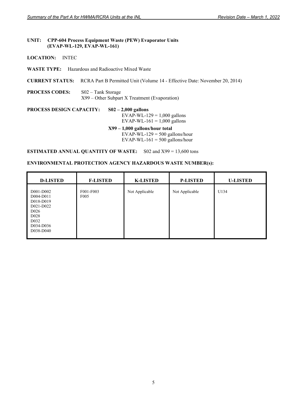#### **UNIT: CPP-604 Process Equipment Waste (PEW) Evaporator Units (EVAP-WL-129, EVAP-WL-161)**

## **LOCATION:** INTEC

**WASTE TYPE:** Hazardous and Radioactive Mixed Waste

**CURRENT STATUS:** RCRA Part B Permitted Unit (Volume 14 - Effective Date: November 20, 2014)

**PROCESS CODES:** S02 – Tank Storage X99 – Other Subpart X Treatment (Evaporation)

**PROCESS DESIGN CAPACITY: S02 – 2,000 gallons**  EVAP-WL-129 =  $1,000$  gallons EVAP-WL-161 =  $1,000$  gallons  **X99 – 1,000 gallons/hour total**  EVAP-WL-129 =  $500$  gallons/hour EVAP-WL-161 =  $500$  gallons/hour

**ESTIMATED ANNUAL QUANTITY OF WASTE:** S02 and X99 = 13,600 tons

| <b>D-LISTED</b>                                                                                                                         | <b>F-LISTED</b>               | <b>K-LISTED</b> | <b>P-LISTED</b> | <b>U-LISTED</b> |
|-----------------------------------------------------------------------------------------------------------------------------------------|-------------------------------|-----------------|-----------------|-----------------|
| D001-D002<br>D004-D011<br>D018-D019<br>D021-D022<br>D <sub>026</sub><br>D <sub>028</sub><br>D <sub>0</sub> 32<br>D034-D036<br>D038-D040 | F001-F003<br>F <sub>005</sub> | Not Applicable  | Not Applicable  | U134            |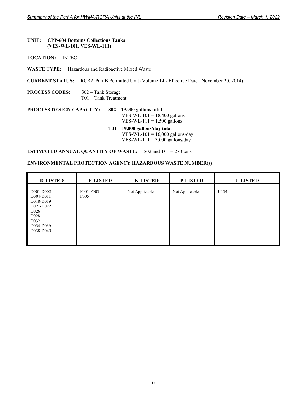#### **UNIT: CPP-604 Bottoms Collections Tanks (VES-WL-101, VES-WL-111)**

**LOCATION:** INTEC

**WASTE TYPE:** Hazardous and Radioactive Mixed Waste

**CURRENT STATUS:** RCRA Part B Permitted Unit (Volume 14 - Effective Date: November 20, 2014)

**PROCESS CODES:** S02 – Tank Storage T01 – Tank Treatment

## **PROCESS DESIGN CAPACITY: S02 – 19,900 gallons total** VES-WL-101 = 18,400 gallons VES-WL-111 =  $1,500$  gallons  **T01 – 19,000 gallons/day total**  VES-WL-101 =  $16,000$  gallons/day

VES-WL-111 =  $3,000$  gallons/day

**ESTIMATED ANNUAL QUANTITY OF WASTE:** S02 and T01 = 270 tons

| <b>D-LISTED</b>                                                                                                                         | <b>F-LISTED</b>               | <b>K-LISTED</b> | <b>P-LISTED</b> | <b>U-LISTED</b> |
|-----------------------------------------------------------------------------------------------------------------------------------------|-------------------------------|-----------------|-----------------|-----------------|
| D001-D002<br>D004-D011<br>D018-D019<br>D021-D022<br>D <sub>026</sub><br>D <sub>028</sub><br>D <sub>0</sub> 32<br>D034-D036<br>D038-D040 | F001-F003<br>F <sub>005</sub> | Not Applicable  | Not Applicable  | U134            |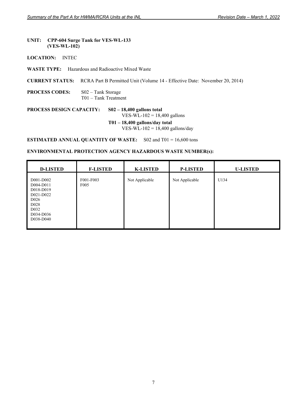#### **UNIT: CPP-604 Surge Tank for VES-WL-133 (VES-WL-102)**

#### **LOCATION:** INTEC

**WASTE TYPE:** Hazardous and Radioactive Mixed Waste

**CURRENT STATUS:** RCRA Part B Permitted Unit (Volume 14 - Effective Date: November 20, 2014)

#### **PROCESS CODES:** S02 – Tank Storage T01 – Tank Treatment

## **PROCESS DESIGN CAPACITY: S02 – 18,400 gallons total**

 $VES-WL-102 = 18,400$  gallons

 **T01 – 18,400 gallons/day total**  VES-WL-102 = 18,400 gallons/day

**ESTIMATED ANNUAL QUANTITY OF WASTE:** S02 and T01 = 16,600 tons

| <b>D-LISTED</b>                                                                                                                         | <b>F-LISTED</b>               | <b>K-LISTED</b> | <b>P-LISTED</b> | <b>U-LISTED</b> |
|-----------------------------------------------------------------------------------------------------------------------------------------|-------------------------------|-----------------|-----------------|-----------------|
| D001-D002<br>D004-D011<br>D018-D019<br>D021-D022<br>D <sub>026</sub><br>D <sub>028</sub><br>D <sub>0</sub> 32<br>D034-D036<br>D038-D040 | F001-F003<br>F <sub>005</sub> | Not Applicable  | Not Applicable  | U134            |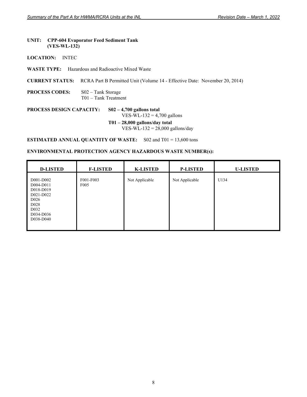#### **UNIT: CPP-604 Evaporator Feed Sediment Tank (VES-WL-132)**

#### **LOCATION:** INTEC

**WASTE TYPE:** Hazardous and Radioactive Mixed Waste

**CURRENT STATUS:** RCRA Part B Permitted Unit (Volume 14 - Effective Date: November 20, 2014)

**PROCESS CODES:** S02 – Tank Storage T01 – Tank Treatment

**PROCESS DESIGN CAPACITY: S02 – 4,700 gallons total** VES-WL-132 =  $4,700$  gallons

> **T01 – 28,000 gallons/day total**  VES-WL-132 = 28,000 gallons/day

**ESTIMATED ANNUAL QUANTITY OF WASTE:** S02 and T01 = 13,600 tons

| <b>D-LISTED</b>                                                                                                                         | <b>F-LISTED</b>               | <b>K-LISTED</b> | <b>P-LISTED</b> | <b>U-LISTED</b> |
|-----------------------------------------------------------------------------------------------------------------------------------------|-------------------------------|-----------------|-----------------|-----------------|
| D001-D002<br>D004-D011<br>D018-D019<br>D021-D022<br>D <sub>026</sub><br>D <sub>028</sub><br>D <sub>0</sub> 32<br>D034-D036<br>D038-D040 | F001-F003<br>F <sub>005</sub> | Not Applicable  | Not Applicable  | U134            |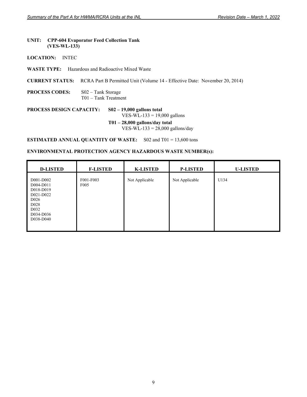#### **UNIT: CPP-604 Evaporator Feed Collection Tank (VES-WL-133)**

#### **LOCATION:** INTEC

**WASTE TYPE:** Hazardous and Radioactive Mixed Waste

**CURRENT STATUS:** RCRA Part B Permitted Unit (Volume 14 - Effective Date: November 20, 2014)

**PROCESS CODES:** S02 – Tank Storage T01 – Tank Treatment

**PROCESS DESIGN CAPACITY: S02 – 19,000 gallons total**

VES-WL-133 = 19,000 gallons

 **T01 – 28,000 gallons/day total**  VES-WL-133 =  $28,000$  gallons/day

**ESTIMATED ANNUAL QUANTITY OF WASTE:** S02 and T01 = 13,600 tons

| <b>D-LISTED</b>                                                                                                                         | <b>F-LISTED</b>               | <b>K-LISTED</b> | <b>P-LISTED</b> | <b>U-LISTED</b> |
|-----------------------------------------------------------------------------------------------------------------------------------------|-------------------------------|-----------------|-----------------|-----------------|
| D001-D002<br>D004-D011<br>D018-D019<br>D021-D022<br>D <sub>026</sub><br>D <sub>028</sub><br>D <sub>0</sub> 32<br>D034-D036<br>D038-D040 | F001-F003<br>F <sub>005</sub> | Not Applicable  | Not Applicable  | U134            |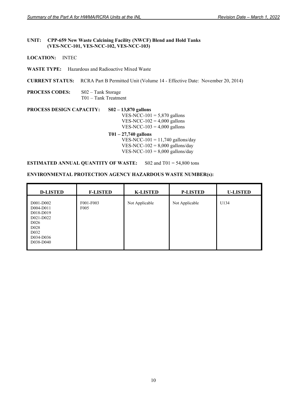#### **UNIT: CPP-659 New Waste Calcining Facility (NWCF) Blend and Hold Tanks (VES-NCC-101, VES-NCC-102, VES-NCC-103)**

**LOCATION:** INTEC

**WASTE TYPE:** Hazardous and Radioactive Mixed Waste

**CURRENT STATUS:** RCRA Part B Permitted Unit (Volume 14 - Effective Date: November 20, 2014)

**PROCESS CODES:** S02 – Tank Storage T01 – Tank Treatment

**PROCESS DESIGN CAPACITY: S02 – 13,870 gallons**  VES-NCC-101 =  $5,870$  gallons VES-NCC-102 =  $4,000$  gallons VES-NCC-103 =  $4,000$  gallons

**T01 – 27,740 gallons** VES-NCC-101 = 11,740 gallons/day VES-NCC- $102 = 8,000$  gallons/day VES-NCC-103 =  $8,000$  gallons/day

**ESTIMATED ANNUAL QUANTITY OF WASTE:** S02 and T01 = 54,800 tons

| <b>D-LISTED</b>                                                                                                                         | <b>F-LISTED</b>               | <b>K-LISTED</b> | <b>P-LISTED</b> | <b>U-LISTED</b> |
|-----------------------------------------------------------------------------------------------------------------------------------------|-------------------------------|-----------------|-----------------|-----------------|
| D001-D002<br>D004-D011<br>D018-D019<br>D021-D022<br>D <sub>026</sub><br>D <sub>028</sub><br>D <sub>0</sub> 32<br>D034-D036<br>D038-D040 | F001-F003<br>F <sub>005</sub> | Not Applicable  | Not Applicable  | U134            |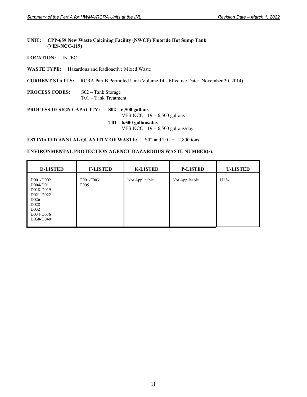## **UNIT: CPP-659 New Waste Calcining Facility (NWCF) Fluoride Hot Sump Tank (VES-NCC-119)**

**LOCATION:** INTEC

**WASTE TYPE:** Hazardous and Radioactive Mixed Waste

**CURRENT STATUS:** RCRA Part B Permitted Unit (Volume 14 - Effective Date: November 20, 2014)

**PROCESS CODES:** S02 – Tank Storage T01 – Tank Treatment

**PROCESS DESIGN CAPACITY: S02 – 6,500 gallons**  VES-NCC-119 =  $6,500$  gallons

> **T01 – 6,500 gallons/day**   $VES-NCC-119 = 6,500$  gallons/day

**ESTIMATED ANNUAL QUANTITY OF WASTE:** S02 and T01 = 12,800 tons

| <b>D-LISTED</b>                                                                                                                         | <b>F-LISTED</b>               | <b>K-LISTED</b> | <b>P-LISTED</b> | <b>U-LISTED</b> |
|-----------------------------------------------------------------------------------------------------------------------------------------|-------------------------------|-----------------|-----------------|-----------------|
| D001-D002<br>D004-D011<br>D018-D019<br>D021-D022<br>D <sub>026</sub><br>D <sub>028</sub><br>D <sub>0</sub> 32<br>D034-D036<br>D038-D040 | F001-F003<br>F <sub>005</sub> | Not Applicable  | Not Applicable  | U134            |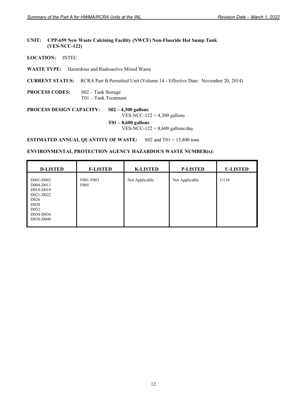## **UNIT: CPP-659 New Waste Calcining Facility (NWCF) Non-Fluoride Hot Sump Tank (VES-NCC-122)**

**LOCATION:** INTEC

**WASTE TYPE:** Hazardous and Radioactive Mixed Waste

**CURRENT STATUS:** RCRA Part B Permitted Unit (Volume 14 - Effective Date: November 20, 2014)

**PROCESS CODES:** S02 – Tank Storage T01 – Tank Treatment

**PROCESS DESIGN CAPACITY: S02 – 4,300 gallons**  VES-NCC-122 =  $4,300$  gallons **T01 – 8,600 gallons** 

 $VES-NCC-122 = 8,600$  gallons/day

**ESTIMATED ANNUAL QUANTITY OF WASTE:** S02 and T01 = 15,800 tons

| <b>D-LISTED</b>                                                                                                                         | <b>F-LISTED</b>               | <b>K-LISTED</b> | <b>P-LISTED</b> | <b>U-LISTED</b> |
|-----------------------------------------------------------------------------------------------------------------------------------------|-------------------------------|-----------------|-----------------|-----------------|
| D001-D002<br>D004-D011<br>D018-D019<br>D021-D022<br>D <sub>026</sub><br>D <sub>028</sub><br>D <sub>0</sub> 32<br>D034-D036<br>D038-D040 | F001-F003<br>F <sub>005</sub> | Not Applicable  | Not Applicable  | U134            |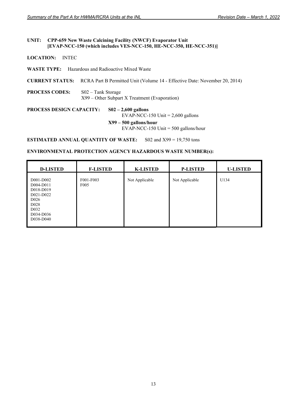#### **UNIT: CPP-659 New Waste Calcining Facility (NWCF) Evaporator Unit [EVAP-NCC-150 (which includes VES-NCC-150, HE-NCC-350, HE-NCC-351)]**

- **LOCATION:** INTEC
- **WASTE TYPE:** Hazardous and Radioactive Mixed Waste
- **CURRENT STATUS:** RCRA Part B Permitted Unit (Volume 14 Effective Date: November 20, 2014)
- **PROCESS CODES:** S02 Tank Storage X99 – Other Subpart X Treatment (Evaporation)

# **PROCESS DESIGN CAPACITY: S02 – 2,600 gallons**

EVAP-NCC-150 Unit  $= 2,600$  gallons

**X99 – 500 gallons/hour** 

EVAP-NCC-150 Unit = 500 gallons/hour

**ESTIMATED ANNUAL QUANTITY OF WASTE:** S02 and X99 = 19,750 tons

| <b>D-LISTED</b>                                                                                                                         | <b>F-LISTED</b>               | <b>K-LISTED</b> | <b>P-LISTED</b> | <b>U-LISTED</b> |
|-----------------------------------------------------------------------------------------------------------------------------------------|-------------------------------|-----------------|-----------------|-----------------|
| D001-D002<br>D004-D011<br>D018-D019<br>D021-D022<br>D <sub>026</sub><br>D <sub>028</sub><br>D <sub>0</sub> 32<br>D034-D036<br>D038-D040 | F001-F003<br>F <sub>005</sub> | Not Applicable  | Not Applicable  | U134            |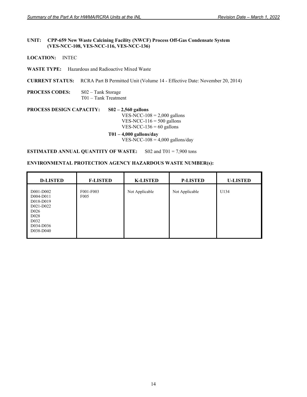#### **UNIT: CPP-659 New Waste Calcining Facility (NWCF) Process Off-Gas Condensate System (VES-NCC-108, VES-NCC-116, VES-NCC-136)**

**LOCATION:** INTEC

**WASTE TYPE:** Hazardous and Radioactive Mixed Waste

**CURRENT STATUS:** RCRA Part B Permitted Unit (Volume 14 - Effective Date: November 20, 2014)

**PROCESS CODES:** S02 – Tank Storage T01 – Tank Treatment

**PROCESS DESIGN CAPACITY: S02 – 2,560 gallons**  VES-NCC- $108 = 2,000$  gallons VES-NCC-116 =  $500$  gallons VES-NCC-136 =  $60$  gallons

> **T01 – 4,000 gallons/day** VES-NCC-108 = 4,000 gallons/day

**ESTIMATED ANNUAL QUANTITY OF WASTE:** S02 and T01 = 7,900 tons

| <b>D-LISTED</b>                                                                                                                         | <b>F-LISTED</b>               | <b>K-LISTED</b> | <b>P-LISTED</b> | <b>U-LISTED</b> |
|-----------------------------------------------------------------------------------------------------------------------------------------|-------------------------------|-----------------|-----------------|-----------------|
| D001-D002<br>D004-D011<br>D018-D019<br>D021-D022<br>D <sub>026</sub><br>D <sub>028</sub><br>D <sub>0</sub> 32<br>D034-D036<br>D038-D040 | F001-F003<br>F <sub>005</sub> | Not Applicable  | Not Applicable  | U134            |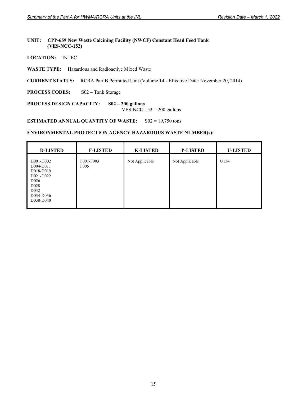## **UNIT: CPP-659 New Waste Calcining Facility (NWCF) Constant Head Feed Tank (VES-NCC-152)**

- **LOCATION:** INTEC
- **WASTE TYPE:** Hazardous and Radioactive Mixed Waste
- **CURRENT STATUS:** RCRA Part B Permitted Unit (Volume 14 Effective Date: November 20, 2014)
- **PROCESS CODES:** S02 Tank Storage

**PROCESS DESIGN CAPACITY: S02 – 200 gallons** 

 $VES-NCC-152 = 200$  gallons

**ESTIMATED ANNUAL QUANTITY OF WASTE:** S02 = 19,750 tons

| <b>D-LISTED</b>                                                                                                                         | <b>F-LISTED</b>               | <b>K-LISTED</b> | <b>P-LISTED</b> | <b>U-LISTED</b> |
|-----------------------------------------------------------------------------------------------------------------------------------------|-------------------------------|-----------------|-----------------|-----------------|
| D001-D002<br>D004-D011<br>D018-D019<br>D021-D022<br>D <sub>026</sub><br>D <sub>028</sub><br>D <sub>0</sub> 32<br>D034-D036<br>D038-D040 | F001-F003<br>F <sub>005</sub> | Not Applicable  | Not Applicable  | U134            |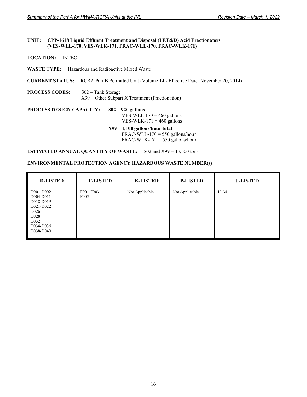#### **UNIT: CPP-1618 Liquid Effluent Treatment and Disposal (LET&D) Acid Fractionators (VES-WLL-170, VES-WLK-171, FRAC-WLL-170, FRAC-WLK-171)**

# **LOCATION:** INTEC

**WASTE TYPE:** Hazardous and Radioactive Mixed Waste

**CURRENT STATUS:** RCRA Part B Permitted Unit (Volume 14 - Effective Date: November 20, 2014)

**PROCESS CODES:** S02 – Tank Storage X99 – Other Subpart X Treatment (Fractionation)

# **PROCESS DESIGN CAPACITY: S02 – 920 gallons**  VES-WLL- $170 = 460$  gallons VES-WLK-171 =  $460$  gallons  **X99 – 1,100 gallons/hour total**   $FRAC-WLL-170 = 550$  gallons/hour

 $FRAC-WLK-171 = 550$  gallons/hour

**ESTIMATED ANNUAL QUANTITY OF WASTE:** S02 and X99 = 13,500 tons

| <b>D-LISTED</b>                                                                                                                         | <b>F-LISTED</b>               | <b>K-LISTED</b> | <b>P-LISTED</b> | <b>U-LISTED</b> |
|-----------------------------------------------------------------------------------------------------------------------------------------|-------------------------------|-----------------|-----------------|-----------------|
| D001-D002<br>D004-D011<br>D018-D019<br>D021-D022<br>D <sub>026</sub><br>D <sub>028</sub><br>D <sub>0</sub> 32<br>D034-D036<br>D038-D040 | F001-F003<br>F <sub>005</sub> | Not Applicable  | Not Applicable  | U134            |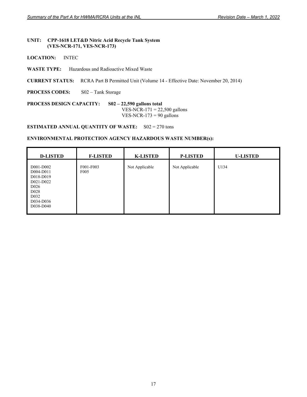## **UNIT: CPP-1618 LET&D Nitric Acid Recycle Tank System (VES-NCR-171, VES-NCR-173)**

**LOCATION:** INTEC

 $\mathbf{r}$ 

**WASTE TYPE:** Hazardous and Radioactive Mixed Waste

**CURRENT STATUS:** RCRA Part B Permitted Unit (Volume 14 - Effective Date: November 20, 2014)

**PROCESS CODES:** S02 – Tank Storage

#### **PROCESS DESIGN CAPACITY: S02 – 22,590 gallons total** VES-NCR-171 =  $22,500$  gallons

VES-NCR-173 =  $90$  gallons

**ESTIMATED ANNUAL QUANTITY OF WASTE:** S02 = 270 tons

| <b>D-LISTED</b>                                                                                                                         | <b>F-LISTED</b>               | <b>K-LISTED</b> | <b>P-LISTED</b> | <b>U-LISTED</b> |
|-----------------------------------------------------------------------------------------------------------------------------------------|-------------------------------|-----------------|-----------------|-----------------|
| D001-D002<br>D004-D011<br>D018-D019<br>D021-D022<br>D <sub>026</sub><br>D <sub>028</sub><br>D <sub>0</sub> 32<br>D034-D036<br>D038-D040 | F001-F003<br>F <sub>005</sub> | Not Applicable  | Not Applicable  | U134            |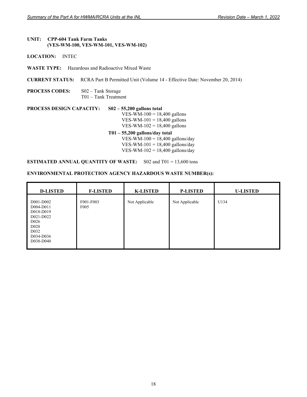#### **UNIT: CPP-604 Tank Farm Tanks (VES-WM-100, VES-WM-101, VES-WM-102)**

- **LOCATION:** INTEC
- **WASTE TYPE:** Hazardous and Radioactive Mixed Waste

**CURRENT STATUS:** RCRA Part B Permitted Unit (Volume 14 - Effective Date: November 20, 2014)

**PROCESS CODES:** S02 – Tank Storage T01 – Tank Treatment

**PROCESS DESIGN CAPACITY: S02 – 55,200 gallons total**  VES-WM- $100 = 18,400$  gallons VES-WM-101 =  $18,400$  gallons VES-WM- $102 = 18,400$  gallons

> **T01 – 55,200 gallons/day total**  VES-WM-100 =  $18,400$  gallons/day VES-WM-101 = 18,400 gallons/day VES-WM-102 =  $18,400$  gallons/day

# **ESTIMATED ANNUAL QUANTITY OF WASTE:** S02 and T01 = 13,600 tons

| <b>D-LISTED</b>                                                                                                                         | <b>F-LISTED</b>               | <b>K-LISTED</b> | <b>P-LISTED</b> | <b>U-LISTED</b> |
|-----------------------------------------------------------------------------------------------------------------------------------------|-------------------------------|-----------------|-----------------|-----------------|
| D001-D002<br>D004-D011<br>D018-D019<br>D021-D022<br>D <sub>026</sub><br>D <sub>028</sub><br>D <sub>0</sub> 32<br>D034-D036<br>D038-D040 | F001-F003<br>F <sub>005</sub> | Not Applicable  | Not Applicable  | U134            |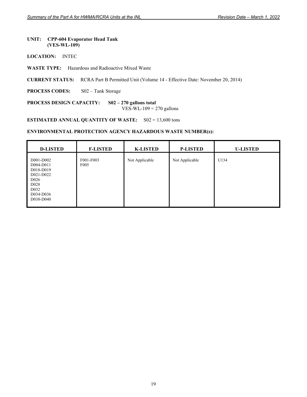#### **UNIT: CPP-604 Evaporator Head Tank (VES-WL-109)**

- **LOCATION:** INTEC
- **WASTE TYPE:** Hazardous and Radioactive Mixed Waste
- **CURRENT STATUS:** RCRA Part B Permitted Unit (Volume 14 Effective Date: November 20, 2014)
- **PROCESS CODES:** S02 Tank Storage

**PROCESS DESIGN CAPACITY: S02 – 270 gallons total**  VES-WL-109 =  $270$  gallons

**ESTIMATED ANNUAL QUANTITY OF WASTE:** S02 = 13,600 tons

| <b>D-LISTED</b>                                                                                                                          | <b>F-LISTED</b>               | <b>K-LISTED</b> | <b>P-LISTED</b> | <b>U-LISTED</b> |
|------------------------------------------------------------------------------------------------------------------------------------------|-------------------------------|-----------------|-----------------|-----------------|
| D001-D002<br>D004-D011<br>D018-D019<br>D021-D022<br>D <sub>0</sub> 26<br>D <sub>028</sub><br>D <sub>0</sub> 32<br>D034-D036<br>D038-D040 | F001-F003<br>F <sub>005</sub> | Not Applicable  | Not Applicable  | U134            |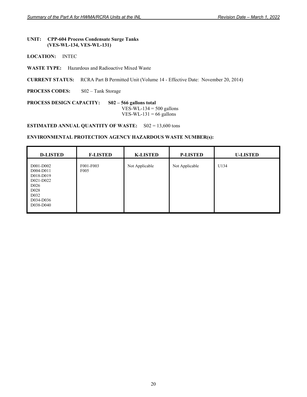#### **UNIT: CPP-604 Process Condensate Surge Tanks (VES-WL-134, VES-WL-131)**

- **LOCATION:** INTEC
- **WASTE TYPE:** Hazardous and Radioactive Mixed Waste

**CURRENT STATUS:** RCRA Part B Permitted Unit (Volume 14 - Effective Date: November 20, 2014)

**PROCESS CODES:** S02 – Tank Storage

**PROCESS DESIGN CAPACITY: S02 – 566 gallons total**  VES-WL-134  $=$  500 gallons VES-WL-131 =  $66$  gallons

**ESTIMATED ANNUAL QUANTITY OF WASTE:** S02 = 13,600 tons

| <b>D-LISTED</b>                                                                                                                         | <b>F-LISTED</b>               | <b>K-LISTED</b> | <b>P-LISTED</b> | <b>U-LISTED</b> |
|-----------------------------------------------------------------------------------------------------------------------------------------|-------------------------------|-----------------|-----------------|-----------------|
| D001-D002<br>D004-D011<br>D018-D019<br>D021-D022<br>D <sub>026</sub><br>D <sub>028</sub><br>D <sub>0</sub> 32<br>D034-D036<br>D038-D040 | F001-F003<br>F <sub>005</sub> | Not Applicable  | Not Applicable  | U134            |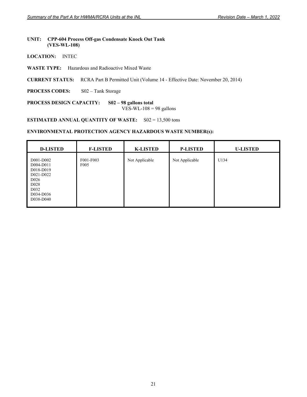#### **UNIT: CPP-604 Process Off-gas Condensate Knock Out Tank (VES-WL-108)**

- **LOCATION:** INTEC
- **WASTE TYPE:** Hazardous and Radioactive Mixed Waste
- **CURRENT STATUS:** RCRA Part B Permitted Unit (Volume 14 Effective Date: November 20, 2014)
- **PROCESS CODES:** S02 Tank Storage

**PROCESS DESIGN CAPACITY: S02 – 98 gallons total** 

VES-WL- $108 = 98$  gallons

**ESTIMATED ANNUAL QUANTITY OF WASTE:** S02 = 13,500 tons

| <b>D-LISTED</b>                                                                                                                          | <b>F-LISTED</b>               | <b>K-LISTED</b> | <b>P-LISTED</b> | <b>U-LISTED</b> |
|------------------------------------------------------------------------------------------------------------------------------------------|-------------------------------|-----------------|-----------------|-----------------|
| D001-D002<br>D004-D011<br>D018-D019<br>D021-D022<br>D <sub>0</sub> 26<br>D <sub>028</sub><br>D <sub>0</sub> 32<br>D034-D036<br>D038-D040 | F001-F003<br>F <sub>005</sub> | Not Applicable  | Not Applicable  | U134            |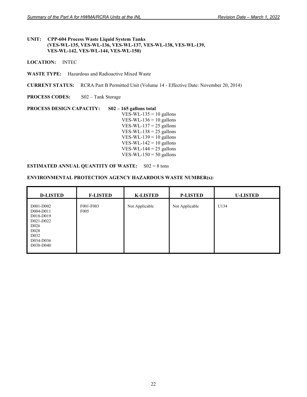## **UNIT: CPP-604 Process Waste Liquid System Tanks (VES-WL-135, VES-WL-136, VES-WL-137, VES-WL-138, VES-WL-139, VES-WL-142, VES-WL-144, VES-WL-150)**

**LOCATION:** INTEC

**WASTE TYPE:** Hazardous and Radioactive Mixed Waste

**CURRENT STATUS:** RCRA Part B Permitted Unit (Volume 14 - Effective Date: November 20, 2014)

**PROCESS CODES:** S02 – Tank Storage

**PROCESS DESIGN CAPACITY: S02 – 165 gallons total**  VES-WL-135 =  $10$  gallons VES-WL-136 =  $10$  gallons VES-WL-137 =  $25$  gallons VES-WL-138 =  $25$  gallons VES-WL-139 =  $10$  gallons VES-WL-142 =  $10$  gallons VES-WL-144 =  $25$  gallons VES-WL-150 =  $50$  gallons

## **ESTIMATED ANNUAL QUANTITY OF WASTE:** S02 = 8 tons

| <b>D-LISTED</b>                                                                                                                         | <b>F-LISTED</b>               | <b>K-LISTED</b> | <b>P-LISTED</b> | <b>U-LISTED</b> |
|-----------------------------------------------------------------------------------------------------------------------------------------|-------------------------------|-----------------|-----------------|-----------------|
| D001-D002<br>D004-D011<br>D018-D019<br>D021-D022<br>D <sub>026</sub><br>D <sub>028</sub><br>D <sub>0</sub> 32<br>D034-D036<br>D038-D040 | F001-F003<br>F <sub>005</sub> | Not Applicable  | Not Applicable  | U134            |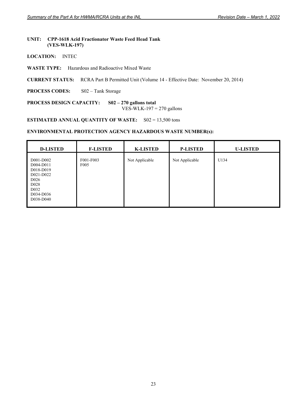#### **UNIT: CPP-1618 Acid Fractionator Waste Feed Head Tank (VES-WLK-197)**

- **LOCATION:** INTEC
- **WASTE TYPE:** Hazardous and Radioactive Mixed Waste
- **CURRENT STATUS:** RCRA Part B Permitted Unit (Volume 14 Effective Date: November 20, 2014)
- **PROCESS CODES:** S02 Tank Storage

**PROCESS DESIGN CAPACITY: S02 – 270 gallons total**  VES-WLK-197  $= 270$  gallons

**ESTIMATED ANNUAL QUANTITY OF WASTE:** S02 = 13,500 tons

| <b>D-LISTED</b>                                                                                                                         | <b>F-LISTED</b>               | <b>K-LISTED</b> | <b>P-LISTED</b> | <b>U-LISTED</b> |
|-----------------------------------------------------------------------------------------------------------------------------------------|-------------------------------|-----------------|-----------------|-----------------|
| D001-D002<br>D004-D011<br>D018-D019<br>D021-D022<br>D <sub>026</sub><br>D <sub>028</sub><br>D <sub>0</sub> 32<br>D034-D036<br>D038-D040 | F001-F003<br>F <sub>005</sub> | Not Applicable  | Not Applicable  | U134            |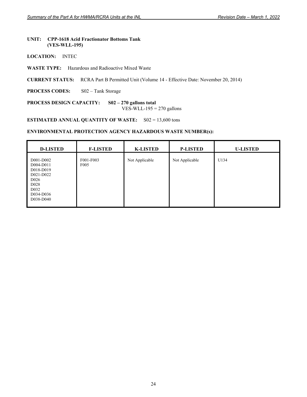#### **UNIT: CPP-1618 Acid Fractionator Bottoms Tank (VES-WLL-195)**

- **LOCATION:** INTEC
- **WASTE TYPE:** Hazardous and Radioactive Mixed Waste
- **CURRENT STATUS:** RCRA Part B Permitted Unit (Volume 14 Effective Date: November 20, 2014)
- **PROCESS CODES:** S02 Tank Storage

**PROCESS DESIGN CAPACITY: S02 – 270 gallons total**  VES-WLL-195  $=$  270 gallons

**ESTIMATED ANNUAL QUANTITY OF WASTE:** S02 = 13,600 tons

| <b>D-LISTED</b>                                                                                                                         | <b>F-LISTED</b>               | <b>K-LISTED</b> | <b>P-LISTED</b> | <b>U-LISTED</b> |
|-----------------------------------------------------------------------------------------------------------------------------------------|-------------------------------|-----------------|-----------------|-----------------|
| D001-D002<br>D004-D011<br>D018-D019<br>D021-D022<br>D <sub>026</sub><br>D <sub>028</sub><br>D <sub>0</sub> 32<br>D034-D036<br>D038-D040 | F001-F003<br>F <sub>005</sub> | Not Applicable  | Not Applicable  | U134            |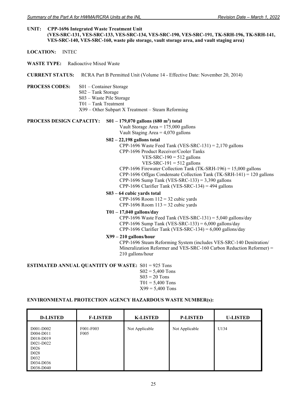#### **UNIT: CPP-1696 Integrated Waste Treatment Unit (VES-SRC-131, VES-SRC-133, VES-SRC-134, VES-SRC-190, VES-SRC-191, TK-SRH-196, TK-SRH-141, VES-SRC-140, VES-SRC-160, waste pile storage, vault storage area, and vault staging area)**

- **LOCATION:** INTEC
- **WASTE TYPE:** Radioactive Mixed Waste
- **CURRENT STATUS:** RCRA Part B Permitted Unit (Volume 14 Effective Date: November 20, 2014)
- **PROCESS CODES:** S01 Container Storage
	- S02 Tank Storage
		- S03 Waste Pile Storage
		- T01 Tank Treatment
		- X99 Other Subpart X Treatment Steam Reforming

#### **PROCESS DESIGN CAPACITY:** S01 – 179,070 gallons (680 m<sup>3</sup>) total

Vault Storage Area = 175,000 gallons Vault Staging Area  $= 4,070$  gallons

#### **S02 – 22,198 gallons total**

- CPP-1696 Waste Feed Tank (VES-SRC-131) =  $2,170$  gallons
- CPP-1696 Product Receiver/Cooler Tanks
	- VES-SRC-190  $=$  512 gallons
	- $VES-SRC-191 = 512$  gallons
- CPP-1696 Firewater Collection Tank (TK-SRH-196) = 15,000 gallons
- CPP-1696 Offgas Condensate Collection Tank (TK-SRH-141) = 120 gallons CPP-1696 Sump Tank (VES-SRC-133) =  $3,390$  gallons
- CPP-1696 Clarifier Tank (VES-SRC-134) = 494 gallons

## **S03 – 64 cubic yards total**

CPP-1696 Room  $112 = 32$  cubic yards CPP-1696 Room  $113 = 32$  cubic yards

## **T01 – 17,040 gallons/day**

CPP-1696 Waste Feed Tank (VES-SRC-131) = 5,040 gallons/day CPP-1696 Sump Tank (VES-SRC-133) =  $6,000$  gallons/day CPP-1696 Clarifier Tank (VES-SRC-134) = 6,000 gallons/day

#### **X99 – 210 gallons/hour**

 CPP-1696 Steam Reforming System (includes VES-SRC-140 Denitration/ Mineralization Reformer and VES-SRC-160 Carbon Reduction Reformer) = 210 gallons/hour

#### **ESTIMATED ANNUAL QUANTITY OF WASTE:** S01 = 925 Tons

- $S02 = 5,400$  Tons  $S<sub>03</sub> = 20$  Tons  $T01 = 5,400$  Tons
- $X99 = 5,400$  Tons

| <b>D-LISTED</b>                                                                                                            | <b>F-LISTED</b>               | <b>K-LISTED</b> | <b>P-LISTED</b> | <b>U-LISTED</b> |
|----------------------------------------------------------------------------------------------------------------------------|-------------------------------|-----------------|-----------------|-----------------|
| D001-D002<br>D004-D011<br>D018-D019<br>D021-D022<br>D <sub>026</sub><br>D <sub>028</sub><br>D032<br>D034-D036<br>D038-D040 | F001-F003<br>F <sub>005</sub> | Not Applicable  | Not Applicable  | U134            |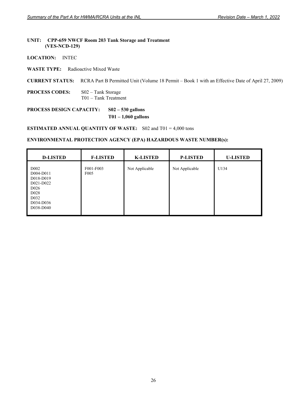# **UNIT: CPP-659 NWCF Room 203 Tank Storage and Treatment (VES-NCD-129)**

**LOCATION:** INTEC

## **WASTE TYPE:** Radioactive Mixed Waste

**CURRENT STATUS:** RCRA Part B Permitted Unit (Volume 18 Permit – Book 1 with an Effective Date of April 27, 2009)

**PROCESS CODES:** S02 – Tank Storage T01 – Tank Treatment

# **PROCESS DESIGN CAPACITY: S02 – 530 gallons T01 – 1,060 gallons**

**ESTIMATED ANNUAL QUANTITY OF WASTE:** S02 and T01 = 4,000 tons

| <b>D-LISTED</b>                                                                                                                                 | <b>F-LISTED</b>               | <b>K-LISTED</b> | <b>P-LISTED</b> | <b>U-LISTED</b> |
|-------------------------------------------------------------------------------------------------------------------------------------------------|-------------------------------|-----------------|-----------------|-----------------|
| D <sub>0</sub> 02<br>D004-D011<br>D018-D019<br>D021-D022<br>D <sub>026</sub><br>D <sub>028</sub><br>D <sub>0</sub> 32<br>D034-D036<br>D038-D040 | F001-F003<br>F <sub>005</sub> | Not Applicable  | Not Applicable  | U134            |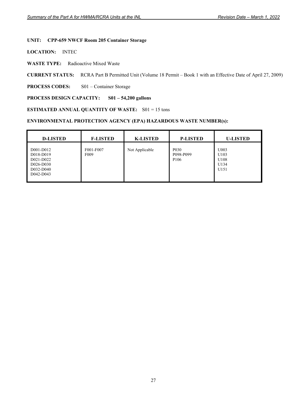# **UNIT: CPP-659 NWCF Room 205 Container Storage**

**LOCATION:** INTEC

**WASTE TYPE:** Radioactive Mixed Waste

**CURRENT STATUS:** RCRA Part B Permitted Unit (Volume 18 Permit – Book 1 with an Effective Date of April 27, 2009)

**PROCESS CODES:** S01 – Container Storage

## **PROCESS DESIGN CAPACITY: S01 – 54,200 gallons**

**ESTIMATED ANNUAL QUANTITY OF WASTE:** S01 = 15 tons

| <b>D-LISTED</b>                                                            | <b>F-LISTED</b>               | <b>K-LISTED</b> | <b>P-LISTED</b>                                                | <b>U-LISTED</b>                      |
|----------------------------------------------------------------------------|-------------------------------|-----------------|----------------------------------------------------------------|--------------------------------------|
| D001-D012<br>D018-D019<br>D021-D022<br>D026-D030<br>D032-D040<br>D042-D043 | F001-F007<br>F <sub>009</sub> | Not Applicable  | P <sub>0</sub> 3 <sub>0</sub><br>P098-P099<br>P <sub>106</sub> | U003<br>U103<br>U108<br>U134<br>U151 |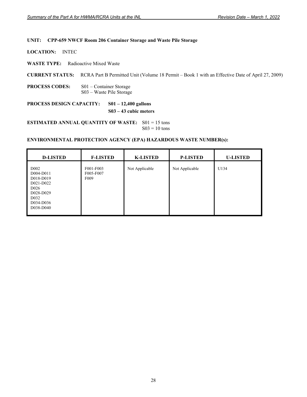## **UNIT: CPP-659 NWCF Room 206 Container Storage and Waste Pile Storage**

**LOCATION:** INTEC

**WASTE TYPE:** Radioactive Mixed Waste

**CURRENT STATUS:** RCRA Part B Permitted Unit (Volume 18 Permit – Book 1 with an Effective Date of April 27, 2009)

**PROCESS CODES:** S01 – Container Storage S03 – Waste Pile Storage

**PROCESS DESIGN CAPACITY: S01 – 12,400 gallons** 

**S03 – 43 cubic meters** 

**ESTIMATED ANNUAL QUANTITY OF WASTE:** S01 = 15 tons  $S03 = 10$  tons

| <b>D-LISTED</b>                                                                                                                         | <b>F-LISTED</b>                            | <b>K-LISTED</b> | <b>P-LISTED</b> | <b>U-LISTED</b> |
|-----------------------------------------------------------------------------------------------------------------------------------------|--------------------------------------------|-----------------|-----------------|-----------------|
| D <sub>002</sub><br>D004-D011<br>D018-D019<br>D021-D022<br>D <sub>026</sub><br>D028-D029<br>D <sub>0</sub> 32<br>D034-D036<br>D038-D040 | F001-F003<br>F005-F007<br>F <sub>009</sub> | Not Applicable  | Not Applicable  | U134            |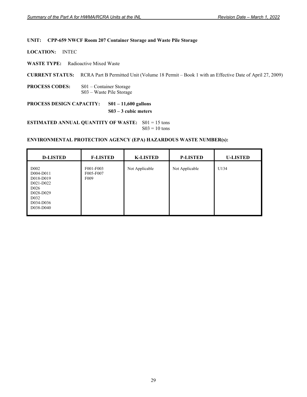## **UNIT: CPP-659 NWCF Room 207 Container Storage and Waste Pile Storage**

**LOCATION:** INTEC

**WASTE TYPE:** Radioactive Mixed Waste

**CURRENT STATUS:** RCRA Part B Permitted Unit (Volume 18 Permit – Book 1 with an Effective Date of April 27, 2009)

**PROCESS CODES:** S01 – Container Storage S03 – Waste Pile Storage

**PROCESS DESIGN CAPACITY: S01 – 11,600 gallons S03 – 3 cubic meters** 

**ESTIMATED ANNUAL QUANTITY OF WASTE:** S01 = 15 tons  $S03 = 10$  tons

| <b>D-LISTED</b>                                                                                                                         | <b>F-LISTED</b>                            | <b>K-LISTED</b> | <b>P-LISTED</b> | <b>U-LISTED</b> |
|-----------------------------------------------------------------------------------------------------------------------------------------|--------------------------------------------|-----------------|-----------------|-----------------|
| D <sub>002</sub><br>D004-D011<br>D018-D019<br>D021-D022<br>D <sub>026</sub><br>D028-D029<br>D <sub>0</sub> 32<br>D034-D036<br>D038-D040 | F001-F003<br>F005-F007<br>F <sub>009</sub> | Not Applicable  | Not Applicable  | U134            |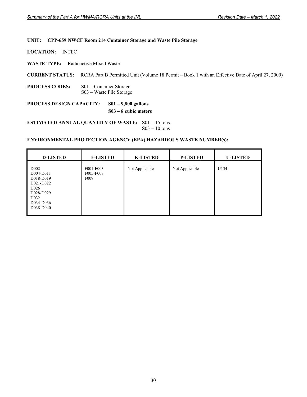## **UNIT: CPP-659 NWCF Room 214 Container Storage and Waste Pile Storage**

**LOCATION:** INTEC

**WASTE TYPE:** Radioactive Mixed Waste

**CURRENT STATUS:** RCRA Part B Permitted Unit (Volume 18 Permit – Book 1 with an Effective Date of April 27, 2009)

**PROCESS CODES:** S01 – Container Storage S03 – Waste Pile Storage

**PROCESS DESIGN CAPACITY: S01 – 9,800 gallons** 

**S03 – 8 cubic meters** 

**ESTIMATED ANNUAL QUANTITY OF WASTE:** S01 = 15 tons  $S03 = 10$  tons

| <b>D-LISTED</b>                                                                                                                         | <b>F-LISTED</b>                            | <b>K-LISTED</b> | <b>P-LISTED</b> | <b>U-LISTED</b> |
|-----------------------------------------------------------------------------------------------------------------------------------------|--------------------------------------------|-----------------|-----------------|-----------------|
| D <sub>002</sub><br>D004-D011<br>D018-D019<br>D021-D022<br>D <sub>026</sub><br>D028-D029<br>D <sub>0</sub> 32<br>D034-D036<br>D038-D040 | F001-F003<br>F005-F007<br>F <sub>009</sub> | Not Applicable  | Not Applicable  | U134            |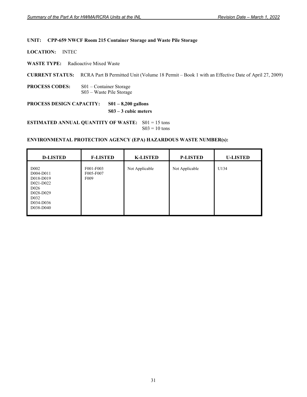## **UNIT: CPP-659 NWCF Room 215 Container Storage and Waste Pile Storage**

**LOCATION:** INTEC

**WASTE TYPE:** Radioactive Mixed Waste

**CURRENT STATUS:** RCRA Part B Permitted Unit (Volume 18 Permit – Book 1 with an Effective Date of April 27, 2009)

**PROCESS CODES:** S01 – Container Storage S03 – Waste Pile Storage

**PROCESS DESIGN CAPACITY: S01 – 8,200 gallons** 

**S03 – 3 cubic meters** 

**ESTIMATED ANNUAL QUANTITY OF WASTE:** S01 = 15 tons  $S03 = 10$  tons

| <b>D-LISTED</b>                                                                                                                         | <b>F-LISTED</b>                            | <b>K-LISTED</b> | <b>P-LISTED</b> | <b>U-LISTED</b> |
|-----------------------------------------------------------------------------------------------------------------------------------------|--------------------------------------------|-----------------|-----------------|-----------------|
| D <sub>002</sub><br>D004-D011<br>D018-D019<br>D021-D022<br>D <sub>026</sub><br>D028-D029<br>D <sub>0</sub> 32<br>D034-D036<br>D038-D040 | F001-F003<br>F005-F007<br>F <sub>009</sub> | Not Applicable  | Not Applicable  | U134            |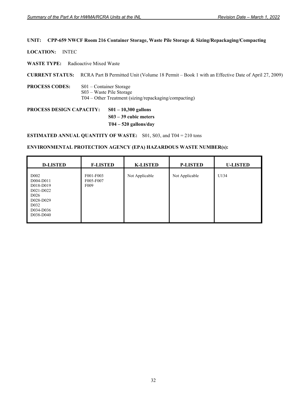# **UNIT: CPP-659 NWCF Room 216 Container Storage, Waste Pile Storage & Sizing/Repackaging/Compacting**

**LOCATION:** INTEC

**WASTE TYPE:** Radioactive Mixed Waste

**CURRENT STATUS:** RCRA Part B Permitted Unit (Volume 18 Permit – Book 1 with an Effective Date of April 27, 2009)

**PROCESS CODES:** S01 – Container Storage S03 – Waste Pile Storage T04 – Other Treatment (sizing/repackaging/compacting)

**PROCESS DESIGN CAPACITY: S01 – 10,300 gallons S03 – 39 cubic meters T04 – 520 gallons/day** 

**ESTIMATED ANNUAL QUANTITY OF WASTE:** S01, S03, and T04 = 210 tons

| <b>D-LISTED</b>                                                                                                                         | <b>F-LISTED</b>                            | <b>K-LISTED</b> | <b>P-LISTED</b> | <b>U-LISTED</b> |
|-----------------------------------------------------------------------------------------------------------------------------------------|--------------------------------------------|-----------------|-----------------|-----------------|
| D <sub>002</sub><br>D004-D011<br>D018-D019<br>D021-D022<br>D <sub>026</sub><br>D028-D029<br>D <sub>0</sub> 32<br>D034-D036<br>D038-D040 | F001-F003<br>F005-F007<br>F <sub>009</sub> | Not Applicable  | Not Applicable  | U134            |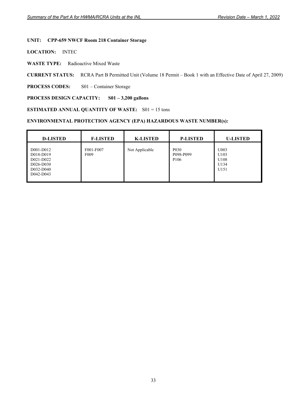# **UNIT: CPP-659 NWCF Room 218 Container Storage**

**LOCATION:** INTEC

**WASTE TYPE:** Radioactive Mixed Waste

**CURRENT STATUS:** RCRA Part B Permitted Unit (Volume 18 Permit – Book 1 with an Effective Date of April 27, 2009)

**PROCESS CODES:** S01 – Container Storage

# **PROCESS DESIGN CAPACITY: S01 – 3,200 gallons**

#### **ESTIMATED ANNUAL QUANTITY OF WASTE:** S01 = 15 tons

| <b>D-LISTED</b>                                                            | <b>F-LISTED</b>               | <b>K-LISTED</b> | <b>P-LISTED</b>                                                | <b>U-LISTED</b>                      |
|----------------------------------------------------------------------------|-------------------------------|-----------------|----------------------------------------------------------------|--------------------------------------|
| D001-D012<br>D018-D019<br>D021-D022<br>D026-D030<br>D032-D040<br>D042-D043 | F001-F007<br>F <sub>009</sub> | Not Applicable  | P <sub>0</sub> 3 <sub>0</sub><br>P098-P099<br>P <sub>106</sub> | U003<br>U103<br>U108<br>U134<br>U151 |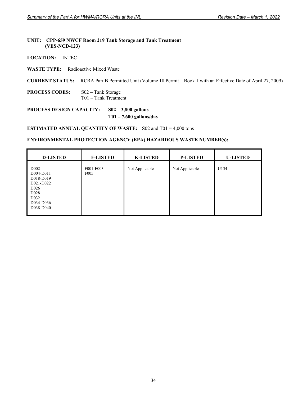## **UNIT: CPP-659 NWCF Room 219 Tank Storage and Tank Treatment (VES-NCD-123)**

**LOCATION:** INTEC

**WASTE TYPE:** Radioactive Mixed Waste

**CURRENT STATUS:** RCRA Part B Permitted Unit (Volume 18 Permit – Book 1 with an Effective Date of April 27, 2009)

**PROCESS CODES:** S02 – Tank Storage T01 – Tank Treatment

**PROCESS DESIGN CAPACITY: S02 – 3,800 gallons T01 – 7,600 gallons/day** 

**ESTIMATED ANNUAL QUANTITY OF WASTE:** S02 and T01 = 4,000 tons

| <b>D-LISTED</b>                                                                                                                                | <b>F-LISTED</b>               | <b>K-LISTED</b> | <b>P-LISTED</b> | <b>U-LISTED</b> |
|------------------------------------------------------------------------------------------------------------------------------------------------|-------------------------------|-----------------|-----------------|-----------------|
| D <sub>002</sub><br>D004-D011<br>D018-D019<br>D021-D022<br>D <sub>026</sub><br>D <sub>028</sub><br>D <sub>0</sub> 32<br>D034-D036<br>D038-D040 | F001-F003<br>F <sub>005</sub> | Not Applicable  | Not Applicable  | U134            |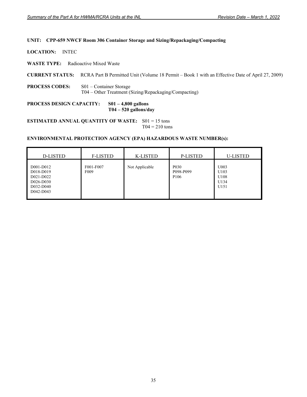# **UNIT: CPP-659 NWCF Room 306 Container Storage and Sizing/Repackaging/Compacting**

**LOCATION:** INTEC

**WASTE TYPE:** Radioactive Mixed Waste

**CURRENT STATUS:** RCRA Part B Permitted Unit (Volume 18 Permit – Book 1 with an Effective Date of April 27, 2009)

**PROCESS CODES:** S01 – Container Storage T04 – Other Treatment (Sizing/Repackaging/Compacting)

**PROCESS DESIGN CAPACITY: S01 – 4,800 gallons T04 – 520 gallons/day** 

**ESTIMATED ANNUAL QUANTITY OF WASTE:** S01 = 15 tons  $T04 = 210$  tons

| <b>D-LISTED</b>                                                            | <b>F-LISTED</b>               | <b>K-LISTED</b> | <b>P-LISTED</b>                                    | <b>U-LISTED</b>                      |
|----------------------------------------------------------------------------|-------------------------------|-----------------|----------------------------------------------------|--------------------------------------|
| D001-D012<br>D018-D019<br>D021-D022<br>D026-D030<br>D032-D040<br>D042-D043 | F001-F007<br>F <sub>009</sub> | Not Applicable  | P <sub>0</sub> 30<br>P098-P099<br>P <sub>106</sub> | U003<br>U103<br>U108<br>U134<br>U151 |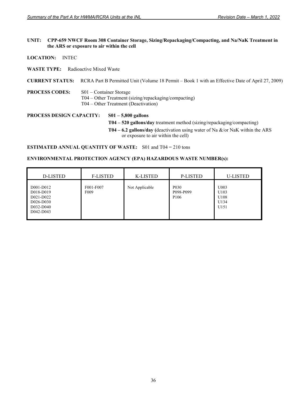## **UNIT: CPP-659 NWCF Room 308 Container Storage, Sizing/Repackaging/Compacting, and Na/NaK Treatment in the ARS or exposure to air within the cell**

- **LOCATION:** INTEC
- **WASTE TYPE:** Radioactive Mixed Waste

#### **CURRENT STATUS:** RCRA Part B Permitted Unit (Volume 18 Permit – Book 1 with an Effective Date of April 27, 2009)

**PROCESS CODES:** S01 – Container Storage T04 – Other Treatment (sizing/repackaging/compacting) T04 – Other Treatment (Deactivation)

**PROCESS DESIGN CAPACITY: S01 – 5,800 gallons T04 – 520 gallons/day** treatment method (sizing/repackaging/compacting) **T04 – 6.2 gallons/day (**deactivation using water of Na &/or NaK within the ARS or exposure to air within the cell)

**ESTIMATED ANNUAL QUANTITY OF WASTE:** S01 and T04 = 210 tons

| <b>D-LISTED</b>                                                            | <b>F-LISTED</b>               | <b>K-LISTED</b> | <b>P-LISTED</b>                                    | <b>U-LISTED</b>                                  |
|----------------------------------------------------------------------------|-------------------------------|-----------------|----------------------------------------------------|--------------------------------------------------|
| D001-D012<br>D018-D019<br>D021-D022<br>D026-D030<br>D032-D040<br>D042-D043 | F001-F007<br>F <sub>009</sub> | Not Applicable  | P <sub>0</sub> 30<br>P098-P099<br>P <sub>106</sub> | U003<br>U103<br>U108<br>U134<br>U <sub>151</sub> |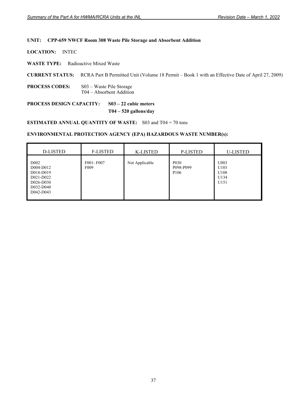# **UNIT: CPP-659 NWCF Room 308 Waste Pile Storage and Absorbent Addition**

**LOCATION:** INTEC

**WASTE TYPE:** Radioactive Mixed Waste

**CURRENT STATUS:** RCRA Part B Permitted Unit (Volume 18 Permit – Book 1 with an Effective Date of April 27, 2009)

**PROCESS CODES:** S03 – Waste Pile Storage T04 – Absorbent Addition

**PROCESS DESIGN CAPACITY: S03 – 22 cubic meters T04 – 520 gallons/day** 

**ESTIMATED ANNUAL QUANTITY OF WASTE:** S03 and T04 = 70 tons

| <b>D-LISTED</b>                                                                                 | <b>F-LISTED</b>               | <b>K-LISTED</b> | <b>P-LISTED</b>                                    | <b>U-LISTED</b>                      |
|-------------------------------------------------------------------------------------------------|-------------------------------|-----------------|----------------------------------------------------|--------------------------------------|
| D <sub>0</sub> 02<br>D004-D012<br>D018-D019<br>D021-D022<br>D026-D030<br>D032-D040<br>D042-D043 | F001-F007<br>F <sub>009</sub> | Not Applicable  | P <sub>0</sub> 30<br>P098-P099<br>P <sub>106</sub> | U003<br>U103<br>U108<br>U134<br>U151 |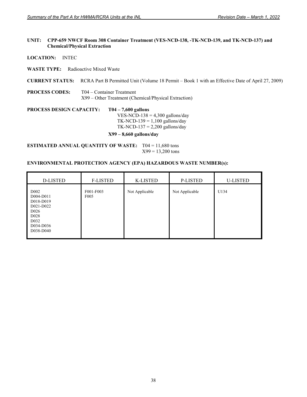## **UNIT: CPP-659 NWCF Room 308 Container Treatment (VES-NCD-138, -TK-NCD-139, and TK-NCD-137) and Chemical/Physical Extraction**

**LOCATION:** INTEC

**WASTE TYPE:** Radioactive Mixed Waste

**CURRENT STATUS:** RCRA Part B Permitted Unit (Volume 18 Permit – Book 1 with an Effective Date of April 27, 2009)

**PROCESS CODES:** T04 – Container Treatment X99 – Other Treatment (Chemical/Physical Extraction)

**PROCESS DESIGN CAPACITY: T04 – 7,600 gallons**  VES-NCD-138 =  $4,300$  gallons/day TK-NCD-139 =  $1,100$  gallons/day TK-NCD-137 =  $2,200$  gallons/day **X99 – 8,660 gallons/day** 

**ESTIMATED ANNUAL QUANTITY OF WASTE:** T04 = 11,680 tons  $X99 = 13,200$  tons

| <b>D-LISTED</b>                                                                                                                                 | <b>F-LISTED</b>               | K-LISTED       | P-LISTED       | <b>U-LISTED</b> |
|-------------------------------------------------------------------------------------------------------------------------------------------------|-------------------------------|----------------|----------------|-----------------|
| D <sub>0</sub> 02<br>D004-D011<br>D018-D019<br>D021-D022<br>D <sub>026</sub><br>D <sub>028</sub><br>D <sub>0</sub> 32<br>D034-D036<br>D038-D040 | F001-F003<br>F <sub>005</sub> | Not Applicable | Not Applicable | U134            |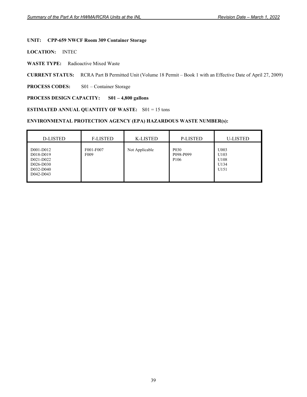# **UNIT: CPP-659 NWCF Room 309 Container Storage**

**LOCATION:** INTEC

**WASTE TYPE:** Radioactive Mixed Waste

**CURRENT STATUS:** RCRA Part B Permitted Unit (Volume 18 Permit – Book 1 with an Effective Date of April 27, 2009)

**PROCESS CODES:** S01 – Container Storage

#### **PROCESS DESIGN CAPACITY: S01 – 4,800 gallons**

## **ESTIMATED ANNUAL QUANTITY OF WASTE:** S01 = 15 tons

| D-LISTED                                                                   | <b>F-LISTED</b>               | <b>K-LISTED</b> | <b>P-LISTED</b>                                                | <b>U-LISTED</b>                                  |
|----------------------------------------------------------------------------|-------------------------------|-----------------|----------------------------------------------------------------|--------------------------------------------------|
| D001-D012<br>D018-D019<br>D021-D022<br>D026-D030<br>D032-D040<br>D042-D043 | F001-F007<br>F <sub>009</sub> | Not Applicable  | P <sub>0</sub> 3 <sub>0</sub><br>P098-P099<br>P <sub>106</sub> | U003<br>U103<br>U108<br>U134<br>U <sub>151</sub> |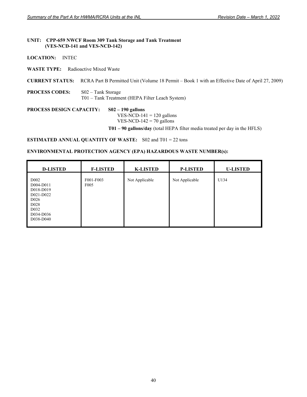#### **UNIT: CPP-659 NWCF Room 309 Tank Storage and Tank Treatment (VES-NCD-141 and VES-NCD-142)**

**LOCATION:** INTEC

**WASTE TYPE:** Radioactive Mixed Waste

**CURRENT STATUS:** RCRA Part B Permitted Unit (Volume 18 Permit – Book 1 with an Effective Date of April 27, 2009)

**PROCESS CODES:** S02 – Tank Storage T01 – Tank Treatment (HEPA Filter Leach System)

**PROCESS DESIGN CAPACITY: S02 – 190 gallons**  VES-NCD-141 =  $120$  gallons VES-NCD-142 =  $70$  gallons

**T01 – 90 gallons/day** (total HEPA filter media treated per day in the HFLS)

**ESTIMATED ANNUAL QUANTITY OF WASTE:** S02 and T01 = 22 tons

| <b>D-LISTED</b>                                                                                                                                | <b>F-LISTED</b>               | <b>K-LISTED</b> | <b>P-LISTED</b> | <b>U-LISTED</b> |
|------------------------------------------------------------------------------------------------------------------------------------------------|-------------------------------|-----------------|-----------------|-----------------|
| D <sub>002</sub><br>D004-D011<br>D018-D019<br>D021-D022<br>D <sub>026</sub><br>D <sub>028</sub><br>D <sub>0</sub> 32<br>D034-D036<br>D038-D040 | F001-F003<br>F <sub>005</sub> | Not Applicable  | Not Applicable  | U134            |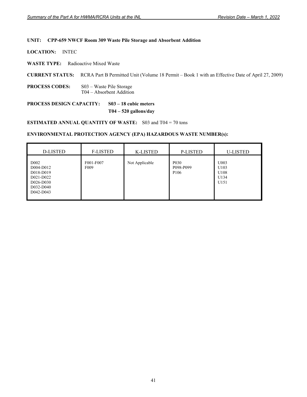## **UNIT: CPP-659 NWCF Room 309 Waste Pile Storage and Absorbent Addition**

**LOCATION:** INTEC

**WASTE TYPE:** Radioactive Mixed Waste

**CURRENT STATUS:** RCRA Part B Permitted Unit (Volume 18 Permit – Book 1 with an Effective Date of April 27, 2009)

**PROCESS CODES:** S03 – Waste Pile Storage T04 – Absorbent Addition

# **PROCESS DESIGN CAPACITY: S03 – 18 cubic meters T04 – 520 gallons/day**

**ESTIMATED ANNUAL QUANTITY OF WASTE:** S03 and T04 = 70 tons

| <b>D-LISTED</b>                                                                                 | <b>F-LISTED</b>               | <b>K-LISTED</b> | <b>P-LISTED</b>                                    | <b>U-LISTED</b>                      |
|-------------------------------------------------------------------------------------------------|-------------------------------|-----------------|----------------------------------------------------|--------------------------------------|
| D <sub>0</sub> 02<br>D004-D012<br>D018-D019<br>D021-D022<br>D026-D030<br>D032-D040<br>D042-D043 | F001-F007<br>F <sub>009</sub> | Not Applicable  | P <sub>0</sub> 30<br>P098-P099<br>P <sub>106</sub> | U003<br>U103<br>U108<br>U134<br>U151 |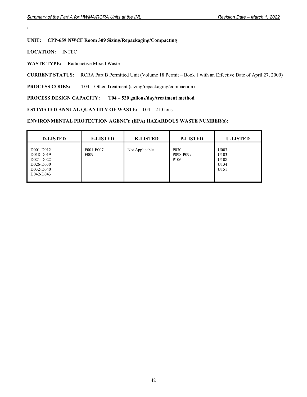# **UNIT: CPP-659 NWCF Room 309 Sizing/Repackaging/Compacting**

**LOCATION:** INTEC

**'** 

**WASTE TYPE:** Radioactive Mixed Waste

**CURRENT STATUS:** RCRA Part B Permitted Unit (Volume 18 Permit – Book 1 with an Effective Date of April 27, 2009)

**PROCESS CODES:** T04 – Other Treatment (sizing/repackaging/compaction)

# **PROCESS DESIGN CAPACITY: T04 – 520 gallons/day/treatment method**

**ESTIMATED ANNUAL QUANTITY OF WASTE:** T04 = 210 tons

| <b>D-LISTED</b>                                                            | <b>F-LISTED</b>               | <b>K-LISTED</b> | <b>P-LISTED</b>                                                | <b>U-LISTED</b>                      |
|----------------------------------------------------------------------------|-------------------------------|-----------------|----------------------------------------------------------------|--------------------------------------|
| D001-D012<br>D018-D019<br>D021-D022<br>D026-D030<br>D032-D040<br>D042-D043 | F001-F007<br>F <sub>009</sub> | Not Applicable  | P <sub>0</sub> 3 <sub>0</sub><br>P098-P099<br>P <sub>106</sub> | U003<br>U103<br>U108<br>U134<br>U151 |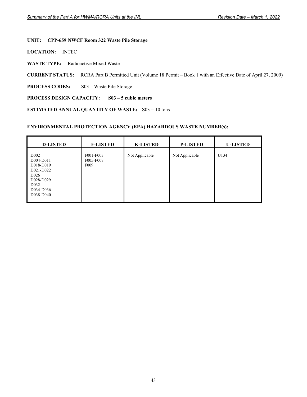# **UNIT: CPP-659 NWCF Room 322 Waste Pile Storage**

**LOCATION:** INTEC

**WASTE TYPE:** Radioactive Mixed Waste

**CURRENT STATUS:** RCRA Part B Permitted Unit (Volume 18 Permit – Book 1 with an Effective Date of April 27, 2009)

PROCESS CODES: S03 – Waste Pile Storage

# **PROCESS DESIGN CAPACITY: S03 – 5 cubic meters**

**ESTIMATED ANNUAL QUANTITY OF WASTE:** S03 = 10 tons

| <b>D-LISTED</b>                                                                                                                         | <b>F-LISTED</b>                            | <b>K-LISTED</b> | <b>P-LISTED</b> | <b>U-LISTED</b> |
|-----------------------------------------------------------------------------------------------------------------------------------------|--------------------------------------------|-----------------|-----------------|-----------------|
| D <sub>002</sub><br>D004-D011<br>D018-D019<br>D021-D022<br>D <sub>026</sub><br>D028-D029<br>D <sub>0</sub> 32<br>D034-D036<br>D038-D040 | F001-F003<br>F005-F007<br>F <sub>009</sub> | Not Applicable  | Not Applicable  | U134            |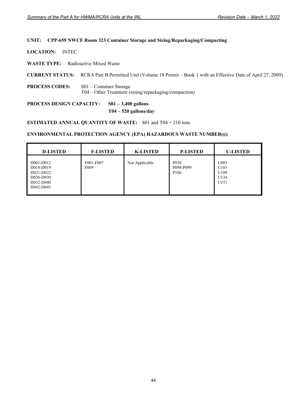# **UNIT: CPP-659 NWCF Room 323 Container Storage and Sizing/Repackaging/Compacting**

**LOCATION:** INTEC

**WASTE TYPE:** Radioactive Mixed Waste

**CURRENT STATUS:** RCRA Part B Permitted Unit (Volume 18 Permit – Book 1 with an Effective Date of April 27, 2009)

**PROCESS CODES:** S01 – Container Storage T04 – Other Treatment (sizing/repackaging/compaction)

**PROCESS DESIGN CAPACITY: S01 – 3,400 gallons** 

 **T04 – 520 gallons/day** 

**ESTIMATED ANNUAL QUANTITY OF WASTE:** S01 and T04 = 210 tons

| <b>D-LISTED</b>                                                            | <b>F-LISTED</b>               | <b>K-LISTED</b> | <b>P-LISTED</b>                                    | <b>U-LISTED</b>                      |
|----------------------------------------------------------------------------|-------------------------------|-----------------|----------------------------------------------------|--------------------------------------|
| D001-D012<br>D018-D019<br>D021-D022<br>D026-D030<br>D032-D040<br>D042-D043 | F001-F007<br>F <sub>009</sub> | Not Applicable  | P <sub>0</sub> 30<br>P098-P099<br>P <sub>106</sub> | U003<br>U103<br>U108<br>U134<br>U151 |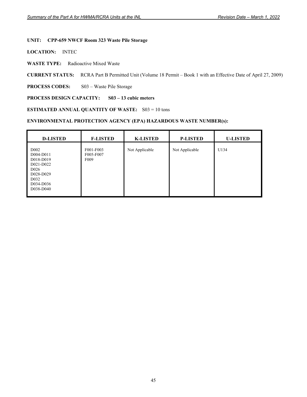# **UNIT: CPP-659 NWCF Room 323 Waste Pile Storage**

**LOCATION:** INTEC

**WASTE TYPE:** Radioactive Mixed Waste

**CURRENT STATUS:** RCRA Part B Permitted Unit (Volume 18 Permit – Book 1 with an Effective Date of April 27, 2009)

PROCESS CODES: S03 – Waste Pile Storage

# **PROCESS DESIGN CAPACITY: S03 – 13 cubic meters**

**ESTIMATED ANNUAL QUANTITY OF WASTE:** S03 = 10 tons

| <b>D-LISTED</b>                                                                                                                         | <b>F-LISTED</b>                            | <b>K-LISTED</b> | <b>P-LISTED</b> | <b>U-LISTED</b> |
|-----------------------------------------------------------------------------------------------------------------------------------------|--------------------------------------------|-----------------|-----------------|-----------------|
| D <sub>002</sub><br>D004-D011<br>D018-D019<br>D021-D022<br>D <sub>026</sub><br>D028-D029<br>D <sub>0</sub> 32<br>D034-D036<br>D038-D040 | F001-F003<br>F005-F007<br>F <sub>009</sub> | Not Applicable  | Not Applicable  | U134            |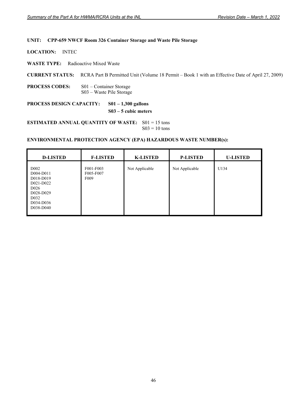## **UNIT: CPP-659 NWCF Room 326 Container Storage and Waste Pile Storage**

**LOCATION:** INTEC

**WASTE TYPE:** Radioactive Mixed Waste

**CURRENT STATUS:** RCRA Part B Permitted Unit (Volume 18 Permit – Book 1 with an Effective Date of April 27, 2009)

**PROCESS CODES:** S01 – Container Storage S03 – Waste Pile Storage

**PROCESS DESIGN CAPACITY: S01 – 1,300 gallons S03 – 5 cubic meters** 

**ESTIMATED ANNUAL QUANTITY OF WASTE:** S01 = 15 tons  $S03 = 10$  tons

| <b>D-LISTED</b>                                                                                                                         | <b>F-LISTED</b>                            | <b>K-LISTED</b> | <b>P-LISTED</b> | <b>U-LISTED</b> |
|-----------------------------------------------------------------------------------------------------------------------------------------|--------------------------------------------|-----------------|-----------------|-----------------|
| D <sub>002</sub><br>D004-D011<br>D018-D019<br>D021-D022<br>D <sub>026</sub><br>D028-D029<br>D <sub>0</sub> 32<br>D034-D036<br>D038-D040 | F001-F003<br>F005-F007<br>F <sub>009</sub> | Not Applicable  | Not Applicable  | U134            |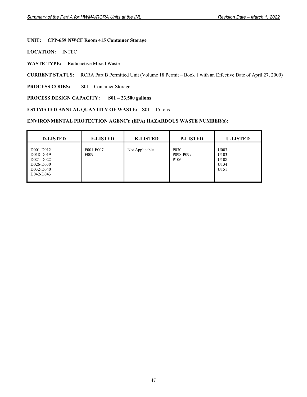# **UNIT: CPP-659 NWCF Room 415 Container Storage**

**LOCATION:** INTEC

**WASTE TYPE:** Radioactive Mixed Waste

**CURRENT STATUS:** RCRA Part B Permitted Unit (Volume 18 Permit – Book 1 with an Effective Date of April 27, 2009)

**PROCESS CODES:** S01 – Container Storage

## **PROCESS DESIGN CAPACITY: S01 – 23,500 gallons**

**ESTIMATED ANNUAL QUANTITY OF WASTE:** S01 = 15 tons

| <b>D-LISTED</b>                                                            | <b>F-LISTED</b>               | <b>K-LISTED</b> | <b>P-LISTED</b>                                                | <b>U-LISTED</b>                                  |
|----------------------------------------------------------------------------|-------------------------------|-----------------|----------------------------------------------------------------|--------------------------------------------------|
| D001-D012<br>D018-D019<br>D021-D022<br>D026-D030<br>D032-D040<br>D042-D043 | F001-F007<br>F <sub>009</sub> | Not Applicable  | P <sub>0</sub> 3 <sub>0</sub><br>P098-P099<br>P <sub>106</sub> | U003<br>U103<br>U108<br>U134<br>U <sub>151</sub> |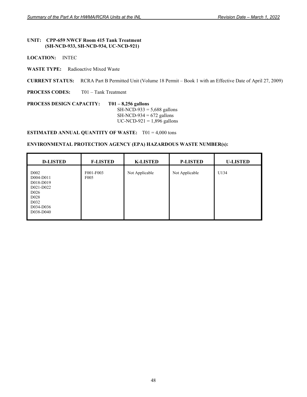## **UNIT: CPP-659 NWCF Room 415 Tank Treatment (SH-NCD-933, SH-NCD-934, UC-NCD-921)**

**LOCATION:** INTEC

**WASTE TYPE:** Radioactive Mixed Waste

**CURRENT STATUS:** RCRA Part B Permitted Unit (Volume 18 Permit – Book 1 with an Effective Date of April 27, 2009)

**PROCESS CODES:** T01 – Tank Treatment

**PROCESS DESIGN CAPACITY: T01 – 8,256 gallons** SH-NCD-933 = 5,688 gallons  $SH-NCD-934 = 672$  gallons UC-NCD-921 =  $1,896$  gallons

**ESTIMATED ANNUAL QUANTITY OF WASTE:** T01 = 4,000 tons

| <b>D-LISTED</b>                                                                                                                                | <b>F-LISTED</b>               | <b>K-LISTED</b> | <b>P-LISTED</b> | <b>U-LISTED</b> |
|------------------------------------------------------------------------------------------------------------------------------------------------|-------------------------------|-----------------|-----------------|-----------------|
| D <sub>002</sub><br>D004-D011<br>D018-D019<br>D021-D022<br>D <sub>026</sub><br>D <sub>028</sub><br>D <sub>0</sub> 32<br>D034-D036<br>D038-D040 | F001-F003<br>F <sub>005</sub> | Not Applicable  | Not Applicable  | U134            |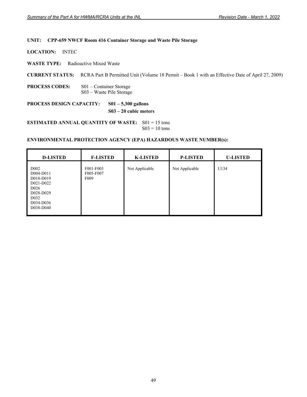#### **UNIT: CPP-659 NWCF Room 416 Container Storage and Waste Pile Storage**

**LOCATION:** INTEC

**WASTE TYPE:** Radioactive Mixed Waste

**CURRENT STATUS:** RCRA Part B Permitted Unit (Volume 18 Permit – Book 1 with an Effective Date of April 27, 2009)

**PROCESS CODES:** S01 – Container Storage S03 – Waste Pile Storage

**PROCESS DESIGN CAPACITY: S01 – 5,300 gallons** 

 **S03 – 20 cubic meters** 

**ESTIMATED ANNUAL QUANTITY OF WASTE:** S01 = 15 tons  $S03 = 10$  tons

| <b>D-LISTED</b>                                                                                                                         | <b>F-LISTED</b>                            | <b>K-LISTED</b> | <b>P-LISTED</b> | <b>U-LISTED</b> |
|-----------------------------------------------------------------------------------------------------------------------------------------|--------------------------------------------|-----------------|-----------------|-----------------|
| D <sub>002</sub><br>D004-D011<br>D018-D019<br>D021-D022<br>D <sub>026</sub><br>D028-D029<br>D <sub>0</sub> 32<br>D034-D036<br>D038-D040 | F001-F003<br>F005-F007<br>F <sub>009</sub> | Not Applicable  | Not Applicable  | U134            |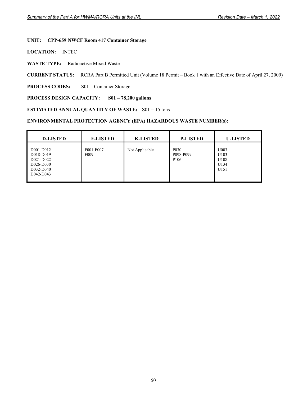# **UNIT: CPP-659 NWCF Room 417 Container Storage**

**LOCATION:** INTEC

**WASTE TYPE:** Radioactive Mixed Waste

**CURRENT STATUS:** RCRA Part B Permitted Unit (Volume 18 Permit – Book 1 with an Effective Date of April 27, 2009)

**PROCESS CODES:** S01 – Container Storage

## **PROCESS DESIGN CAPACITY: S01 – 78,200 gallons**

**ESTIMATED ANNUAL QUANTITY OF WASTE:** S01 = 15 tons

| <b>D-LISTED</b>                                                            | <b>F-LISTED</b>               | <b>K-LISTED</b> | <b>P-LISTED</b>                                                | <b>U-LISTED</b>                                  |
|----------------------------------------------------------------------------|-------------------------------|-----------------|----------------------------------------------------------------|--------------------------------------------------|
| D001-D012<br>D018-D019<br>D021-D022<br>D026-D030<br>D032-D040<br>D042-D043 | F001-F007<br>F <sub>009</sub> | Not Applicable  | P <sub>0</sub> 3 <sub>0</sub><br>P098-P099<br>P <sub>106</sub> | U003<br>U103<br>U108<br>U134<br>U <sub>151</sub> |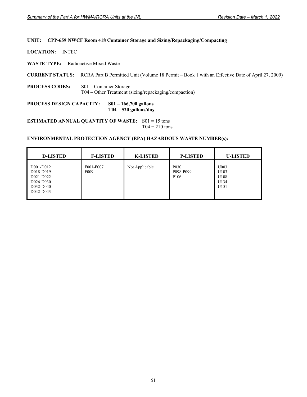### **UNIT: CPP-659 NWCF Room 418 Container Storage and Sizing/Repackaging/Compacting**

**LOCATION:** INTEC

**WASTE TYPE:** Radioactive Mixed Waste

**CURRENT STATUS:** RCRA Part B Permitted Unit (Volume 18 Permit – Book 1 with an Effective Date of April 27, 2009)

**PROCESS CODES:** S01 – Container Storage T04 – Other Treatment (sizing/repackaging/compaction)

**PROCESS DESIGN CAPACITY: S01 – 166,700 gallons T04 – 520 gallons/day** 

**ESTIMATED ANNUAL QUANTITY OF WASTE:** S01 = 15 tons  $T04 = 210$  tons

| <b>D-LISTED</b>                                                            | <b>F-LISTED</b>               | <b>K-LISTED</b> | <b>P-LISTED</b>                                    | <b>U-LISTED</b>                      |
|----------------------------------------------------------------------------|-------------------------------|-----------------|----------------------------------------------------|--------------------------------------|
| D001-D012<br>D018-D019<br>D021-D022<br>D026-D030<br>D032-D040<br>D042-D043 | F001-F007<br>F <sub>009</sub> | Not Applicable  | P <sub>0</sub> 30<br>P098-P099<br>P <sub>106</sub> | U003<br>U103<br>U108<br>U134<br>U151 |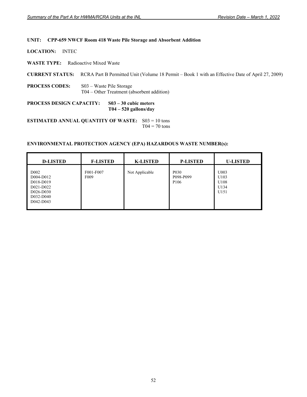#### **UNIT: CPP-659 NWCF Room 418 Waste Pile Storage and Absorbent Addition**

**LOCATION:** INTEC

**WASTE TYPE:** Radioactive Mixed Waste

**CURRENT STATUS:** RCRA Part B Permitted Unit (Volume 18 Permit – Book 1 with an Effective Date of April 27, 2009)

**PROCESS CODES:** S03 – Waste Pile Storage T04 – Other Treatment (absorbent addition)

**PROCESS DESIGN CAPACITY: S03 – 30 cubic meters T04 – 520 gallons/day** 

**ESTIMATED ANNUAL QUANTITY OF WASTE:** S03 = 10 tons  $T04 = 70$  tons

| <b>D-LISTED</b>                                                                                 | <b>F-LISTED</b>               | <b>K-LISTED</b> | <b>P-LISTED</b>                                    | <b>U-LISTED</b>                      |
|-------------------------------------------------------------------------------------------------|-------------------------------|-----------------|----------------------------------------------------|--------------------------------------|
| D <sub>0</sub> 02<br>D004-D012<br>D018-D019<br>D021-D022<br>D026-D030<br>D032-D040<br>D042-D043 | F001-F007<br>F <sub>009</sub> | Not Applicable  | P <sub>0</sub> 30<br>P098-P099<br>P <sub>106</sub> | U003<br>U103<br>U108<br>U134<br>U151 |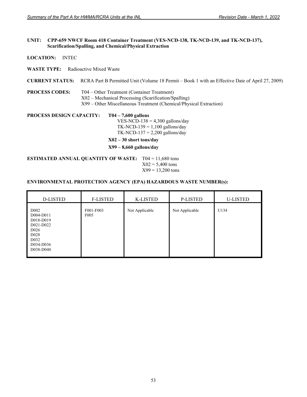#### **UNIT: CPP-659 NWCF Room 418 Container Treatment (VES-NCD-138, TK-NCD-139, and TK-NCD-137), Scarification/Spalling, and Chemical/Physical Extraction**

**LOCATION:** INTEC

**WASTE TYPE:** Radioactive Mixed Waste

**CURRENT STATUS:** RCRA Part B Permitted Unit (Volume 18 Permit – Book 1 with an Effective Date of April 27, 2009)

**PROCESS CODES:** T04 – Other Treatment (Container Treatment) X02 – Mechanical Processing (Scarification/Spalling) X99 – Other Miscellaneous Treatment (Chemical/Physical Extraction)

**PROCESS DESIGN CAPACITY: T04 – 7,600 gallons**  VES-NCD-138 =  $4,300$  gallons/day TK-NCD-139 =  $1,100$  gallons/day

TK-NCD-137 =  $2,200$  gallons/day

 **X02 – 30 short tons/day** 

**X99 – 8,660 gallons/day** 

**ESTIMATED ANNUAL QUANTITY OF WASTE:** T04 = 11,680 tons  $X02 = 5,400$  tons  $X99 = 13,200$  tons

| D-LISTED                                                                                                                                       | <b>F-LISTED</b>               | K-LISTED       | P-LISTED       | <b>U-LISTED</b> |
|------------------------------------------------------------------------------------------------------------------------------------------------|-------------------------------|----------------|----------------|-----------------|
| D <sub>002</sub><br>D004-D011<br>D018-D019<br>D021-D022<br>D <sub>026</sub><br>D <sub>028</sub><br>D <sub>0</sub> 32<br>D034-D036<br>D038-D040 | F001-F003<br>F <sub>005</sub> | Not Applicable | Not Applicable | U134            |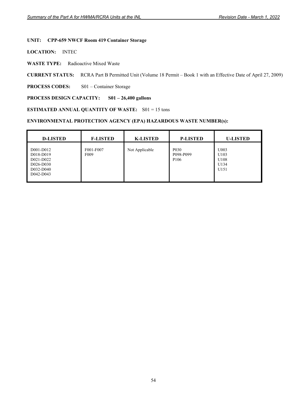### **UNIT: CPP-659 NWCF Room 419 Container Storage**

**LOCATION:** INTEC

**WASTE TYPE:** Radioactive Mixed Waste

**CURRENT STATUS:** RCRA Part B Permitted Unit (Volume 18 Permit – Book 1 with an Effective Date of April 27, 2009)

**PROCESS CODES:** S01 – Container Storage

#### **PROCESS DESIGN CAPACITY: S01 – 26,400 gallons**

**ESTIMATED ANNUAL QUANTITY OF WASTE:** S01 = 15 tons

| <b>D-LISTED</b>                                                            | <b>F-LISTED</b>               | <b>K-LISTED</b> | <b>P-LISTED</b>                                                | <b>U-LISTED</b>                      |
|----------------------------------------------------------------------------|-------------------------------|-----------------|----------------------------------------------------------------|--------------------------------------|
| D001-D012<br>D018-D019<br>D021-D022<br>D026-D030<br>D032-D040<br>D042-D043 | F001-F007<br>F <sub>009</sub> | Not Applicable  | P <sub>0</sub> 3 <sub>0</sub><br>P098-P099<br>P <sub>106</sub> | U003<br>U103<br>U108<br>U134<br>U151 |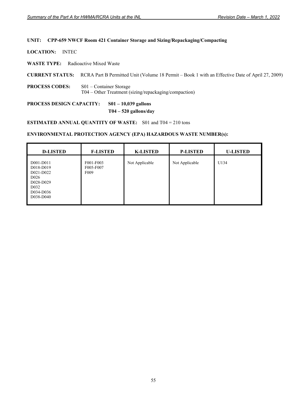### **UNIT: CPP-659 NWCF Room 421 Container Storage and Sizing/Repackaging/Compacting**

**LOCATION:** INTEC

**WASTE TYPE:** Radioactive Mixed Waste

**CURRENT STATUS:** RCRA Part B Permitted Unit (Volume 18 Permit – Book 1 with an Effective Date of April 27, 2009)

**PROCESS CODES:** S01 – Container Storage T04 – Other Treatment (sizing/repackaging/compaction)

**PROCESS DESIGN CAPACITY: S01 – 10,039 gallons** 

 **T04 – 520 gallons/day** 

**ESTIMATED ANNUAL QUANTITY OF WASTE:** S01 and T04 = 210 tons

| <b>D-LISTED</b>                                                                                                     | <b>F-LISTED</b>                            | <b>K-LISTED</b> | <b>P-LISTED</b> | <b>U-LISTED</b> |
|---------------------------------------------------------------------------------------------------------------------|--------------------------------------------|-----------------|-----------------|-----------------|
| D001-D011<br>D018-D019<br>D021-D022<br>D <sub>026</sub><br>D028-D029<br>D <sub>0</sub> 32<br>D034-D036<br>D038-D040 | F001-F003<br>F005-F007<br>F <sub>009</sub> | Not Applicable  | Not Applicable  | U134            |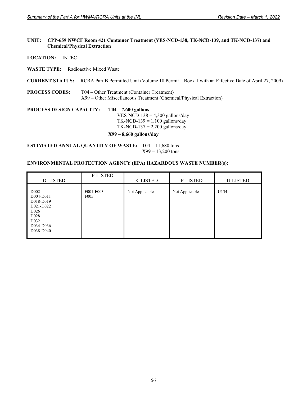#### **UNIT: CPP-659 NWCF Room 421 Container Treatment (VES-NCD-138, TK-NCD-139, and TK-NCD-137) and Chemical/Physical Extraction**

**LOCATION:** INTEC

**WASTE TYPE:** Radioactive Mixed Waste

**CURRENT STATUS:** RCRA Part B Permitted Unit (Volume 18 Permit – Book 1 with an Effective Date of April 27, 2009)

**PROCESS CODES:** T04 – Other Treatment (Container Treatment) X99 – Other Miscellaneous Treatment (Chemical/Physical Extraction)

**PROCESS DESIGN CAPACITY: T04 – 7,600 gallons**  VES-NCD-138 =  $4,300$  gallons/day TK-NCD-139 =  $1,100$  gallons/day TK-NCD-137 =  $2,200$  gallons/day

# **X99 – 8,660 gallons/day**

**ESTIMATED ANNUAL QUANTITY OF WASTE:** T04 = 11,680 tons  $X99 = 13,200$  tons

| D-LISTED                                                                                                                                       | <b>F-LISTED</b>               | K-LISTED       | P-LISTED       | <b>U-LISTED</b> |
|------------------------------------------------------------------------------------------------------------------------------------------------|-------------------------------|----------------|----------------|-----------------|
| D <sub>002</sub><br>D004-D011<br>D018-D019<br>D021-D022<br>D <sub>026</sub><br>D <sub>028</sub><br>D <sub>0</sub> 32<br>D034-D036<br>D038-D040 | F001-F003<br>F <sub>005</sub> | Not Applicable | Not Applicable | U134            |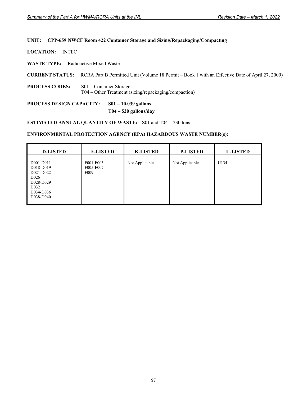### **UNIT: CPP-659 NWCF Room 422 Container Storage and Sizing/Repackaging/Compacting**

**LOCATION:** INTEC

**WASTE TYPE:** Radioactive Mixed Waste

**CURRENT STATUS:** RCRA Part B Permitted Unit (Volume 18 Permit – Book 1 with an Effective Date of April 27, 2009)

**PROCESS CODES:** S01 – Container Storage T04 – Other Treatment (sizing/repackaging/compaction)

**PROCESS DESIGN CAPACITY: S01 – 10,039 gallons** 

 **T04 – 520 gallons/day** 

**ESTIMATED ANNUAL QUANTITY OF WASTE:** S01 and T04 = 230 tons

| <b>D-LISTED</b>                                                                                                     | <b>F-LISTED</b>                            | <b>K-LISTED</b> | <b>P-LISTED</b> | <b>U-LISTED</b> |
|---------------------------------------------------------------------------------------------------------------------|--------------------------------------------|-----------------|-----------------|-----------------|
| D001-D011<br>D018-D019<br>D021-D022<br>D <sub>026</sub><br>D028-D029<br>D <sub>0</sub> 32<br>D034-D036<br>D038-D040 | F001-F003<br>F005-F007<br>F <sub>009</sub> | Not Applicable  | Not Applicable  | U134            |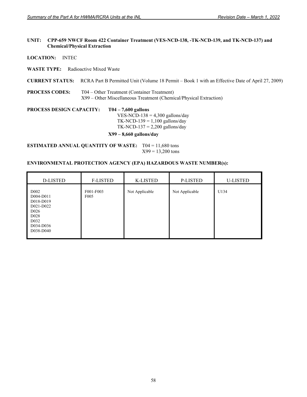#### **UNIT: CPP-659 NWCF Room 422 Container Treatment (VES-NCD-138, -TK-NCD-139, and TK-NCD-137) and Chemical/Physical Extraction**

**LOCATION:** INTEC

**WASTE TYPE:** Radioactive Mixed Waste

**CURRENT STATUS:** RCRA Part B Permitted Unit (Volume 18 Permit – Book 1 with an Effective Date of April 27, 2009)

**PROCESS CODES:** T04 – Other Treatment (Container Treatment) X99 – Other Miscellaneous Treatment (Chemical/Physical Extraction)

**PROCESS DESIGN CAPACITY: T04 – 7,600 gallons**  VES-NCD-138 =  $4,300$  gallons/day TK-NCD-139 =  $1,100$  gallons/day TK-NCD-137 =  $2,200$  gallons/day

# **X99 – 8,660 gallons/day**

**ESTIMATED ANNUAL QUANTITY OF WASTE:** T04 = 11,680 tons  $X99 = 13,200$  tons

| <b>D-LISTED</b>                                                                                                                   | <b>F-LISTED</b>               | <b>K-LISTED</b> | P-LISTED       | <b>U-LISTED</b> |
|-----------------------------------------------------------------------------------------------------------------------------------|-------------------------------|-----------------|----------------|-----------------|
| D <sub>002</sub><br>D004-D011<br>D018-D019<br>D021-D022<br>D <sub>026</sub><br>D <sub>028</sub><br>D032<br>D034-D036<br>D038-D040 | F001-F003<br>F <sub>005</sub> | Not Applicable  | Not Applicable | U134            |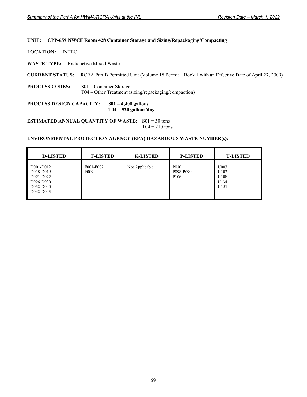### **UNIT: CPP-659 NWCF Room 428 Container Storage and Sizing/Repackaging/Compacting**

**LOCATION:** INTEC

**WASTE TYPE:** Radioactive Mixed Waste

**CURRENT STATUS:** RCRA Part B Permitted Unit (Volume 18 Permit – Book 1 with an Effective Date of April 27, 2009)

**PROCESS CODES:** S01 – Container Storage T04 – Other Treatment (sizing/repackaging/compaction)

**PROCESS DESIGN CAPACITY: S01 – 4,400 gallons T04 – 520 gallons/day** 

**ESTIMATED ANNUAL QUANTITY OF WASTE:** S01 = 30 tons  $T04 = 210$  tons

| <b>D-LISTED</b>                                                            | <b>F-LISTED</b>               | <b>K-LISTED</b> | <b>P-LISTED</b>                                    | <b>U-LISTED</b>                      |
|----------------------------------------------------------------------------|-------------------------------|-----------------|----------------------------------------------------|--------------------------------------|
| D001-D012<br>D018-D019<br>D021-D022<br>D026-D030<br>D032-D040<br>D042-D043 | F001-F007<br>F <sub>009</sub> | Not Applicable  | P <sub>0</sub> 30<br>P098-P099<br>P <sub>106</sub> | U003<br>U103<br>U108<br>U134<br>U151 |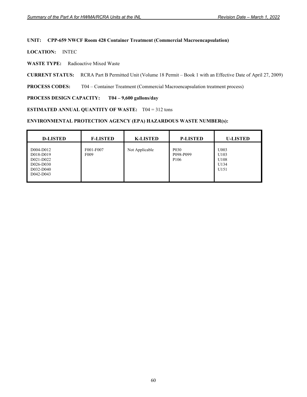#### **UNIT: CPP-659 NWCF Room 428 Container Treatment (Commercial Macroencapsulation)**

**LOCATION:** INTEC

**WASTE TYPE:** Radioactive Mixed Waste

**CURRENT STATUS:** RCRA Part B Permitted Unit (Volume 18 Permit – Book 1 with an Effective Date of April 27, 2009)

**PROCESS CODES:** T04 – Container Treatment (Commercial Macroencapsulation treatment process)

# **PROCESS DESIGN CAPACITY: T04 – 9,600 gallons/day**

# **ESTIMATED ANNUAL QUANTITY OF WASTE:** T04 = 312 tons

| <b>D-LISTED</b>                                                            | <b>F-LISTED</b>               | <b>K-LISTED</b> | <b>P-LISTED</b>                                                | <b>U-LISTED</b>                                  |
|----------------------------------------------------------------------------|-------------------------------|-----------------|----------------------------------------------------------------|--------------------------------------------------|
| D004-D012<br>D018-D019<br>D021-D022<br>D026-D030<br>D032-D040<br>D042-D043 | F001-F007<br>F <sub>009</sub> | Not Applicable  | P <sub>0</sub> 3 <sub>0</sub><br>P098-P099<br>P <sub>106</sub> | U003<br>U103<br>U108<br>U134<br>U <sub>151</sub> |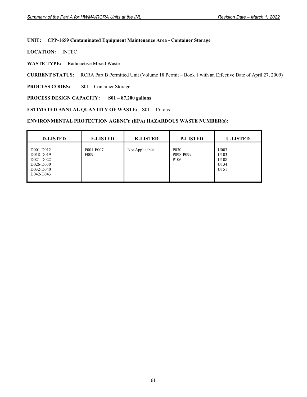#### **UNIT: CPP-1659 Contaminated Equipment Maintenance Area - Container Storage**

**LOCATION:** INTEC

**WASTE TYPE:** Radioactive Mixed Waste

**CURRENT STATUS:** RCRA Part B Permitted Unit (Volume 18 Permit – Book 1 with an Effective Date of April 27, 2009)

**PROCESS CODES:** S01 – Container Storage

#### **PROCESS DESIGN CAPACITY: S01 – 87,200 gallons**

**ESTIMATED ANNUAL QUANTITY OF WASTE:** S01 = 15 tons

| <b>D-LISTED</b>                                                            | <b>F-LISTED</b>               | <b>K-LISTED</b> | <b>P-LISTED</b>                                                | <b>U-LISTED</b>                      |
|----------------------------------------------------------------------------|-------------------------------|-----------------|----------------------------------------------------------------|--------------------------------------|
| D001-D012<br>D018-D019<br>D021-D022<br>D026-D030<br>D032-D040<br>D042-D043 | F001-F007<br>F <sub>009</sub> | Not Applicable  | P <sub>0</sub> 3 <sub>0</sub><br>P098-P099<br>P <sub>106</sub> | U003<br>U103<br>U108<br>U134<br>U151 |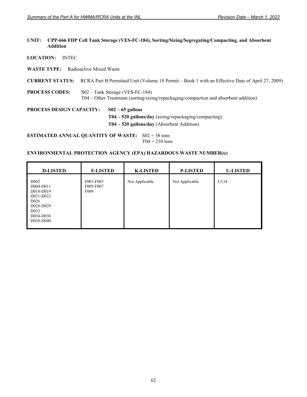#### **UNIT: CPP-666 FDP Cell Tank Storage (VES-FC-184), Sorting/Sizing/Segregating/Compacting, and Absorbent Addition**

**LOCATION:** INTEC

**WASTE TYPE:** Radioactive Mixed Waste

**CURRENT STATUS:** RCRA Part B Permitted Unit (Volume 18 Permit – Book 1 with an Effective Date of April 27, 2009)

**PROCESS CODES:** S02 – Tank Storage (VES-FC-184) T04 – Other Treatment (sorting/sizing/repackaging/compaction and absorbent addition)

**PROCESS DESIGN CAPACITY: S02 – 65 gallons T04 – 520 gallons/day** (sizing/repackaging/compacting)  **T04 – 520 gallons/day** (Absorbent Addition)

**ESTIMATED ANNUAL QUANTITY OF WASTE:** S02 = 38 tons  $T04 = 210$  tons

| <b>D-LISTED</b>                                                                                                                          | <b>F-LISTED</b>                            | <b>K-LISTED</b> | <b>P-LISTED</b> | <b>U-LISTED</b> |
|------------------------------------------------------------------------------------------------------------------------------------------|--------------------------------------------|-----------------|-----------------|-----------------|
| D <sub>0</sub> 02<br>D004-D011<br>D018-D019<br>D021-D022<br>D <sub>026</sub><br>D028-D029<br>D <sub>0</sub> 32<br>D034-D036<br>D038-D040 | F001-F003<br>F005-F007<br>F <sub>009</sub> | Not Applicable  | Not Applicable  | U134            |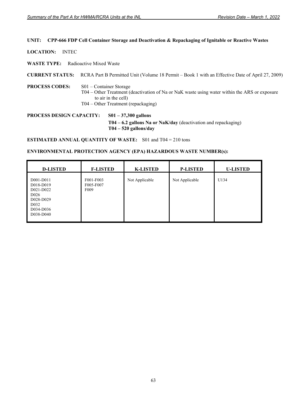#### **UNIT: CPP-666 FDP Cell Container Storage and Deactivation & Repackaging of Ignitable or Reactive Wastes**

**LOCATION:** INTEC

**WASTE TYPE:** Radioactive Mixed Waste

**CURRENT STATUS:** RCRA Part B Permitted Unit (Volume 18 Permit – Book 1 with an Effective Date of April 27, 2009)

#### **PROCESS CODES:** S01 – Container Storage T04 – Other Treatment (deactivation of Na or NaK waste using water within the ARS or exposure to air in the cell) T04 – Other Treatment (repackaging)

**PROCESS DESIGN CAPACITY: S01 – 37,300 gallons T04 – 6.2 gallons Na or NaK/day** (deactivation and repackaging)  **T04 – 520 gallons/day** 

**ESTIMATED ANNUAL QUANTITY OF WASTE:** S01 and T04 = 210 tons

| <b>D-LISTED</b>                                                                                                     | <b>F-LISTED</b>                            | <b>K-LISTED</b> | <b>P-LISTED</b> | <b>U-LISTED</b> |
|---------------------------------------------------------------------------------------------------------------------|--------------------------------------------|-----------------|-----------------|-----------------|
| D001-D011<br>D018-D019<br>D021-D022<br>D <sub>026</sub><br>D028-D029<br>D <sub>0</sub> 32<br>D034-D036<br>D038-D040 | F001-F003<br>F005-F007<br>F <sub>009</sub> | Not Applicable  | Not Applicable  | U134            |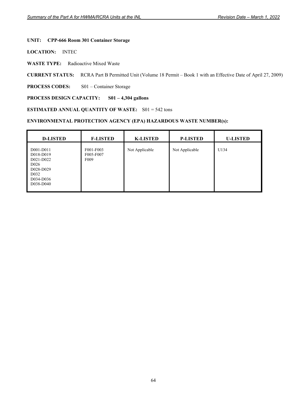### **UNIT: CPP-666 Room 301 Container Storage**

**LOCATION:** INTEC

**WASTE TYPE:** Radioactive Mixed Waste

**CURRENT STATUS:** RCRA Part B Permitted Unit (Volume 18 Permit – Book 1 with an Effective Date of April 27, 2009)

**PROCESS CODES:** S01 – Container Storage

#### **PROCESS DESIGN CAPACITY: S01 – 4,304 gallons**

#### **ESTIMATED ANNUAL QUANTITY OF WASTE:** S01 = 542 tons

| <b>D-LISTED</b>                                                                                                     | <b>F-LISTED</b>                            | <b>K-LISTED</b> | <b>P-LISTED</b> | <b>U-LISTED</b> |
|---------------------------------------------------------------------------------------------------------------------|--------------------------------------------|-----------------|-----------------|-----------------|
| D001-D011<br>D018-D019<br>D021-D022<br>D <sub>026</sub><br>D028-D029<br>D <sub>0</sub> 32<br>D034-D036<br>D038-D040 | F001-F003<br>F005-F007<br>F <sub>009</sub> | Not Applicable  | Not Applicable  | U134            |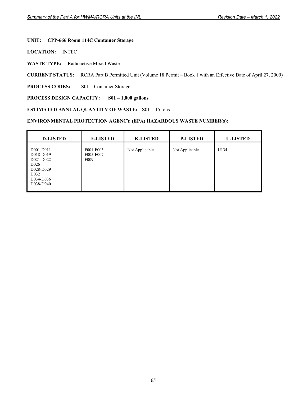## **UNIT: CPP-666 Room 114C Container Storage**

**LOCATION:** INTEC

**WASTE TYPE:** Radioactive Mixed Waste

**CURRENT STATUS:** RCRA Part B Permitted Unit (Volume 18 Permit – Book 1 with an Effective Date of April 27, 2009)

**PROCESS CODES:** S01 – Container Storage

#### **PROCESS DESIGN CAPACITY: S01 – 1,000 gallons**

#### **ESTIMATED ANNUAL QUANTITY OF WASTE:** S01 = 15 tons

| <b>D-LISTED</b>                                                                                                     | <b>F-LISTED</b>                            | <b>K-LISTED</b> | <b>P-LISTED</b> | <b>U-LISTED</b> |
|---------------------------------------------------------------------------------------------------------------------|--------------------------------------------|-----------------|-----------------|-----------------|
| D001-D011<br>D018-D019<br>D021-D022<br>D <sub>026</sub><br>D028-D029<br>D <sub>0</sub> 32<br>D034-D036<br>D038-D040 | F001-F003<br>F005-F007<br>F <sub>009</sub> | Not Applicable  | Not Applicable  | U134            |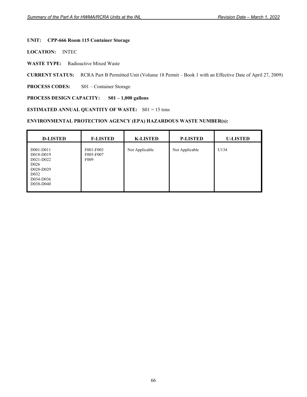## **UNIT: CPP-666 Room 115 Container Storage**

**LOCATION:** INTEC

**WASTE TYPE:** Radioactive Mixed Waste

**CURRENT STATUS:** RCRA Part B Permitted Unit (Volume 18 Permit – Book 1 with an Effective Date of April 27, 2009)

**PROCESS CODES:** S01 – Container Storage

## **PROCESS DESIGN CAPACITY: S01 – 1,000 gallons**

#### **ESTIMATED ANNUAL QUANTITY OF WASTE:** S01 = 15 tons

| <b>D-LISTED</b>                                                                                                     | <b>F-LISTED</b>                            | <b>K-LISTED</b> | <b>P-LISTED</b> | <b>U-LISTED</b> |
|---------------------------------------------------------------------------------------------------------------------|--------------------------------------------|-----------------|-----------------|-----------------|
| D001-D011<br>D018-D019<br>D021-D022<br>D <sub>026</sub><br>D028-D029<br>D <sub>0</sub> 32<br>D034-D036<br>D038-D040 | F001-F003<br>F005-F007<br>F <sub>009</sub> | Not Applicable  | Not Applicable  | U134            |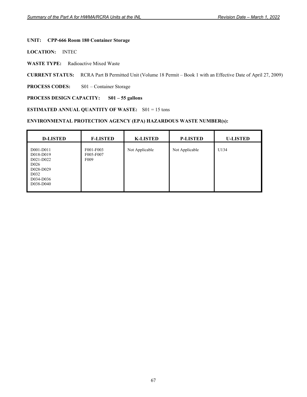# **UNIT: CPP-666 Room 180 Container Storage**

**LOCATION:** INTEC

**WASTE TYPE:** Radioactive Mixed Waste

**CURRENT STATUS:** RCRA Part B Permitted Unit (Volume 18 Permit – Book 1 with an Effective Date of April 27, 2009)

**PROCESS CODES:** S01 – Container Storage

## **PROCESS DESIGN CAPACITY: S01 – 55 gallons**

#### **ESTIMATED ANNUAL QUANTITY OF WASTE:** S01 = 15 tons

| <b>D-LISTED</b>                                                                                                     | <b>F-LISTED</b>                            | <b>K-LISTED</b> | <b>P-LISTED</b> | <b>U-LISTED</b> |
|---------------------------------------------------------------------------------------------------------------------|--------------------------------------------|-----------------|-----------------|-----------------|
| D001-D011<br>D018-D019<br>D021-D022<br>D <sub>026</sub><br>D028-D029<br>D <sub>0</sub> 32<br>D034-D036<br>D038-D040 | F001-F003<br>F005-F007<br>F <sub>009</sub> | Not Applicable  | Not Applicable  | U134            |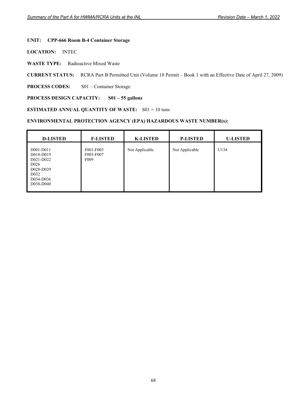# **UNIT: CPP-666 Room B-4 Container Storage**

**LOCATION:** INTEC

**WASTE TYPE:** Radioactive Mixed Waste

**CURRENT STATUS:** RCRA Part B Permitted Unit (Volume 18 Permit – Book 1 with an Effective Date of April 27, 2009)

**PROCESS CODES:** S01 – Container Storage

## **PROCESS DESIGN CAPACITY: S01 – 55 gallons**

#### **ESTIMATED ANNUAL QUANTITY OF WASTE:** S01 = 10 tons

| <b>D-LISTED</b>                                                                                                     | <b>F-LISTED</b>                            | <b>K-LISTED</b> | <b>P-LISTED</b> | <b>U-LISTED</b> |
|---------------------------------------------------------------------------------------------------------------------|--------------------------------------------|-----------------|-----------------|-----------------|
| D001-D011<br>D018-D019<br>D021-D022<br>D <sub>026</sub><br>D028-D029<br>D <sub>0</sub> 32<br>D034-D036<br>D038-D040 | F001-F003<br>F005-F007<br>F <sub>009</sub> | Not Applicable  | Not Applicable  | U134            |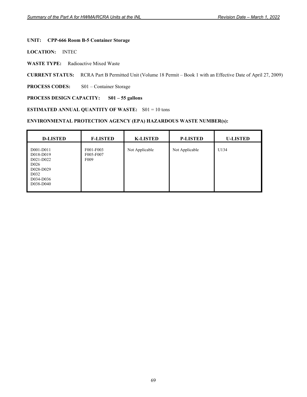# **UNIT: CPP-666 Room B-5 Container Storage**

**LOCATION:** INTEC

**WASTE TYPE:** Radioactive Mixed Waste

**CURRENT STATUS:** RCRA Part B Permitted Unit (Volume 18 Permit – Book 1 with an Effective Date of April 27, 2009)

**PROCESS CODES:** S01 – Container Storage

## **PROCESS DESIGN CAPACITY: S01 – 55 gallons**

#### **ESTIMATED ANNUAL QUANTITY OF WASTE:** S01 = 10 tons

| <b>D-LISTED</b>                                                                                                     | <b>F-LISTED</b>                            | <b>K-LISTED</b> | <b>P-LISTED</b> | <b>U-LISTED</b> |
|---------------------------------------------------------------------------------------------------------------------|--------------------------------------------|-----------------|-----------------|-----------------|
| D001-D011<br>D018-D019<br>D021-D022<br>D <sub>026</sub><br>D028-D029<br>D <sub>0</sub> 32<br>D034-D036<br>D038-D040 | F001-F003<br>F005-F007<br>F <sub>009</sub> | Not Applicable  | Not Applicable  | U134            |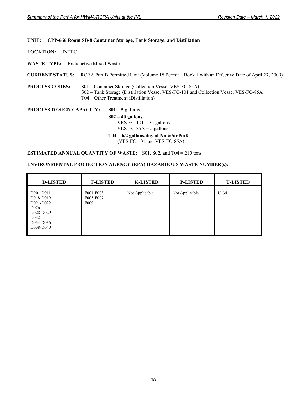#### **UNIT: CPP-666 Room SB-8 Container Storage, Tank Storage, and Distillation**

**LOCATION:** INTEC

**WASTE TYPE:** Radioactive Mixed Waste

**CURRENT STATUS:** RCRA Part B Permitted Unit (Volume 18 Permit – Book 1 with an Effective Date of April 27, 2009)

**PROCESS CODES:** S01 – Container Storage (Collection Vessel VES-FC-85A) S02 – Tank Storage (Distillation Vessel VES-FC-101 and Collection Vessel VES-FC-85A) T04 – Other Treatment (Distillation)

**PROCESS DESIGN CAPACITY: S01 – 5 gallons S02 – 40 gallons**   $VES-FC-101 = 35$  gallons VES-FC-85A  $=$  5 gallons  **T04 – 6.2 gallons/day of Na &/or NaK** 

 **(**VES-FC-101 and VES-FC-85A)

**ESTIMATED ANNUAL QUANTITY OF WASTE:** S01, S02, and T04 = 210 tons

| <b>D-LISTED</b>                                                                                                     | <b>F-LISTED</b>                            | <b>K-LISTED</b> | <b>P-LISTED</b> | <b>U-LISTED</b> |
|---------------------------------------------------------------------------------------------------------------------|--------------------------------------------|-----------------|-----------------|-----------------|
| D001-D011<br>D018-D019<br>D021-D022<br>D <sub>026</sub><br>D028-D029<br>D <sub>0</sub> 32<br>D034-D036<br>D038-D040 | F001-F003<br>F005-F007<br>F <sub>009</sub> | Not Applicable  | Not Applicable  | U134            |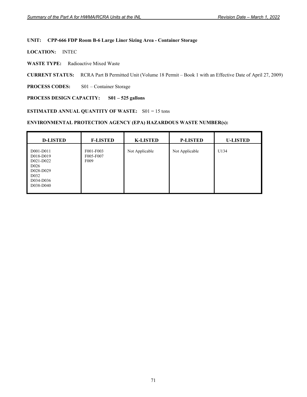#### **UNIT: CPP-666 FDP Room B-6 Large Liner Sizing Area - Container Storage**

**LOCATION:** INTEC

**WASTE TYPE:** Radioactive Mixed Waste

**CURRENT STATUS:** RCRA Part B Permitted Unit (Volume 18 Permit – Book 1 with an Effective Date of April 27, 2009)

**PROCESS CODES:** S01 – Container Storage

## **PROCESS DESIGN CAPACITY: S01 – 525 gallons**

#### **ESTIMATED ANNUAL QUANTITY OF WASTE:** S01 = 15 tons

| <b>D-LISTED</b>                                                                                                     | <b>F-LISTED</b>                            | <b>K-LISTED</b> | <b>P-LISTED</b> | <b>U-LISTED</b> |
|---------------------------------------------------------------------------------------------------------------------|--------------------------------------------|-----------------|-----------------|-----------------|
| D001-D011<br>D018-D019<br>D021-D022<br>D <sub>026</sub><br>D028-D029<br>D <sub>0</sub> 32<br>D034-D036<br>D038-D040 | F001-F003<br>F005-F007<br>F <sub>009</sub> | Not Applicable  | Not Applicable  | U134            |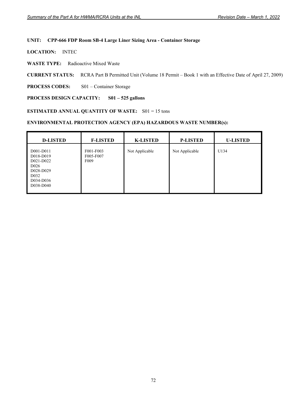#### **UNIT: CPP-666 FDP Room SB-4 Large Liner Sizing Area - Container Storage**

**LOCATION:** INTEC

**WASTE TYPE:** Radioactive Mixed Waste

**CURRENT STATUS:** RCRA Part B Permitted Unit (Volume 18 Permit – Book 1 with an Effective Date of April 27, 2009)

**PROCESS CODES:** S01 – Container Storage

#### **PROCESS DESIGN CAPACITY: S01 – 525 gallons**

#### **ESTIMATED ANNUAL QUANTITY OF WASTE:** S01 = 15 tons

| <b>D-LISTED</b>                                                                                                     | <b>F-LISTED</b>                            | <b>K-LISTED</b> | <b>P-LISTED</b> | <b>U-LISTED</b> |
|---------------------------------------------------------------------------------------------------------------------|--------------------------------------------|-----------------|-----------------|-----------------|
| D001-D011<br>D018-D019<br>D021-D022<br>D <sub>026</sub><br>D028-D029<br>D <sub>0</sub> 32<br>D034-D036<br>D038-D040 | F001-F003<br>F005-F007<br>F <sub>009</sub> | Not Applicable  | Not Applicable  | U134            |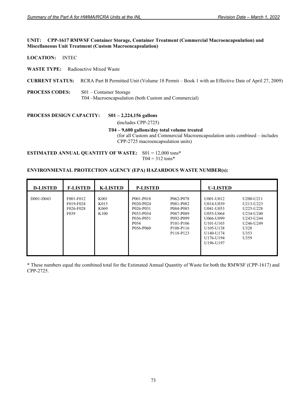#### **UNIT: CPP-1617 RMWSF Container Storage, Container Treatment (Commercial Macroencapsulation) and Miscellaneous Unit Treatment (Custom Macroencapsulation)**

**LOCATION:** INTEC

**WASTE TYPE:** Radioactive Mixed Waste

**CURRENT STATUS:** RCRA Part B Permitted Unit (Volume 18 Permit – Book 1 with an Effective Date of April 27, 2009)

**PROCESS CODES:** S01 – Container Storage T04 –Macroencapsulation (both Custom and Commercial)

**PROCESS DESIGN CAPACITY: S01 – 2,224,156 gallons** 

 **(**includes CPP-2725)

#### **T04 – 9,600 gallons/day total volume treated**

(for all Custom and Commercial Macroencapsulation units combined – includes CPP-2725 macroencapsulation units)

**ESTIMATED ANNUAL QUANTITY OF WASTE:** S01 = 12,000 tons\*  $T04 = 312 \text{ tons*}$ 

#### **ENVIRONMENTAL PROTECTION AGENCY (EPA) HAZARDOUS WASTE NUMBER(s):**

| <b>D-LISTED</b> | <b>F-LISTED</b>                                          | <b>K-LISTED</b>                                      | <b>P-LISTED</b>                                                                                |                                                                                                                                                        | <b>U-LISTED</b>                                                                                                                                         |                                                                                                                                                                                                                                 |
|-----------------|----------------------------------------------------------|------------------------------------------------------|------------------------------------------------------------------------------------------------|--------------------------------------------------------------------------------------------------------------------------------------------------------|---------------------------------------------------------------------------------------------------------------------------------------------------------|---------------------------------------------------------------------------------------------------------------------------------------------------------------------------------------------------------------------------------|
| D001-D043       | F001-F012<br>F019-F024<br>F026-F028<br>F <sub>0</sub> 39 | K <sub>001</sub><br>K015<br>K <sub>069</sub><br>K100 | P001-P018<br>P020-P024<br>P026-P031<br>P033-P034<br>P036-P051<br>P <sub>054</sub><br>P056-P060 | P062-P078<br>P081-P082<br>P084-P085<br>P087-P089<br>P092-P099<br>P <sub>101</sub> -P <sub>106</sub><br>P <sub>108</sub> -P <sub>116</sub><br>P118-P123 | U001-U012<br>U014-U039<br>U041-U053<br>U055-U064<br>U066-U099<br>U <sub>101</sub> -U <sub>103</sub><br>U105-U138<br>U140-U174<br>U176-U194<br>U196-U197 | U <sub>200</sub> -U <sub>211</sub><br>U <sub>213</sub> -U <sub>223</sub><br>U <sub>225</sub> -U <sub>228</sub><br>U <sub>234</sub> -U <sub>240</sub><br>U <sub>243</sub> -U <sub>244</sub><br>U246-U249<br>U328<br>U353<br>U359 |

\* These numbers equal the combined total for the Estimated Annual Quantity of Waste for both the RMWSF (CPP-1617) and CPP-2725.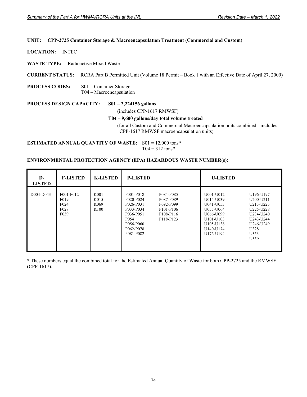#### **UNIT: CPP-2725 Container Storage & Macroencapsulation Treatment (Commercial and Custom)**

**LOCATION:** INTEC

**WASTE TYPE:** Radioactive Mixed Waste

**CURRENT STATUS:** RCRA Part B Permitted Unit (Volume 18 Permit – Book 1 with an Effective Date of April 27, 2009)

**PROCESS CODES:** S01 – Container Storage T04 – Macroencapsulation

**PROCESS DESIGN CAPACITY: S01 – 2,224156 gallons** 

(includes CPP-1617 RMWSF)

#### **T04 – 9,600 gallons/day total volume treated**

(for all Custom and Commercial Macroencapsulation units combined - includes CPP-1617 RMWSF macroencapsulation units)

**ESTIMATED ANNUAL QUANTITY OF WASTE:** S01 = 12,000 tons\*  $T04 = 312 \text{ tons*}$ 

#### **ENVIRONMENTAL PROTECTION AGENCY (EPA) HAZARDOUS WASTE NUMBER(s):**

| $\mathbf{D}$<br><b>LISTED</b> | <b>F-LISTED</b>                                                                | <b>K-LISTED</b>                                      | <b>P-LISTED</b>                                                                                                          |                                                                                                     | <b>U-LISTED</b>                                                                                                                            |                                                                                                                 |
|-------------------------------|--------------------------------------------------------------------------------|------------------------------------------------------|--------------------------------------------------------------------------------------------------------------------------|-----------------------------------------------------------------------------------------------------|--------------------------------------------------------------------------------------------------------------------------------------------|-----------------------------------------------------------------------------------------------------------------|
| D004-D043                     | F001-F012<br>F <sub>0</sub> 19<br>F <sub>024</sub><br>F <sub>028</sub><br>F039 | K001<br>K015<br>K <sub>069</sub><br>K <sub>100</sub> | P001-P018<br>P020-P024<br>P026-P031<br>P033-P034<br>P036-P051<br>P <sub>054</sub><br>P056-P060<br>P062-P078<br>P081-P082 | P084-P085<br>P087-P089<br>P092-P099<br>P <sub>101</sub> -P <sub>106</sub><br>P108-P116<br>P118-P123 | U001-U012<br>U014-U039<br>U041-U053<br>U055-U064<br>U066-U099<br>U <sub>101</sub> -U <sub>103</sub><br>U105-U138<br>U140-U174<br>U176-U194 | U196-U197<br>U200-U211<br>U213-U223<br>U225-U228<br>U234-U240<br>U243-U244<br>U246-U249<br>U328<br>U353<br>U359 |

\* These numbers equal the combined total for the Estimated Annual Quantity of Waste for both CPP-2725 and the RMWSF (CPP-1617).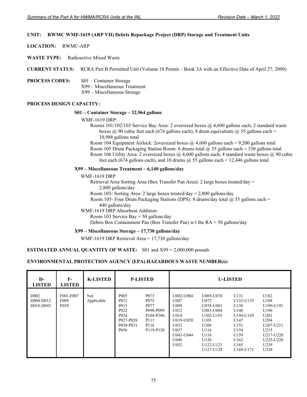# **UNIT: RWMC WMF-1619 (ARP VII) Debris Repackage Project (DRP) Storage and Treatment Units**

**LOCATION:** RWMC-ARP

**WASTE TYPE:** Radioactive Mixed Waste

**CURRENT STATUS:** RCRA Part B Permitted Unit (Volume 18 Permit – Book 3A with an Effective Date of April 27, 2009)

**PROCESS CODES:** S01 – Container Storage X99 – Miscellaneous Treatment X99 – Miscellaneous Storage

#### **PROCESS DESIGN CAPACITY:**

#### **S01 – Container Storage – 32,964 gallons**

WMF-1619 DRP:

 Rooms 101/102/103 Service Bay Area: 2 oversized boxes @ 4,600 gallons each, 2 standard waste boxes  $\omega$  90 cubic feet each (674 gallons each), 8 drum equivalents  $\omega$  55 gallons each = 10,988 gallons total

 Room 104 Equipment Airlock: 2oversized boxes @ 4,600 gallons each = 9,200 gallons total Room 105 Drum Packaging Station Room: 6 drums total @ 55 gallons each = 330 gallons total Room 106 Utility Area: 2 oversized boxes @ 4,600 gallons each, 4 standard waste boxes @ 90 cubic feet each (674 gallons each), and 10 drums  $\omega$  55 gallons each = 12,446 gallons total

#### **X99 – Miscellaneous Treatment – 6,140 gallons/day**

WMF-1619 DRP

 Retrieval Area Sorting Area (Box Transfer Pan Area): 2 large boxes treated/day = 2,800 gallons/day Room 103- Sorting Area: 2 large boxes treated/day =  $2,800$  gallons/day

Room 105- Four Drum Packaging Stations (DPS): 8 drums/day total  $\omega$  55 gallons each = 440 gallons/day

WMF-1619 DRP Absorbent Addition:

Room 103 Service Bay  $=$  50 gallons/day

Debris Box Containment Pan (Box Transfer Pan) w/i the RA = 50 gallons/day

#### **X99 – Miscellaneous Storage – 17,730 gallons/day**

WMF-1619 DRP Retrieval Area = 17,730 gallons/day

#### **ESTIMATED ANNUAL QUANTITY OF WASTE:** S01 and X99 = 2,000,000 pounds

| D-<br><b>LISTED</b>                        | $F-$<br><b>LISTED</b>                              | <b>K-LISTED</b>   |                                                                                                                                    | <b>P-LISTED</b>                                                                                                                                                   |                                                                                                     |                                                                                                                                        | <b>U-LISTED</b>                                                                                             |                                                                                                                  |
|--------------------------------------------|----------------------------------------------------|-------------------|------------------------------------------------------------------------------------------------------------------------------------|-------------------------------------------------------------------------------------------------------------------------------------------------------------------|-----------------------------------------------------------------------------------------------------|----------------------------------------------------------------------------------------------------------------------------------------|-------------------------------------------------------------------------------------------------------------|------------------------------------------------------------------------------------------------------------------|
| D <sub>002</sub><br>D004-D012<br>D018-D043 | F001-F007<br>F <sub>009</sub><br>F <sub>0</sub> 39 | Not<br>Applicable | P <sub>005</sub><br>P012<br>P <sub>015</sub><br>P <sub>022</sub><br>P <sub>024</sub><br>P027-P028<br>P030-P031<br>P <sub>056</sub> | P <sub>073</sub><br>P <sub>075</sub><br>P <sub>077</sub><br>P098-P099<br>P <sub>104</sub> -P <sub>106</sub><br>P113<br>P116<br>P <sub>119</sub> -P <sub>120</sub> | U002-U004<br>U007<br>U009<br>U012<br>U014<br>U019-U020<br>U032<br>U037<br>U043-U044<br>U048<br>U052 | U069-U070<br>U072<br>U078-U081<br>U083-U084<br>U102-U103<br>U <sub>105</sub><br>U108<br>U116<br>U118<br>U120<br>U122-U123<br>U127-U128 | U131<br>U133-U135<br>U138<br>U140<br>U144-U145<br>U147<br>U151<br>U154<br>U159<br>U162<br>U165<br>U169-U171 | U182<br>U188<br>U190-U191<br>U196<br>U201<br>U204<br>U207-U211<br>U215<br>U217-U220<br>U225-U228<br>U239<br>U328 |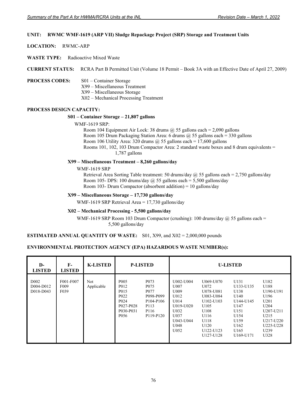### **UNIT: RWMC WMF-1619 (ARP VII) Sludge Repackage Project (SRP) Storage and Treatment Units**

**LOCATION:** RWMC-ARP

**WASTE TYPE:** Radioactive Mixed Waste

**CURRENT STATUS:** RCRA Part B Permitted Unit (Volume 18 Permit – Book 3A with an Effective Date of April 27, 2009)

#### **PROCESS CODES:** S01 – Container Storage

- X99 Miscellaneous Treatment
- X99 Miscellaneous Storage
- X02 Mechanical Processing Treatment

#### **PROCESS DESIGN CAPACITY:**

#### **S01 – Container Storage – 21,807 gallons**

#### WMF-1619 SRP:

Room 104 Equipment Air Lock: 38 drums  $\omega$  55 gallons each = 2,090 gallons Room 105 Drum Packaging Station Area: 6 drums  $\omega$  55 gallons each = 330 gallons Room 106 Utility Area: 320 drums  $\omega$  55 gallons each = 17,600 gallons Rooms 101, 102, 103 Drum Compactor Area: 2 standard waste boxes and 8 drum equivalents = 1,787 gallons

#### **X99 – Miscellaneous Treatment – 8,260 gallons/day**

WMF-1619 SRP

Retrieval Area Sorting Table treatment: 50 drums/day  $\omega$  55 gallons each = 2,750 gallons/day Room 105- DPS: 100 drums/day  $@$  55 gallons each = 5,500 gallons/day Room 103- Drum Compactor (absorbent addition) = 10 gallons/day

#### **X99 – Miscellaneous Storage – 17,730 gallons/day**

WMF-1619 SRP Retrieval Area = 17,730 gallons/day

#### **X02 – Mechanical Processing - 5,500 gallons/day**

WMF-1619 SRP Room 103 Drum Compactor (crushing): 100 drums/day  $\omega$  55 gallons each = 5,500 gallons/day

#### **ESTIMATED ANNUAL QUANTITY OF WASTE:** S01, X99, and X02 = 2,000,000 pounds

| $\mathbf{D}$<br><b>LISTED</b>              | $F-$<br><b>LISTED</b>                 | <b>K-LISTED</b>   | <b>P-LISTED</b>                                                                                                        |                                                                                                                 | <b>U-LISTED</b>                                                                                     |                                                                                                                            |                                                                                                             |                                                                                                                              |
|--------------------------------------------|---------------------------------------|-------------------|------------------------------------------------------------------------------------------------------------------------|-----------------------------------------------------------------------------------------------------------------|-----------------------------------------------------------------------------------------------------|----------------------------------------------------------------------------------------------------------------------------|-------------------------------------------------------------------------------------------------------------|------------------------------------------------------------------------------------------------------------------------------|
| D <sub>002</sub><br>D004-D012<br>D018-D043 | F001-F007<br>F <sub>009</sub><br>F039 | Not<br>Applicable | P <sub>005</sub><br>P012<br>P015<br>P <sub>022</sub><br>P <sub>024</sub><br>P027-P028<br>P030-P031<br>P <sub>056</sub> | P <sub>073</sub><br>P <sub>075</sub><br>P <sub>077</sub><br>P098-P099<br>P104-P106<br>P113<br>P116<br>P119-P120 | U002-U004<br>U007<br>U009<br>U012<br>U014<br>U019-U020<br>U032<br>U037<br>U043-U044<br>U048<br>U052 | U069-U070<br>U072<br>U078-U081<br>U083-U084<br>U102-U103<br>U105<br>U108<br>U116<br>U118<br>U120<br>U122-U123<br>U127-U128 | U131<br>U133-U135<br>U138<br>U140<br>U144-U145<br>U147<br>U151<br>U154<br>U159<br>U162<br>U165<br>U169-U171 | U182<br>U188<br>U190-U191<br>U196<br>U201<br>U <sub>204</sub><br>U207-U211<br>U215<br>U217-U220<br>U225-U228<br>U239<br>U328 |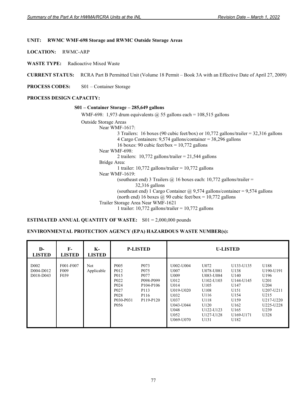#### **UNIT: RWMC WMF-698 Storage and RWMC Outside Storage Areas**

**LOCATION:** RWMC-ARP

**WASTE TYPE:** Radioactive Mixed Waste

**CURRENT STATUS:** RCRA Part B Permitted Unit (Volume 18 Permit – Book 3A with an Effective Date of April 27, 2009)

**PROCESS CODES:** S01 – Container Storage

#### **PROCESS DESIGN CAPACITY:**

#### **S01 – Container Storage – 285,649 gallons**

WMF-698: 1,973 drum equivalents  $\omega$  55 gallons each = 108,515 gallons

Outside Storage Areas Near WMF-1617: 3 Trailers: 16 boxes (90 cubic feet/box) or 10,772 gallons/trailer = 32,316 gallons 4 Cargo Containers: 9,574 gallons/container = 38,296 gallons 16 boxes: 90 cubic feet/box =  $10,772$  gallons Near WMF-698: 2 trailers: 10,772 gallons/trailer = 21,544 gallons Bridge Area: 1 trailer: 10,772 gallons/trailer = 10,772 gallons Near WMF-1619: (southeast end) 3 Trailers  $@$  16 boxes each: 10,772 gallons/trailer = 32,316 gallons (southeast end) 1 Cargo Container  $\omega$  9,574 gallons/container = 9,574 gallons (north end) 16 boxes  $\omega$  90 cubic feet/box = 10,772 gallons Trailer Storage Area Near WMF-1621 1 trailer: 10,772 gallons/trailer =  $10,772$  gallons

**ESTIMATED ANNUAL QUANTITY OF WASTE:** S01 = 2,000,000 pounds

| D-<br><b>LISTED</b>                         | F-<br><b>LISTED</b>                   | K-<br><b>LISTED</b> | <b>P-LISTED</b>                                                                                                                                               |                                                                                                                              | <b>U-LISTED</b>                                                                                                  |                                                                                                                                   |                                                                                                             |                                                                                                                                               |
|---------------------------------------------|---------------------------------------|---------------------|---------------------------------------------------------------------------------------------------------------------------------------------------------------|------------------------------------------------------------------------------------------------------------------------------|------------------------------------------------------------------------------------------------------------------|-----------------------------------------------------------------------------------------------------------------------------------|-------------------------------------------------------------------------------------------------------------|-----------------------------------------------------------------------------------------------------------------------------------------------|
| D <sub>0</sub> 02<br>D004-D012<br>D018-D043 | F001-F007<br>F <sub>009</sub><br>F039 | Not<br>Applicable   | P <sub>005</sub><br>P012<br>P <sub>015</sub><br>P <sub>022</sub><br>P <sub>024</sub><br>P <sub>027</sub><br>P <sub>028</sub><br>P030-P031<br>P <sub>056</sub> | P <sub>073</sub><br>P <sub>075</sub><br>P077<br>P098-P099<br>P <sub>104</sub> -P <sub>106</sub><br>P113<br>P116<br>P119-P120 | U002-U004<br>U007<br>U009<br>U012<br>U014<br>U019-U020<br>U032<br>U037<br>U043-U044<br>U048<br>U052<br>U069-U070 | U072<br>U078-U081<br>U083-U084<br>U102-U103<br>U <sub>105</sub><br>U108<br>U116<br>U118<br>U120<br>U122-U123<br>U127-U128<br>U131 | U133-U135<br>U138<br>U140<br>U144-U145<br>U147<br>U151<br>U154<br>U159<br>U162<br>U165<br>U169-U171<br>U182 | U188<br>U190-U191<br>U196<br>U201<br>U <sub>204</sub><br>U <sub>207</sub> -U <sub>211</sub><br>U215<br>U217-U220<br>U225-U228<br>U239<br>U328 |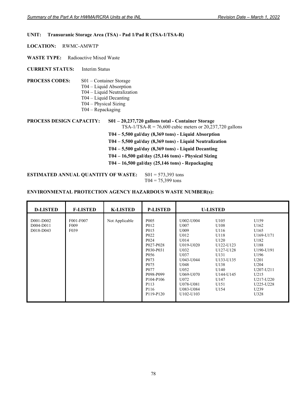# **UNIT: Transuranic Storage Area (TSA) - Pad 1/Pad R (TSA-1/TSA-R)**

**LOCATION:** RWMC-AMWTP

**WASTE TYPE:** Radioactive Mixed Waste

**CURRENT STATUS:** Interim Status

- **PROCESS CODES:** S01 Container Storage
	- T04 Liquid Absorption
		- T04 Liquid Neutralization
		- T04 Liquid Decanting
		- T04 Physical Sizing
		- T04 Repackaging

**PROCESS DESIGN CAPACITY: S01 – 20,237,720 gallons total - Container Storage**  TSA-1/TSA-R = 76,600 cubic meters or 20,237,720 gallons **T04 – 5,500 gal/day (8,369 tons) - Liquid Absorption** 

- **T04 5,500 gal/day (8,369 tons) Liquid Neutralization**
- **T04 5,500 gal/day (8,369 tons) Liquid Decanting**
- **T04 16,500 gal/day (25,146 tons) Physical Sizing**
- **T04 16,500 gal/day (25,146 tons) Repackaging**

**ESTIMATED ANNUAL QUANTITY OF WASTE:** S01 = 573,393 tons  $T04 = 75,399$  tons

| <b>D-LISTED</b>                     | <b>F-LISTED</b>                                    | <b>K-LISTED</b> | <b>P-LISTED</b>                                                                                                                                                                                                                                                     |                                                                                                                                                                                          | <b>U-LISTED</b>                                                                                                                          |                                                                                                                                                                   |
|-------------------------------------|----------------------------------------------------|-----------------|---------------------------------------------------------------------------------------------------------------------------------------------------------------------------------------------------------------------------------------------------------------------|------------------------------------------------------------------------------------------------------------------------------------------------------------------------------------------|------------------------------------------------------------------------------------------------------------------------------------------|-------------------------------------------------------------------------------------------------------------------------------------------------------------------|
| D001-D002<br>D004-D011<br>D018-D043 | F001-F007<br>F <sub>009</sub><br>F <sub>0</sub> 39 | Not Applicable  | P <sub>005</sub><br>P012<br>P <sub>0</sub> 15<br>P <sub>022</sub><br>P <sub>024</sub><br>P027-P028<br>P030-P031<br>P <sub>056</sub><br>P <sub>073</sub><br>P <sub>075</sub><br>P077<br>P098-P099<br>P <sub>104</sub> -P <sub>106</sub><br>P113<br>P116<br>P119-P120 | U002-U004<br>U007<br>U009<br>U012<br>U014<br>U019-U020<br>U032<br>U037<br>U043-U044<br>U048<br>U052<br>U069-U070<br>U072<br>U078-U081<br>U083-U084<br>U <sub>102</sub> -U <sub>103</sub> | U105<br>U108<br>U116<br>U118<br>U120<br>U122-U123<br>U127-U128<br>U131<br>U133-U135<br>U138<br>U140<br>U144-U145<br>U147<br>U151<br>U154 | U159<br>U162<br>U165<br>U169-U171<br>U182<br>U188<br>U190-U191<br>U196<br>U201<br>U <sub>204</sub><br>U207-U211<br>U215<br>U217-U220<br>U225-U228<br>U239<br>U328 |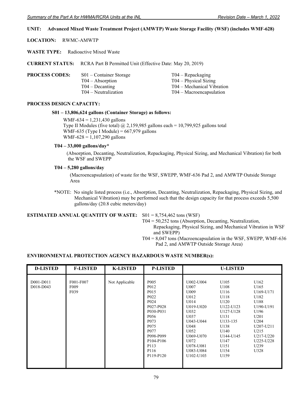### **UNIT: Advanced Mixed Waste Treatment Project (AMWTP) Waste Storage Facility (WSF) (includes WMF-628)**

**LOCATION:** RWMC-AMWTP

**WASTE TYPE:** Radioactive Mixed Waste

**CURRENT STATUS:** RCRA Part B Permitted Unit (Effective Date: May 20, 2019)

| <b>PROCESS CODES:</b> | $S01$ – Container Storage<br>$T04 - Absorption$ | $T04 - Repackaging$<br>$T04 - Physical Sizing$           |
|-----------------------|-------------------------------------------------|----------------------------------------------------------|
|                       | $T04 - Decanting$<br>$T04 - Neutraliization$    | T04 – Mechanical Vibration<br>$T04 - Macroencapsulation$ |
|                       |                                                 |                                                          |

#### **PROCESS DESIGN CAPACITY:**

#### **S01 – 13,806,624 gallons (Container Storage) as follows:**

WMF-634 =  $1,231,430$  gallons Type II Modules (five total) @ 2,159,985 gallons each = 10,799,925 gallons total WMF-635 (Type I Module) =  $667,979$  gallons WMF-628 =  $1,107,290$  gallons

# **T04 – 33,000 gallons/day\***

 (Absorption, Decanting, Neutralization, Repackaging, Physical Sizing, and Mechanical Vibration) for both the WSF and SWEPP

#### **T04 – 5,280 gallons/day**

(Macroencapsulation) of waste for the WSF, SWEPP, WMF-636 Pad 2, and AMWTP Outside Storage Area

\*NOTE: No single listed process (i.e., Absorption, Decanting, Neutralization, Repackaging, Physical Sizing, and Mechanical Vibration) may be performed such that the design capacity for that process exceeds 5,500 gallons/day (20.8 cubic meters/day)

#### **ESTIMATED ANNUAL QUANTITY OF WASTE:** S01 = 8,754,462 tons (WSF)

T04 = 50,252 tons (Absorption, Decanting, Neutralization,

Repackaging, Physical Sizing, and Mechanical Vibration in WSF and SWEPP)

 $T04 = 8,047$  tons (Macroencapsulation in the WSF, SWEPP, WMF-636 Pad 2, and AMWTP Outside Storage Area)

| <b>D-LISTED</b>        | <b>F-LISTED</b>                       | <b>K-LISTED</b> | <b>P-LISTED</b>                                                                                                                                                                                                                                                                              |                                                                                                                                                                 | <b>U-LISTED</b>                                                                                                                                 |                                                                                                                                                           |
|------------------------|---------------------------------------|-----------------|----------------------------------------------------------------------------------------------------------------------------------------------------------------------------------------------------------------------------------------------------------------------------------------------|-----------------------------------------------------------------------------------------------------------------------------------------------------------------|-------------------------------------------------------------------------------------------------------------------------------------------------|-----------------------------------------------------------------------------------------------------------------------------------------------------------|
| D001-D011<br>D018-D043 | F001-F007<br>F <sub>009</sub><br>F039 | Not Applicable  | P <sub>005</sub><br>P <sub>0</sub> 12<br>P <sub>0</sub> 15<br>P <sub>022</sub><br>P <sub>024</sub><br>P027-P028<br>P030-P031<br>P <sub>056</sub><br>P <sub>073</sub><br>P <sub>075</sub><br>P <sub>077</sub><br>P098-P099<br>P <sub>104</sub> -P <sub>106</sub><br>P113<br>P116<br>P119-P120 | U002-U004<br>U007<br>U009<br>U012<br>U014<br>U019-U020<br>U032<br>U037<br>U043-U044<br>U048<br>U052<br>U069-U070<br>U072<br>U078-U081<br>U083-U084<br>U102-U103 | U105<br>U108<br>U116<br>U118<br>U120<br>U122-U123<br>U127-U128<br>U131<br>U133-135<br>U138<br>U140<br>U144-U145<br>U147<br>U151<br>U154<br>U159 | U162<br>U165<br>U169-U171<br>U182<br>U188<br>U190-U191<br>U196<br>U201<br>U <sub>204</sub><br>U207-U211<br>U215<br>U217-U220<br>U225-U228<br>U239<br>U328 |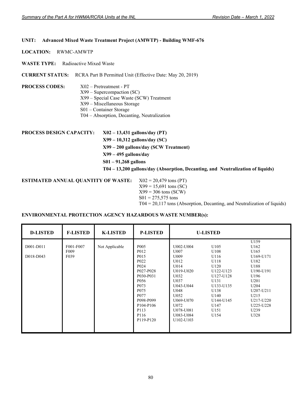#### **UNIT: Advanced Mixed Waste Treatment Project (AMWTP) - Building WMF-676**

**LOCATION:** RWMC-AMWTP

**WASTE TYPE:** Radioactive Mixed Waste

**CURRENT STATUS:** RCRA Part B Permitted Unit (Effective Date: May 20, 2019)

### **PROCESS CODES:** X02 – Pretreatment - PT

# X99 – Supercompaction (SC)

X99 – Special Case Waste (SCW) Treatment

- X99 Miscellaneous Storage
- S01 Container Storage
- T04 Absorption, Decanting, Neutralization

**PROCESS DESIGN CAPACITY: X02 – 13,431 gallons/day (PT) X99 – 10,312 gallons/day (SC) X99 – 200 gallons/day (SCW Treatment) X99 – 495 gallons/day S01 – 91,268 gallons T04 – 13,200 gallons/day (Absorption, Decanting, and Neutralization of liquids)** 

**ESTIMATED ANNUAL QUANTITY OF WASTE:** X02 = 20,479 tons (PT)  $X99 = 15,691$  tons (SC)  $X99 = 306$  tons (SCW)  $S01 = 275,575$  tons T04 = 20,117 tons (Absorption, Decanting, and Neutralization of liquids)

| <b>D-LISTED</b>        | <b>F-LISTED</b>                       | <b>K-LISTED</b> | <b>P-LISTED</b>                                                                                                                                                                                                                           |                                                                                                                                                                                          | <b>U-LISTED</b>                                                                                                                          |                                                                                                                                                                                            |
|------------------------|---------------------------------------|-----------------|-------------------------------------------------------------------------------------------------------------------------------------------------------------------------------------------------------------------------------------------|------------------------------------------------------------------------------------------------------------------------------------------------------------------------------------------|------------------------------------------------------------------------------------------------------------------------------------------|--------------------------------------------------------------------------------------------------------------------------------------------------------------------------------------------|
| D001-D011<br>D018-D043 | F001-F007<br>F <sub>009</sub><br>F039 | Not Applicable  | P <sub>005</sub><br>P012<br>P <sub>015</sub><br>P <sub>022</sub><br>P <sub>024</sub><br>P027-P028<br>P030-P031<br>P <sub>056</sub><br>P <sub>073</sub><br>P <sub>075</sub><br>P077<br>P098-P099<br>P104-P106<br>P113<br>P116<br>P119-P120 | U002-U004<br>U007<br>U009<br>U012<br>U014<br>U019-U020<br>U032<br>U037<br>U043-U044<br>U048<br>U052<br>U069-U070<br>U072<br>U078-U081<br>U083-U084<br>U <sub>102</sub> -U <sub>103</sub> | U105<br>U108<br>U116<br>U118<br>U120<br>U122-U123<br>U127-U128<br>U131<br>U133-U135<br>U138<br>U140<br>U144-U145<br>U147<br>U151<br>U154 | U159<br>U162<br>U165<br>U169-U171<br>U182<br>U188<br>U190-U191<br>U196<br>U201<br>U <sub>204</sub><br>U <sub>207</sub> -U <sub>211</sub><br>U215<br>U217-U220<br>U225-U228<br>U239<br>U328 |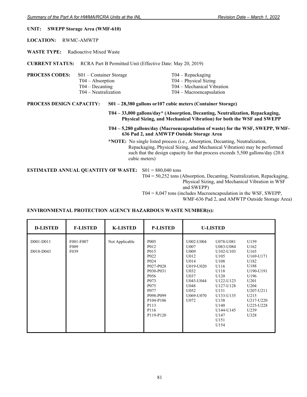#### **UNIT: SWEPP Storage Area (WMF-610)**

**LOCATION:** RWMC-AMWTP

**WASTE TYPE:** Radioactive Mixed Waste

**CURRENT STATUS:** RCRA Part B Permitted Unit (Effective Date: May 20, 2019)

| <b>PROCESS CODES:</b> | $S01 - Container Storage$<br>$T04 - Absorption$<br>$T04 - Decanting$ | $T04 - Repackaging$<br>$T04 - Physical Sizing$<br>T04 – Mechanical Vibration |
|-----------------------|----------------------------------------------------------------------|------------------------------------------------------------------------------|
|                       | $T04 - Neutraliization$                                              | $T04 - Macroencapsulation$                                                   |

#### **PROCESS DESIGN CAPACITY: S01 – 28,380 gallons or107 cubic meters (Container Storage)**

 **T04 – 33,000 gallons/day\* (Absorption, Decanting, Neutralization, Repackaging, Physical Sizing, and Mechanical Vibration) for both the WSF and SWEPP** 

#### **T04 – 5,280 gallons/day (Macroencapsulation of waste) for the WSF, SWEPP, WMF-636 Pad 2, and AMWTP Outside Storage Area**

 **\*NOTE:** No single listed process (i.e., Absorption, Decanting, Neutralization, Repackaging, Physical Sizing, and Mechanical Vibration) may be performed such that the design capacity for that process exceeds 5,500 gallons/day (20.8 cubic meters)

**ESTIMATED ANNUAL QUANTITY OF WASTE:** S01 = 880,040 tons

 T04 = 50,252 tons (Absorption, Decanting, Neutralization, Repackaging, Physical Sizing, and Mechanical Vibration in WSF and SWEPP) T04 = 8,047 tons (includes Macroencapsulation in the WSF, SWEPP,

WMF-636 Pad 2. and AMWTP Outside Storage Area)

|  | WINIT-050 Fau 2, and AIN W IT Outside Storage Area |
|--|----------------------------------------------------|
|  |                                                    |

| <b>D-LISTED</b>        | <b>F-LISTED</b>                       | <b>K-LISTED</b> | <b>P-LISTED</b>                                                                                                                                                                                                                                                     |                                                                                                                          | <b>U-LISTED</b>                                                                                                                                                                 |                                                                                                                                                                   |
|------------------------|---------------------------------------|-----------------|---------------------------------------------------------------------------------------------------------------------------------------------------------------------------------------------------------------------------------------------------------------------|--------------------------------------------------------------------------------------------------------------------------|---------------------------------------------------------------------------------------------------------------------------------------------------------------------------------|-------------------------------------------------------------------------------------------------------------------------------------------------------------------|
| D001-D011<br>D018-D043 | F001-F007<br>F <sub>009</sub><br>F039 | Not Applicable  | P <sub>005</sub><br>P <sub>0</sub> 12<br>P015<br>P <sub>022</sub><br>P <sub>024</sub><br>P027-P028<br>P030-P031<br>P <sub>056</sub><br>P <sub>073</sub><br>P <sub>075</sub><br>P077<br>P098-P099<br>P <sub>104</sub> -P <sub>106</sub><br>P113<br>P116<br>P119-P120 | U002-U004<br>U007<br>U009<br>U012<br>U014<br>U019-U020<br>U032<br>U037<br>U043-U044<br>U048<br>U052<br>U069-U070<br>U072 | U078-U081<br>U083-U084<br>U102-U103<br>U105<br>U108<br>U116<br>U118<br>U120<br>U122-U123<br>U127-U128<br>U131<br>U133-U135<br>U138<br>U140<br>U144-U145<br>U147<br>U151<br>U154 | U159<br>U162<br>U165<br>U169-U171<br>U182<br>U188<br>U190-U191<br>U196<br>U201<br>U <sub>204</sub><br>U207-U211<br>U215<br>U217-U220<br>U225-U228<br>U239<br>U328 |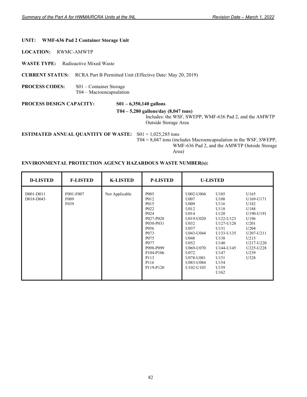#### **UNIT: WMF-636 Pad 2 Container Storage Unit**

**LOCATION:** RWMC-AMWTP

**WASTE TYPE:** Radioactive Mixed Waste

**CURRENT STATUS:** RCRA Part B Permitted Unit (Effective Date: May 20, 2019)

**PROCESS CODES:** S01 – Container Storage T04 – Macroencapsulation

**PROCESS DESIGN CAPACITY: S01 – 6,350,140 gallons** 

 **T04 – 5,280 gallons/day (8,047 tons)** 

Includes: the WSF, SWEPP, WMF-636 Pad 2, and the AMWTP Outside Storage Area

**ESTIMATED ANNUAL QUANTITY OF WASTE:** S01 = 1,025,285 tons

 T04 = 8,047 tons (includes Macroencapsulation in the WSF, SWEPP, WMF-636 Pad 2, and the AMWTP Outside Storage Area)

| <b>D-LISTED</b>        | <b>F-LISTED</b>                       | <b>K-LISTED</b> | <b>P-LISTED</b>                                                                                                                                                                                                                                                                             | <b>U-LISTED</b>                                                                                                                                                 |                                                                                                                                                          |                                                                                                                                       |
|------------------------|---------------------------------------|-----------------|---------------------------------------------------------------------------------------------------------------------------------------------------------------------------------------------------------------------------------------------------------------------------------------------|-----------------------------------------------------------------------------------------------------------------------------------------------------------------|----------------------------------------------------------------------------------------------------------------------------------------------------------|---------------------------------------------------------------------------------------------------------------------------------------|
| D001-D011<br>D018-D043 | F001-F007<br>F <sub>009</sub><br>F039 | Not Applicable  | P <sub>005</sub><br>P <sub>0</sub> 12<br>P <sub>015</sub><br>P <sub>022</sub><br>P <sub>024</sub><br>P027-P028<br>P030-P031<br>P <sub>056</sub><br>P <sub>073</sub><br>P <sub>075</sub><br>P <sub>077</sub><br>P098-P099<br>P <sub>104</sub> -P <sub>106</sub><br>P113<br>P116<br>P119-P120 | U002-U004<br>U007<br>U009<br>U012<br>U014<br>U019-U020<br>U032<br>U037<br>U043-U044<br>U048<br>U052<br>U069-U070<br>U072<br>U078-U081<br>U083-U084<br>U102-U103 | U105<br>U108<br>U116<br>U118<br>U120<br>U122-U123<br>U127-U128<br>U131<br>U133-U135<br>U138<br>U140<br>U144-U145<br>U147<br>U151<br>U154<br>U159<br>U162 | U165<br>U169-U171<br>U182<br>U188<br>U190-U191<br>U196<br>U201<br>U204<br>U207-U211<br>U215<br>U217-U220<br>U225-U228<br>U239<br>U328 |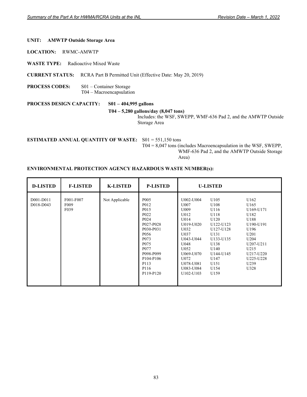#### **UNIT: AMWTP Outside Storage Area**

**LOCATION:** RWMC-AMWTP

**WASTE TYPE:** Radioactive Mixed Waste

**CURRENT STATUS:** RCRA Part B Permitted Unit (Effective Date: May 20, 2019)

**PROCESS CODES:** S01 – Container Storage T04 – Macroencapsulation

**PROCESS DESIGN CAPACITY: S01 – 404,995 gallons** 

# **T04 – 5,280 gallons/day (8,047 tons)**

Includes: the WSF, SWEPP, WMF-636 Pad 2, and the AMWTP Outside Storage Area

**ESTIMATED ANNUAL QUANTITY OF WASTE:** S01 = 551,150 tons

T04 = 8,047 tons (includes Macroencapsulation in the WSF, SWEPP,

WMF-636 Pad 2, and the AMWTP Outside Storage

Area)

| <b>D-LISTED</b>        | <b>F-LISTED</b>                       | <b>K-LISTED</b> | <b>P-LISTED</b>                                                                                                                                                                                                                                                    | <b>U-LISTED</b>                                                                                                                                                 |                                                                                                                                                  |                                                                                                                                               |
|------------------------|---------------------------------------|-----------------|--------------------------------------------------------------------------------------------------------------------------------------------------------------------------------------------------------------------------------------------------------------------|-----------------------------------------------------------------------------------------------------------------------------------------------------------------|--------------------------------------------------------------------------------------------------------------------------------------------------|-----------------------------------------------------------------------------------------------------------------------------------------------|
| D001-D011<br>D018-D043 | F001-F007<br>F <sub>009</sub><br>F039 | Not Applicable  | P <sub>005</sub><br>P012<br>P <sub>015</sub><br>P <sub>022</sub><br>P <sub>024</sub><br>P027-P028<br>P030-P031<br>P <sub>056</sub><br>P <sub>073</sub><br>P <sub>075</sub><br>P077<br>P098-P099<br>P <sub>104</sub> -P <sub>106</sub><br>P113<br>P116<br>P119-P120 | U002-U004<br>U007<br>U009<br>U012<br>U014<br>U019-U020<br>U032<br>U037<br>U043-U044<br>U048<br>U052<br>U069-U070<br>U072<br>U078-U081<br>U083-U084<br>U102-U103 | U105<br>U108<br>U116<br>U118<br>U120<br>U122-U123<br>U127-U128<br>U131<br>U133-U135<br>U138<br>U140<br>U144-U145<br>U147<br>U151<br>U154<br>U159 | U162<br>U165<br>U169-U171<br>U182<br>U188<br>U190-U191<br>U196<br>U201<br>U204<br>U207-U211<br>U215<br>U217-U220<br>U225-U228<br>U239<br>U328 |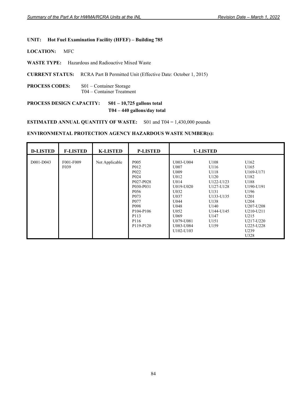#### **UNIT: Hot Fuel Examination Facility (HFEF) – Building 785**

**LOCATION:** MFC

**WASTE TYPE:** Hazardous and Radioactive Mixed Waste

**CURRENT STATUS:** RCRA Part B Permitted Unit (Effective Date: October 1, 2015)

**PROCESS CODES:** S01 – Container Storage T04 – Container Treatment

# **PROCESS DESIGN CAPACITY: S01 – 10,725 gallons total T04 – 440 gallons/day total**

**ESTIMATED ANNUAL QUANTITY OF WASTE:** S01 and T04 = 1,430,000 pounds

| <b>D-LISTED</b> | <b>F-LISTED</b>                | <b>K-LISTED</b> | <b>P-LISTED</b>                                                                                                                                                                                                                   | <b>U-LISTED</b>                                                                                                                                                        |                                                                                                                                  |                                                                                                                                                                        |
|-----------------|--------------------------------|-----------------|-----------------------------------------------------------------------------------------------------------------------------------------------------------------------------------------------------------------------------------|------------------------------------------------------------------------------------------------------------------------------------------------------------------------|----------------------------------------------------------------------------------------------------------------------------------|------------------------------------------------------------------------------------------------------------------------------------------------------------------------|
| D001-D043       | F001-F009<br>F <sub>0</sub> 39 | Not Applicable  | P <sub>005</sub><br>P <sub>0</sub> 12<br>P <sub>022</sub><br>P <sub>024</sub><br>P027-P028<br>P030-P031<br>P <sub>056</sub><br>P <sub>073</sub><br>P <sub>077</sub><br>P <sub>098</sub><br>P104-P106<br>P113<br>P116<br>P119-P120 | U003-U004<br>U007<br>U009<br>U012<br>U014<br>U019-U020<br>U032<br>U037<br>U044<br>U048<br>U052<br>U069<br>U079-U081<br>U083-U084<br>U <sub>102</sub> -U <sub>103</sub> | U108<br>U116<br>U118<br>U120<br>U122-U123<br>U127-U128<br>U131<br>U133-U135<br>U138<br>U140<br>U144-U145<br>U147<br>U151<br>U159 | U162<br>U165<br>U169-U171<br>U182<br>U188<br>U190-U191<br>U196<br>U201<br>U <sub>204</sub><br>U207-U208<br>U210-U211<br>U215<br>U217-U220<br>U225-U228<br>U239<br>U328 |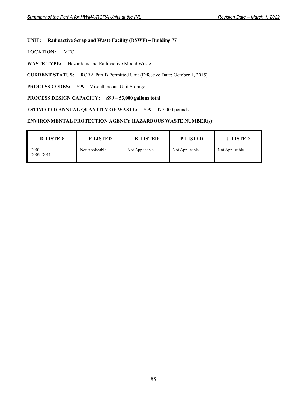### **UNIT: Radioactive Scrap and Waste Facility (RSWF) – Building 771**

**LOCATION:** MFC

**WASTE TYPE:** Hazardous and Radioactive Mixed Waste

**CURRENT STATUS:** RCRA Part B Permitted Unit (Effective Date: October 1, 2015)

**PROCESS CODES:** S99 – Miscellaneous Unit Storage

### **PROCESS DESIGN CAPACITY: S99 – 53,000 gallons total**

**ESTIMATED ANNUAL QUANTITY OF WASTE:** S99 = 477,000 pounds

| <b>D-LISTED</b>               | <b>F-LISTED</b> | <b>K-LISTED</b> | <b>P-LISTED</b> | <b>U-LISTED</b> |
|-------------------------------|-----------------|-----------------|-----------------|-----------------|
| D <sub>001</sub><br>D003-D011 | Not Applicable  | Not Applicable  | Not Applicable  | Not Applicable  |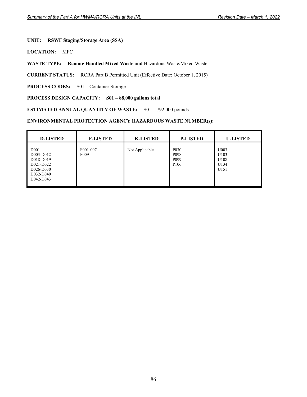### **UNIT: RSWF Staging/Storage Area (SSA)**

**LOCATION:** MFC

**WASTE TYPE: Remote Handled Mixed Waste and** Hazardous Waste/Mixed Waste

**CURRENT STATUS:** RCRA Part B Permitted Unit (Effective Date: October 1, 2015)

PROCESS CODES: S01 – Container Storage

### **PROCESS DESIGN CAPACITY: S01 – 88,000 gallons total**

**ESTIMATED ANNUAL QUANTITY OF WASTE:** S01 = 792,000 pounds

| <b>D-LISTED</b>                                                                                | <b>F-LISTED</b>              | <b>K-LISTED</b> | <b>P-LISTED</b>                                                               | <b>U-LISTED</b>                      |
|------------------------------------------------------------------------------------------------|------------------------------|-----------------|-------------------------------------------------------------------------------|--------------------------------------|
| D <sub>001</sub><br>D003-D012<br>D018-D019<br>D021-D022<br>D026-D030<br>D032-D040<br>D042-D043 | F001-007<br>F <sub>009</sub> | Not Applicable  | P <sub>0</sub> 3 <sub>0</sub><br>P098<br>P <sub>099</sub><br>P <sub>106</sub> | U003<br>U103<br>U108<br>U134<br>U151 |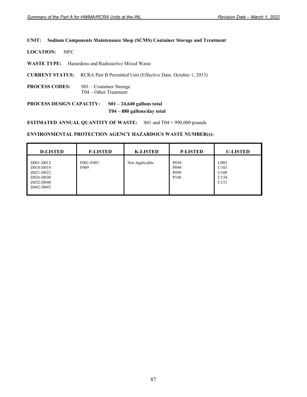#### **UNIT: Sodium Components Maintenance Shop (SCMS) Container Storage and Treatment**

**LOCATION:** MFC

**WASTE TYPE:** Hazardous and Radioactive Mixed Waste

**CURRENT STATUS:** RCRA Part B Permitted Unit (Effective Date: October 1, 2015)

**PROCESS CODES:** S01 – Container Storage T04 – Other Treatment

**PROCESS DESIGN CAPACITY: S01 – 24,640 gallons total T04 – 880 gallons/day total** 

**ESTIMATED ANNUAL QUANTITY OF WASTE:** S01 and T04 = 990,000 pounds

| <b>D-LISTED</b>                                                            | <b>F-LISTED</b>               | <b>K-LISTED</b> | <b>P-LISTED</b>                                                               | <b>U-LISTED</b>                      |
|----------------------------------------------------------------------------|-------------------------------|-----------------|-------------------------------------------------------------------------------|--------------------------------------|
| D001-D012<br>D018-D019<br>D021-D022<br>D026-D030<br>D032-D040<br>D042-D043 | F001-F007<br>F <sub>009</sub> | Not Applicable  | P <sub>0</sub> 3 <sub>0</sub><br>P098<br>P <sub>099</sub><br>P <sub>106</sub> | U003<br>U103<br>U108<br>U134<br>U151 |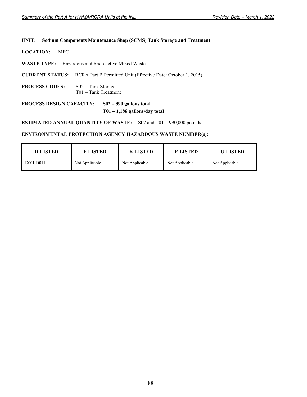#### **UNIT: Sodium Components Maintenance Shop (SCMS) Tank Storage and Treatment**

**LOCATION:** MFC

- **WASTE TYPE:** Hazardous and Radioactive Mixed Waste
- **CURRENT STATUS:** RCRA Part B Permitted Unit (Effective Date: October 1, 2015)
- **PROCESS CODES:** S02 Tank Storage T01 – Tank Treatment

# **PROCESS DESIGN CAPACITY: S02 – 390 gallons total T01 – 1,188 gallons/day total**

**ESTIMATED ANNUAL QUANTITY OF WASTE:** S02 and T01 = 990,000 pounds

| <b>D-LISTED</b> | <b>F-LISTED</b> | <b>K-LISTED</b> | <b>P-LISTED</b> | <b>U-LISTED</b> |
|-----------------|-----------------|-----------------|-----------------|-----------------|
| D001-D011       | Not Applicable  | Not Applicable  | Not Applicable  | Not Applicable  |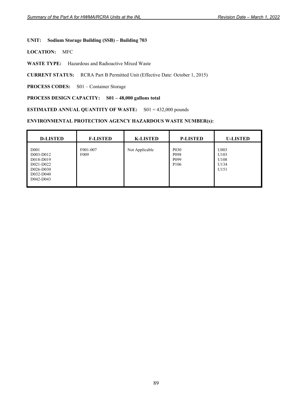### **UNIT: Sodium Storage Building (SSB) – Building 703**

**LOCATION:** MFC

**WASTE TYPE:** Hazardous and Radioactive Mixed Waste

**CURRENT STATUS:** RCRA Part B Permitted Unit (Effective Date: October 1, 2015)

PROCESS CODES: S01 – Container Storage

### **PROCESS DESIGN CAPACITY: S01 – 48,000 gallons total**

**ESTIMATED ANNUAL QUANTITY OF WASTE:** S01 = 432,000 pounds

| <b>D-LISTED</b>                                                                                | <b>F-LISTED</b>              | <b>K-LISTED</b> | <b>P-LISTED</b>                                                               | <b>U-LISTED</b>                      |
|------------------------------------------------------------------------------------------------|------------------------------|-----------------|-------------------------------------------------------------------------------|--------------------------------------|
| D <sub>001</sub><br>D003-D012<br>D018-D019<br>D021-D022<br>D026-D030<br>D032-D040<br>D042-D043 | F001-007<br>F <sub>009</sub> | Not Applicable  | P <sub>0</sub> 3 <sub>0</sub><br>P098<br>P <sub>099</sub><br>P <sub>106</sub> | U003<br>U103<br>U108<br>U134<br>U151 |